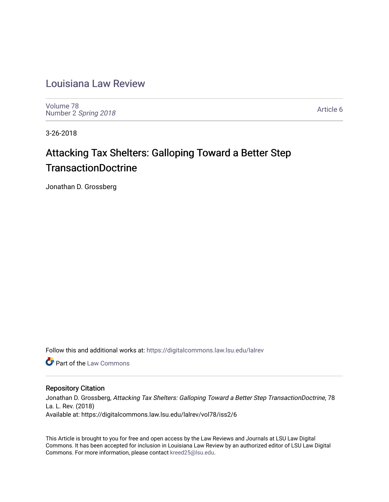# [Louisiana Law Review](https://digitalcommons.law.lsu.edu/lalrev)

[Volume 78](https://digitalcommons.law.lsu.edu/lalrev/vol78) Number 2 [Spring 2018](https://digitalcommons.law.lsu.edu/lalrev/vol78/iss2) 

[Article 6](https://digitalcommons.law.lsu.edu/lalrev/vol78/iss2/6) 

3-26-2018

# Attacking Tax Shelters: Galloping Toward a Better Step **TransactionDoctrine**

Jonathan D. Grossberg

Follow this and additional works at: [https://digitalcommons.law.lsu.edu/lalrev](https://digitalcommons.law.lsu.edu/lalrev?utm_source=digitalcommons.law.lsu.edu%2Flalrev%2Fvol78%2Fiss2%2F6&utm_medium=PDF&utm_campaign=PDFCoverPages)

**C** Part of the [Law Commons](http://network.bepress.com/hgg/discipline/578?utm_source=digitalcommons.law.lsu.edu%2Flalrev%2Fvol78%2Fiss2%2F6&utm_medium=PDF&utm_campaign=PDFCoverPages)

### Repository Citation

Jonathan D. Grossberg, Attacking Tax Shelters: Galloping Toward a Better Step TransactionDoctrine, 78 La. L. Rev. (2018) Available at: https://digitalcommons.law.lsu.edu/lalrev/vol78/iss2/6

This Article is brought to you for free and open access by the Law Reviews and Journals at LSU Law Digital Commons. It has been accepted for inclusion in Louisiana Law Review by an authorized editor of LSU Law Digital Commons. For more information, please contact [kreed25@lsu.edu](mailto:kreed25@lsu.edu).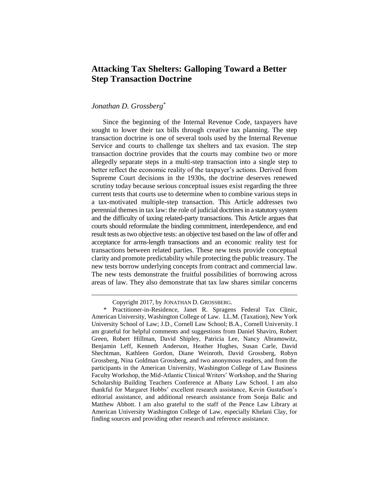# **Attacking Tax Shelters: Galloping Toward a Better Step Transaction Doctrine**

## *Jonathan D. Grossberg*\*

 $\overline{a}$ 

Since the beginning of the Internal Revenue Code, taxpayers have sought to lower their tax bills through creative tax planning. The step transaction doctrine is one of several tools used by the Internal Revenue Service and courts to challenge tax shelters and tax evasion. The step transaction doctrine provides that the courts may combine two or more allegedly separate steps in a multi-step transaction into a single step to better reflect the economic reality of the taxpayer's actions. Derived from Supreme Court decisions in the 1930s, the doctrine deserves renewed scrutiny today because serious conceptual issues exist regarding the three current tests that courts use to determine when to combine various steps in a tax-motivated multiple-step transaction. This Article addresses two perennial themes in tax law: the role of judicial doctrines in a statutory system and the difficulty of taxing related-party transactions. This Article argues that courts should reformulate the binding commitment, interdependence, and end result tests as two objective tests: an objective test based on the law of offer and acceptance for arms-length transactions and an economic reality test for transactions between related parties. These new tests provide conceptual clarity and promote predictability while protecting the public treasury. The new tests borrow underlying concepts from contract and commercial law. The new tests demonstrate the fruitful possibilities of borrowing across areas of law. They also demonstrate that tax law shares similar concerns

Copyright 2017, by JONATHAN D. GROSSBERG.

<sup>\*</sup> Practitioner-in-Residence, Janet R. Spragens Federal Tax Clinic, American University, Washington College of Law. LL.M. (Taxation), New York University School of Law; J.D., Cornell Law School; B.A., Cornell University. I am grateful for helpful comments and suggestions from Daniel Shaviro, Robert Green, Robert Hillman, David Shipley, Patricia Lee, Nancy Abramowitz, Benjamin Leff, Kenneth Anderson, Heather Hughes, Susan Carle, David Shechtman, Kathleen Gordon, Diane Weinroth, David Grossberg, Robyn Grossberg, Nina Goldman Grossberg, and two anonymous readers, and from the participants in the American University, Washington College of Law Business Faculty Workshop, the Mid-Atlantic Clinical Writers' Workshop, and the Sharing Scholarship Building Teachers Conference at Albany Law School. I am also thankful for Margaret Hobbs' excellent research assistance, Kevin Gustafson's editorial assistance, and additional research assistance from Sonja Balic and Matthew Abbott. I am also grateful to the staff of the Pence Law Library at American University Washington College of Law, especially Khelani Clay, for finding sources and providing other research and reference assistance.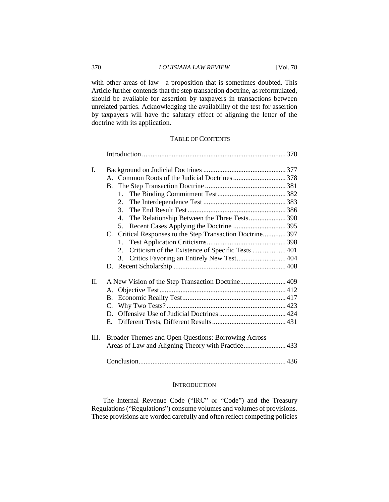#### 370 *LOUISIANA LAW REVIEW* [Vol. 78

with other areas of law—a proposition that is sometimes doubted. This Article further contends that the step transaction doctrine, as reformulated, should be available for assertion by taxpayers in transactions between unrelated parties. Acknowledging the availability of the test for assertion by taxpayers will have the salutary effect of aligning the letter of the doctrine with its application.

#### TABLE OF CONTENTS

| I.   |                                                            |  |
|------|------------------------------------------------------------|--|
|      |                                                            |  |
|      |                                                            |  |
|      | 1.                                                         |  |
|      | 2.                                                         |  |
|      | $3_{-}$                                                    |  |
|      | 4.                                                         |  |
|      | 5.                                                         |  |
|      | C. Critical Responses to the Step Transaction Doctrine 397 |  |
|      | $1_{\cdot}$                                                |  |
|      | Criticism of the Existence of Specific Tests  401<br>2.    |  |
|      | Critics Favoring an Entirely New Test 404<br>3.            |  |
|      |                                                            |  |
|      |                                                            |  |
| П.   | A New Vision of the Step Transaction Doctrine 409          |  |
|      |                                                            |  |
|      | B.                                                         |  |
|      | C.                                                         |  |
|      |                                                            |  |
|      |                                                            |  |
|      |                                                            |  |
| III. | Broader Themes and Open Questions: Borrowing Across        |  |
|      | Areas of Law and Aligning Theory with Practice 433         |  |
|      |                                                            |  |
|      |                                                            |  |
|      |                                                            |  |

#### **INTRODUCTION**

The Internal Revenue Code ("IRC" or "Code") and the Treasury Regulations ("Regulations") consume volumes and volumes of provisions. These provisions are worded carefully and often reflect competing policies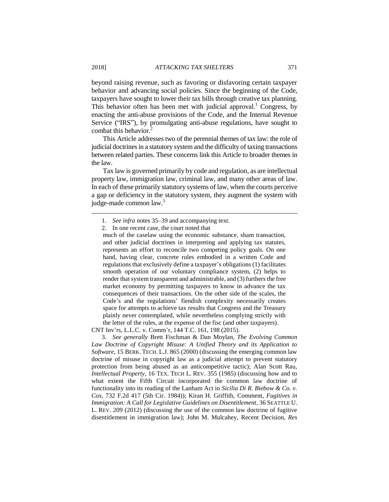beyond raising revenue, such as favoring or disfavoring certain taxpayer behavior and advancing social policies. Since the beginning of the Code, taxpayers have sought to lower their tax bills through creative tax planning. This behavior often has been met with judicial approval.<sup>1</sup> Congress, by enacting the anti-abuse provisions of the Code, and the Internal Revenue Service ("IRS"), by promulgating anti-abuse regulations, have sought to combat this behavior.<sup>2</sup>

This Article addresses two of the perennial themes of tax law: the role of judicial doctrines in a statutory system and the difficulty of taxing transactions between related parties. These concerns link this Article to broader themes in the law.

Tax law is governed primarily by code and regulation, as are intellectual property law, immigration law, criminal law, and many other areas of law. In each of these primarily statutory systems of law, when the courts perceive a gap or deficiency in the statutory system, they augment the system with judge-made common law.<sup>3</sup>

2. In one recent case, the court noted that

much of the caselaw using the economic substance, sham transaction, and other judicial doctrines in interpreting and applying tax statutes, represents an effort to reconcile two competing policy goals. On one hand, having clear, concrete rules embodied in a written Code and regulations that exclusively define a taxpayer's obligations (1) facilitates smooth operation of our voluntary compliance system, (2) helps to render that system transparent and administrable, and (3) furthers the free market economy by permitting taxpayers to know in advance the tax consequences of their transactions. On the other side of the scales, the Code's and the regulations' fiendish complexity necessarily creates space for attempts to achieve tax results that Congress and the Treasury plainly never contemplated, while nevertheless complying strictly with the letter of the rules, at the expense of the fisc (and other taxpayers).

CNT Inv'rs, L.L.C. v. Comm'r, 144 T.C. 161, 198 (2015).

3. *See generally* Brett Fischman & Dan Moylan, *The Evolving Common*  Law Doctrine of Copyright Misuse: A Unified Theory and its Application to *Software*, 15 BERK. TECH. L.J. 865 (2000) (discussing the emerging common law doctrine of misuse in copyright law as a judicial attempt to prevent statutory protection from being abused as an anticompetitive tactic); Alan Scott Rau, *Intellectual Property*, 16 TEX. TECH L. REV. 355 (1985) (discussing how and to what extent the Fifth Circuit incorporated the common law doctrine of functionality into its reading of the Lanham Act in *Sicilia Di R. Biebow & Co. v. Cox*, 732 F.2d 417 (5th Cir. 1984)); Kiran H. Griffith, Comment, *Fugitives in Immigration: A Call for Legislative Guidelines on Disentitlement*, 36 SEATTLE U. L. REV. 209 (2012) (discussing the use of the common law doctrine of fugitive disentitlement in immigration law); John M. Mulcahey, Recent Decision, *Res* 

<sup>1.</sup> *See infra* notes 35–39 and accompanying text.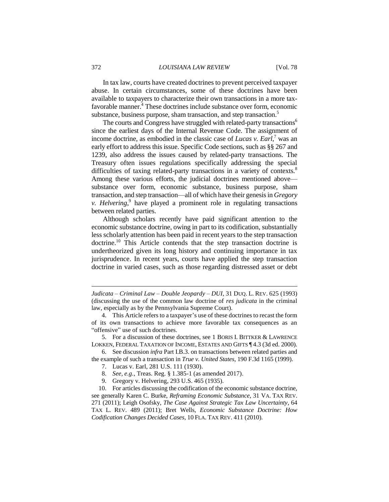In tax law, courts have created doctrines to prevent perceived taxpayer abuse. In certain circumstances, some of these doctrines have been available to taxpayers to characterize their own transactions in a more taxfavorable manner.<sup>4</sup> These doctrines include substance over form, economic substance, business purpose, sham transaction, and step transaction.<sup>5</sup>

The courts and Congress have struggled with related-party transactions<sup>6</sup> since the earliest days of the Internal Revenue Code. The assignment of income doctrine, as embodied in the classic case of *Lucas v. Earl*, <sup>7</sup> was an early effort to address this issue. Specific Code sections, such as §§ 267 and 1239, also address the issues caused by related-party transactions. The Treasury often issues regulations specifically addressing the special difficulties of taxing related-party transactions in a variety of contexts.<sup>8</sup> Among these various efforts, the judicial doctrines mentioned above substance over form, economic substance, business purpose, sham transaction, and step transaction—all of which have their genesis in *Gregory v. Helvering*, 9 have played a prominent role in regulating transactions between related parties.

Although scholars recently have paid significant attention to the economic substance doctrine, owing in part to its codification, substantially less scholarly attention has been paid in recent years to the step transaction doctrine.<sup>10</sup> This Article contends that the step transaction doctrine is undertheorized given its long history and continuing importance in tax jurisprudence. In recent years, courts have applied the step transaction doctrine in varied cases, such as those regarding distressed asset or debt

5. For a discussion of these doctrines, see 1 BORIS I. BITTKER & LAWRENCE LOKKEN, FEDERAL TAXATION OF INCOME, ESTATES AND GIFTS 14.3 (3d ed. 2000).

6. See discussion *infra* Part I.B.3. on transactions between related parties and the example of such a transaction in *True v. United States*, 190 F.3d 1165 (1999).

7. Lucas v. Earl, 281 U.S. 111 (1930).

- 8. *See, e.g.*, Treas. Reg. § 1.385-1 (as amended 2017).
- 9. Gregory v. Helvering, 293 U.S. 465 (1935).

10. For articles discussing the codification of the economic substance doctrine, see generally Karen C. Burke, *Reframing Economic Substance*, 31 VA. TAX REV. 271 (2011); Leigh Osofsky, *The Case Against Strategic Tax Law Uncertainty*, 64 TAX L. REV. 489 (2011); Bret Wells, *Economic Substance Doctrine: How Codification Changes Decided Cases*, 10 FLA. TAX REV. 411 (2010).

*Judicata – Criminal Law – Double Jeopardy – DUI*, 31 DUQ. L. REV. 625 (1993) (discussing the use of the common law doctrine of *res judicata* in the criminal law, especially as by the Pennsylvania Supreme Court).

<sup>4.</sup> This Article refers to a taxpayer's use of these doctrines to recast the form of its own transactions to achieve more favorable tax consequences as an "offensive" use of such doctrines.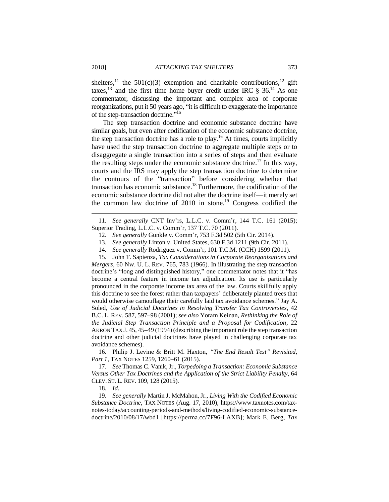shelters,<sup>11</sup> the 501(c)(3) exemption and charitable contributions,<sup>12</sup> gift taxes,<sup>13</sup> and the first time home buyer credit under IRC  $\frac{8}{9}$  36.<sup>14</sup> As one commentator, discussing the important and complex area of corporate reorganizations, put it 50 years ago, "it is difficult to exaggerate the importance of the step-transaction doctrine."<sup>15</sup>

The step transaction doctrine and economic substance doctrine have similar goals, but even after codification of the economic substance doctrine, the step transaction doctrine has a role to play.<sup>16</sup> At times, courts implicitly have used the step transaction doctrine to aggregate multiple steps or to disaggregate a single transaction into a series of steps and then evaluate the resulting steps under the economic substance doctrine.<sup>17</sup> In this way, courts and the IRS may apply the step transaction doctrine to determine the contours of the "transaction" before considering whether that transaction has economic substance.<sup>18</sup> Furthermore, the codification of the economic substance doctrine did not alter the doctrine itself—it merely set the common law doctrine of 2010 in stone. <sup>19</sup> Congress codified the

15. John T. Sapienza, *Tax Considerations in Corporate Reorganizations and Mergers*, 60 NW. U. L. REV. 765, 783 (1966). In illustrating the step transaction doctrine's "long and distinguished history," one commentator notes that it "has become a central feature in income tax adjudication. Its use is particularly pronounced in the corporate income tax area of the law. Courts skillfully apply this doctrine to see the forest rather than taxpayers' deliberately planted trees that would otherwise camouflage their carefully laid tax avoidance schemes." Jay A. Soled, *Use of Judicial Doctrines in Resolving Transfer Tax Controversies*, 42 B.C. L. REV. 587, 597–98 (2001); *see also* Yoram Keinan, *Rethinking the Role of the Judicial Step Transaction Principle and a Proposal for Codification*, 22 AKRON TAX J. 45, 45–49 (1994) (describing the important role the step transaction doctrine and other judicial doctrines have played in challenging corporate tax avoidance schemes).

16. Philip J. Levine & Britt M. Haxton, *"The End Result Test" Revisited, Part 1*, TAX NOTES 1259, 1260–61 (2015).

17. *See* Thomas C. Vanik, Jr., *Torpedoing a Transaction: Economic Substance Versus Other Tax Doctrines and the Application of the Strict Liability Penalty*, 64 CLEV. ST. L. REV. 109, 128 (2015).

18. *Id.*

19. *See generally* Martin J. McMahon, Jr., *Living With the Codified Economic Substance Doctrine*, TAX NOTES (Aug. 17, 2010), https://www.taxnotes.com/taxnotes-today/accounting-periods-and-methods/living-codified-economic-substancedoctrine/2010/08/17/wbd1 [https://perma.cc/7F96-LAXB]; Mark E. Berg, *Tax* 

<sup>11.</sup> *See generally* CNT Inv'rs, L.L.C. v. Comm'r, 144 T.C. 161 (2015); Superior Trading, L.L.C. v. Comm'r, 137 T.C. 70 (2011).

<sup>12.</sup> *See generally* Gunkle v. Comm'r, 753 F.3d 502 (5th Cir. 2014).

<sup>13.</sup> *See generally* Linton v. United States, 630 F.3d 1211 (9th Cir. 2011).

<sup>14.</sup> *See generally* Rodriguez v. Comm'r, 101 T.C.M. (CCH) 1599 (2011).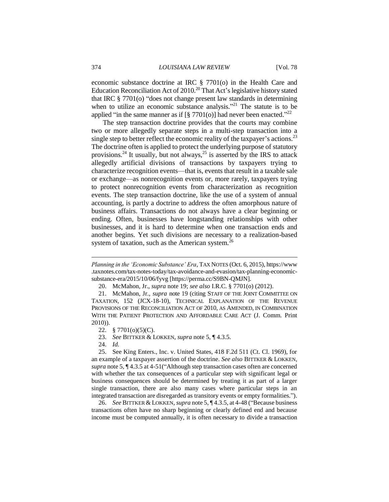economic substance doctrine at IRC § 7701(o) in the Health Care and Education Reconciliation Act of 2010.<sup>20</sup> That Act's legislative history stated that IRC § 7701(o) "does not change present law standards in determining when to utilize an economic substance analysis."<sup>21</sup> The statute is to be applied "in the same manner as if  $[\S 7701(0)]$  had never been enacted."<sup>22</sup>

The step transaction doctrine provides that the courts may combine two or more allegedly separate steps in a multi-step transaction into a single step to better reflect the economic reality of the taxpayer's actions.<sup>23</sup> The doctrine often is applied to protect the underlying purpose of statutory provisions.<sup>24</sup> It usually, but not always,<sup>25</sup> is asserted by the IRS to attack allegedly artificial divisions of transactions by taxpayers trying to characterize recognition events—that is, events that result in a taxable sale or exchange—as nonrecognition events or, more rarely, taxpayers trying to protect nonrecognition events from characterization as recognition events. The step transaction doctrine, like the use of a system of annual accounting, is partly a doctrine to address the often amorphous nature of business affairs. Transactions do not always have a clear beginning or ending. Often, businesses have longstanding relationships with other businesses, and it is hard to determine when one transaction ends and another begins. Yet such divisions are necessary to a realization-based system of taxation, such as the American system.<sup>26</sup>

24. *Id.*

 $\overline{a}$ 

26. *See* BITTKER & LOKKEN, *supra* note 5, ¶ 4.3.5, at 4-48 ("Because business transactions often have no sharp beginning or clearly defined end and because income must be computed annually, it is often necessary to divide a transaction

*Planning in the 'Economic Substance' Era*, TAX NOTES (Oct. 6, 2015), https://www .taxnotes.com/tax-notes-today/tax-avoidance-and-evasion/tax-planning-economicsubstance-era/2015/10/06/fyvg [https://perma.cc/S9BN-QMJN].

<sup>20.</sup> McMahon, Jr., *supra* note 19; *see also* I.R.C. § 7701(o) (2012).

<sup>21.</sup> McMahon, Jr., *supra* note 19 (citing STAFF OF THE JOINT COMMITTEE ON TAXATION, 152 (JCX-18-10), TECHNICAL EXPLANATION OF THE REVENUE PROVISIONS OF THE RECONCILIATION ACT OF 2010, AS AMENDED, IN COMBINATION WITH THE PATIENT PROTECTION AND AFFORDABLE CARE ACT (J. Comm. Print 2010)).

<sup>22.</sup> § 7701(o)(5)(C).

<sup>23.</sup> *See* BITTKER & LOKKEN, *supra* note 5, ¶ 4.3.5.

<sup>25.</sup> See King Enters., Inc. v. United States, 418 F.2d 511 (Ct. Cl. 1969), for an example of a taxpayer assertion of the doctrine. *See also* BITTKER & LOKKEN, *supra* note 5, ¶ 4.3.5 at 4-51("Although step transaction cases often are concerned with whether the tax consequences of a particular step with significant legal or business consequences should be determined by treating it as part of a larger single transaction, there are also many cases where particular steps in an integrated transaction are disregarded as transitory events or empty formalities.").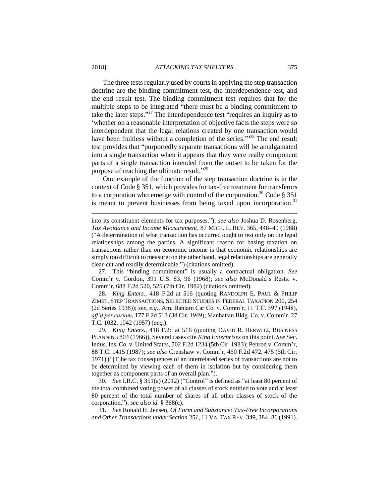The three tests regularly used by courts in applying the step transaction doctrine are the binding commitment test, the interdependence test, and the end result test. The binding commitment test requires that for the multiple steps to be integrated "there must be a binding commitment to take the later steps."<sup>27</sup> The interdependence test "requires an inquiry as to 'whether on a reasonable interpretation of objective facts the steps were so interdependent that the legal relations created by one transaction would have been fruitless without a completion of the series."<sup>28</sup> The end result test provides that "purportedly separate transactions will be amalgamated into a single transaction when it appears that they were really component parts of a single transaction intended from the outset to be taken for the purpose of reaching the ultimate result."<sup>29</sup>

One example of the function of the step transaction doctrine is in the context of Code § 351, which provides for tax-free treatment for transferors to a corporation who emerge with control of the corporation.<sup>30</sup> Code  $\S 351$ is meant to prevent businesses from being taxed upon incorporation.<sup>31</sup>

into its constituent elements for tax purposes."); *see also* Joshua D. Rosenberg, *Tax Avoidance and Income Measurement*, 87 MICH. L. REV. 365, 448–49 (1988) ("A determination of what transaction has occurred ought to rest only on the legal relationships among the parties. A significant reason for basing taxation on transactions rather than on economic income is that economic relationships are simply too difficult to measure; on the other hand, legal relationships are generally clear-cut and readily determinable.") (citations omitted).

27. This "binding commitment" is usually a contractual obligation. *See* Comm'r v. Gordon, 391 U.S. 83, 96 (1968); *see also* McDonald's Rests. v. Comm'r, 688 F.2d 520, 525 (7th Cir. 1982) (citations omitted).

28. *King Enters.*, 418 F.2d at 516 (quoting RANDOLPH E. PAUL & PHILIP ZIMET, STEP TRANSACTIONS, SELECTED STUDIES IN FEDERAL TAXATION 200, 254 (2d Series 1938)); *see, e.g.*, Am. Bantam Car Co. v. Comm'r, 11 T.C. 397 (1948), *aff'd per curiam*, 177 F.2d 513 (3d Cir. 1949); Manhattan Bldg. Co. v. Comm'r, 27 T.C. 1032, 1042 (1957) (*acq.*).

29. *King Enters.*, 418 F.2d at 516 (quoting DAVID R. HERWITZ, BUSINESS PLANNING 804 (1966)). Several cases cite *King Enterprises* on this point. *See* Sec. Indus. Ins. Co. v. United States, 702 F.2d 1234 (5th Cir. 1983); Penrod v. Comm'r, 88 T.C. 1415 (1987); *see also* Crenshaw v. Comm'r, 450 F.2d 472, 475 (5th Cir. 1971) ("[T]he tax consequences of an interrelated series of transactions are not to be determined by viewing each of them in isolation but by considering them together as component parts of an overall plan.").

30. *See* I.R.C. § 351(a) (2012) ("Control" is defined as "at least 80 percent of the total combined voting power of all classes of stock entitled to vote and at least 80 percent of the total number of shares of all other classes of stock of the corporation."); *see also id.* § 368(c).

31. *See* Ronald H. Jensen, *Of Form and Substance: Tax-Free Incorporations and Other Transactions under Section 351*, 11 VA. TAX REV. 349, 384–86 (1991).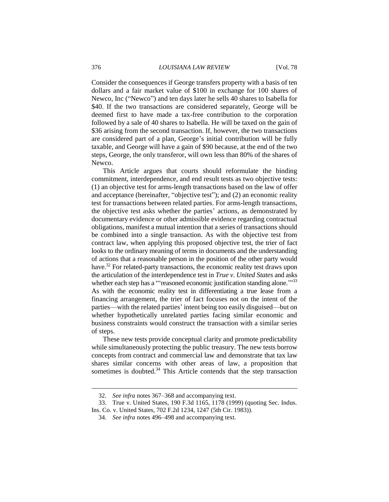Consider the consequences if George transfers property with a basis of ten dollars and a fair market value of \$100 in exchange for 100 shares of Newco, Inc ("Newco") and ten days later he sells 40 shares to Isabella for \$40. If the two transactions are considered separately, George will be deemed first to have made a tax-free contribution to the corporation followed by a sale of 40 shares to Isabella. He will be taxed on the gain of \$36 arising from the second transaction. If, however, the two transactions are considered part of a plan, George's initial contribution will be fully taxable, and George will have a gain of \$90 because, at the end of the two steps, George, the only transferor, will own less than 80% of the shares of Newco.

This Article argues that courts should reformulate the binding commitment, interdependence, and end result tests as two objective tests: (1) an objective test for arms-length transactions based on the law of offer and acceptance (hereinafter, "objective test"); and (2) an economic reality test for transactions between related parties. For arms-length transactions, the objective test asks whether the parties' actions, as demonstrated by documentary evidence or other admissible evidence regarding contractual obligations, manifest a mutual intention that a series of transactions should be combined into a single transaction. As with the objective test from contract law, when applying this proposed objective test, the trier of fact looks to the ordinary meaning of terms in documents and the understanding of actions that a reasonable person in the position of the other party would have.<sup>32</sup> For related-party transactions, the economic reality test draws upon the articulation of the interdependence test in *True v. United States* and asks whether each step has a "'reasoned economic justification standing alone."<sup>33</sup> As with the economic reality test in differentiating a true lease from a financing arrangement, the trier of fact focuses not on the intent of the parties—with the related parties' intent being too easily disguised—but on whether hypothetically unrelated parties facing similar economic and business constraints would construct the transaction with a similar series of steps.

These new tests provide conceptual clarity and promote predictability while simultaneously protecting the public treasury. The new tests borrow concepts from contract and commercial law and demonstrate that tax law shares similar concerns with other areas of law, a proposition that sometimes is doubted. $34$  This Article contends that the step transaction

<sup>32.</sup> *See infra* notes 367–368 and accompanying text.

<sup>33.</sup> True v. United States, 190 F.3d 1165, 1178 (1999) (quoting Sec. Indus. Ins. Co. v. United States, 702 F.2d 1234, 1247 (5th Cir. 1983)).

<sup>34.</sup> *See infra* notes 496–498 and accompanying text.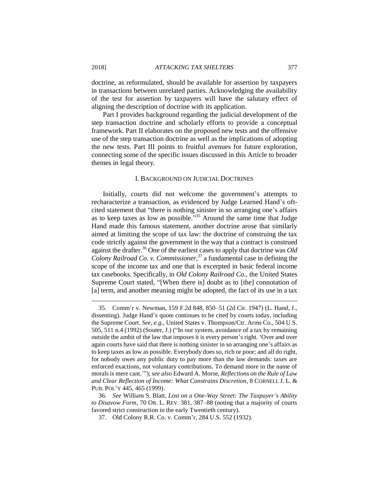doctrine, as reformulated, should be available for assertion by taxpayers in transactions between unrelated parties. Acknowledging the availability of the test for assertion by taxpayers will have the salutary effect of aligning the description of doctrine with its application.

Part I provides background regarding the judicial development of the step transaction doctrine and scholarly efforts to provide a conceptual framework. Part II elaborates on the proposed new tests and the offensive use of the step transaction doctrine as well as the implications of adopting the new tests. Part III points to fruitful avenues for future exploration, connecting some of the specific issues discussed in this Article to broader themes in legal theory.

#### I. BACKGROUND ON JUDICIAL DOCTRINES

Initially, courts did not welcome the government's attempts to recharacterize a transaction, as evidenced by Judge Learned Hand's oftcited statement that "there is nothing sinister in so arranging one's affairs as to keep taxes as low as possible." <sup>35</sup> Around the same time that Judge Hand made this famous statement, another doctrine arose that similarly aimed at limiting the scope of tax law: the doctrine of construing the tax code strictly against the government in the way that a contract is construed against the drafter.<sup>36</sup> One of the earliest cases to apply that doctrine was *Old Colony Railroad Co. v. Commissioner*, <sup>37</sup> a fundamental case in defining the scope of the income tax and one that is excerpted in basic federal income tax casebooks. Specifically, in *Old Colony Railroad Co.*, the United States Supreme Court stated, "[When there is] doubt as to [the] connotation of [a] term, and another meaning might be adopted, the fact of its use in a tax

<sup>35.</sup> Comm'r v. Newman, 159 F.2d 848, 850–51 (2d Cir. 1947) (L. Hand, J., dissenting). Judge Hand's quote continues to be cited by courts today, including the Supreme Court. *See, e.g.*, United States v. Thompson/Ctr. Arms Co., 504 U.S. 505, 511 n.4 (1992) (Souter, J.) ("In our system, avoidance of a tax by remaining outside the ambit of the law that imposes it is every person's right. 'Over and over again courts have said that there is nothing sinister in so arranging one's affairs as to keep taxes as low as possible. Everybody does so, rich or poor; and all do right, for nobody owes any public duty to pay more than the law demands: taxes are enforced exactions, not voluntary contributions. To demand more in the name of morals is mere cant.'"); s*ee also* Edward A. Morse, *Reflections on the Rule of Law and Clear Reflection of Income: What Constrains Discretion*, 8 CORNELL J. L. & PUB. POL'Y 445, 465 (1999).

<sup>36.</sup> *See* William S. Blatt, *Lost on a One-Way Street: The Taxpayer's Ability to Disavow Form*, 70 OR. L. REV. 381, 387–88 (noting that a majority of courts favored strict construction in the early Twentieth century).

<sup>37.</sup> Old Colony R.R. Co. v. Comm'r, 284 U.S. 552 (1932).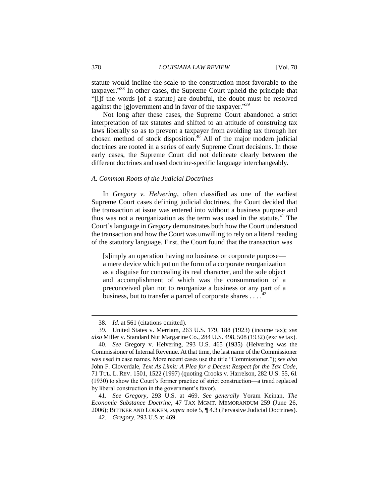statute would incline the scale to the construction most favorable to the taxpayer."<sup>38</sup> In other cases, the Supreme Court upheld the principle that "[i]f the words [of a statute] are doubtful, the doubt must be resolved against the [g]overnment and in favor of the taxpayer."<sup>39</sup>

Not long after these cases, the Supreme Court abandoned a strict interpretation of tax statutes and shifted to an attitude of construing tax laws liberally so as to prevent a taxpayer from avoiding tax through her chosen method of stock disposition. $40$  All of the major modern judicial doctrines are rooted in a series of early Supreme Court decisions. In those early cases, the Supreme Court did not delineate clearly between the different doctrines and used doctrine-specific language interchangeably.

#### *A. Common Roots of the Judicial Doctrines*

In *Gregory v. Helvering*, often classified as one of the earliest Supreme Court cases defining judicial doctrines, the Court decided that the transaction at issue was entered into without a business purpose and thus was not a reorganization as the term was used in the statute.<sup>41</sup> The Court's language in *Gregory* demonstrates both how the Court understood the transaction and how the Court was unwilling to rely on a literal reading of the statutory language. First, the Court found that the transaction was

[s]imply an operation having no business or corporate purpose a mere device which put on the form of a corporate reorganization as a disguise for concealing its real character, and the sole object and accomplishment of which was the consummation of a preconceived plan not to reorganize a business or any part of a business, but to transfer a parcel of corporate shares  $\dots$ .

 $\overline{a}$ 

41. *See Gregory*, 293 U.S. at 469. *See generally* Yoram Keinan, *The Economic Substance Doctrine*, 47 TAX MGMT. MEMORANDUM 259 (June 26, 2006); BITTKER AND LOKKEN, *supra* note 5, ¶ 4.3 (Pervasive Judicial Doctrines).

<sup>38.</sup> *Id.* at 561 (citations omitted).

<sup>39.</sup> United States v. Merriam, 263 U.S. 179, 188 (1923) (income tax); *see also* Miller v. Standard Nut Margarine Co., 284 U.S. 498, 508 (1932) (excise tax).

<sup>40.</sup> *See* Gregory v. Helvering, 293 U.S. 465 (1935) (Helvering was the Commissioner of Internal Revenue. At that time, the last name of the Commissioner was used in case names. More recent cases use the title "Commissioner."); *see also*  John F. Cloverdale, *Text As Limit: A Plea for a Decent Respect for the Tax Code*, 71 TUL. L. REV. 1501, 1522 (1997) (quoting Crooks v. Harrelson, 282 U.S. 55, 61 (1930) to show the Court's former practice of strict construction—a trend replaced by liberal construction in the government's favor).

<sup>42.</sup> *Gregory*, 293 U.S at 469.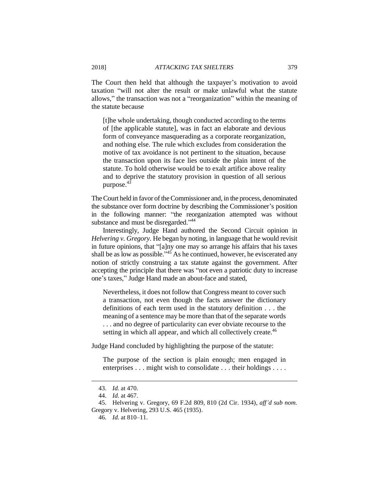The Court then held that although the taxpayer's motivation to avoid taxation "will not alter the result or make unlawful what the statute allows," the transaction was not a "reorganization" within the meaning of the statute because

[t]he whole undertaking, though conducted according to the terms of [the applicable statute], was in fact an elaborate and devious form of conveyance masquerading as a corporate reorganization, and nothing else. The rule which excludes from consideration the motive of tax avoidance is not pertinent to the situation, because the transaction upon its face lies outside the plain intent of the statute. To hold otherwise would be to exalt artifice above reality and to deprive the statutory provision in question of all serious purpose.<sup>43</sup>

The Court held in favor of the Commissioner and, in the process, denominated the substance over form doctrine by describing the Commissioner's position in the following manner: "the reorganization attempted was without substance and must be disregarded."<sup>44</sup>

Interestingly, Judge Hand authored the Second Circuit opinion in *Helvering v. Gregory*. He began by noting, in language that he would revisit in future opinions, that "[a]ny one may so arrange his affairs that his taxes shall be as low as possible." $45$  As he continued, however, he eviscerated any notion of strictly construing a tax statute against the government. After accepting the principle that there was "not even a patriotic duty to increase one's taxes," Judge Hand made an about-face and stated,

Nevertheless, it does not follow that Congress meant to cover such a transaction, not even though the facts answer the dictionary definitions of each term used in the statutory definition . . . the meaning of a sentence may be more than that of the separate words . . . and no degree of particularity can ever obviate recourse to the setting in which all appear, and which all collectively create.<sup>46</sup>

Judge Hand concluded by highlighting the purpose of the statute:

The purpose of the section is plain enough; men engaged in enterprises . . . might wish to consolidate . . . their holdings . . . .

<sup>43.</sup> *Id.* at 470.

<sup>44.</sup> *Id.* at 467.

<sup>45.</sup> Helvering v. Gregory, 69 F.2d 809, 810 (2d Cir. 1934), *aff'd sub nom.* Gregory v. Helvering, 293 U.S. 465 (1935).

<sup>46.</sup> *Id.* at 810–11.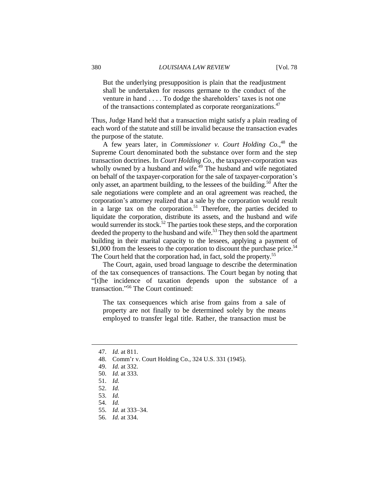But the underlying presupposition is plain that the readjustment shall be undertaken for reasons germane to the conduct of the venture in hand . . . . To dodge the shareholders' taxes is not one of the transactions contemplated as corporate reorganizations.<sup>47</sup>

Thus, Judge Hand held that a transaction might satisfy a plain reading of each word of the statute and still be invalid because the transaction evades the purpose of the statute.

A few years later, in *Commissioner v. Court Holding Co.*, <sup>48</sup> the Supreme Court denominated both the substance over form and the step transaction doctrines. In *Court Holding Co.*, the taxpayer-corporation was wholly owned by a husband and wife.<sup> $49$ </sup> The husband and wife negotiated on behalf of the taxpayer-corporation for the sale of taxpayer-corporation's only asset, an apartment building, to the lessees of the building.<sup>50</sup> After the sale negotiations were complete and an oral agreement was reached, the corporation's attorney realized that a sale by the corporation would result in a large tax on the corporation.<sup>51</sup> Therefore, the parties decided to liquidate the corporation, distribute its assets, and the husband and wife would surrender its stock.<sup>52</sup> The parties took these steps, and the corporation deeded the property to the husband and wife.<sup>53</sup> They then sold the apartment building in their marital capacity to the lessees, applying a payment of \$1,000 from the lessees to the corporation to discount the purchase price.<sup>54</sup> The Court held that the corporation had, in fact, sold the property.<sup>55</sup>

The Court, again, used broad language to describe the determination of the tax consequences of transactions. The Court began by noting that "[t]he incidence of taxation depends upon the substance of a transaction." <sup>56</sup> The Court continued:

The tax consequences which arise from gains from a sale of property are not finally to be determined solely by the means employed to transfer legal title. Rather, the transaction must be

 $\overline{a}$ 

56. *Id.* at 334.

<sup>47.</sup> *Id.* at 811.

<sup>48.</sup> Comm'r v. Court Holding Co., 324 U.S. 331 (1945).

<sup>49.</sup> *Id.* at 332.

<sup>50.</sup> *Id.* at 333.

<sup>51.</sup> *Id.*

<sup>52.</sup> *Id.*

<sup>53.</sup> *Id.*

<sup>54.</sup> *Id.*

<sup>55.</sup> *Id.* at 333–34.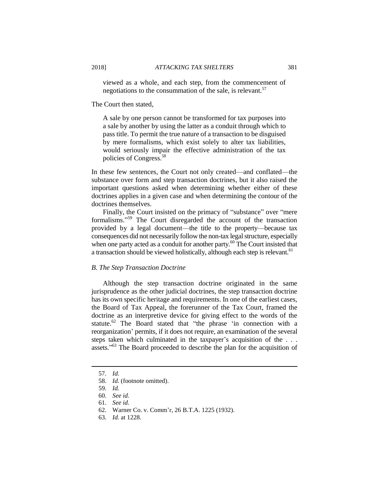viewed as a whole, and each step, from the commencement of negotiations to the consummation of the sale, is relevant.<sup>57</sup>

The Court then stated,

A sale by one person cannot be transformed for tax purposes into a sale by another by using the latter as a conduit through which to pass title. To permit the true nature of a transaction to be disguised by mere formalisms, which exist solely to alter tax liabilities, would seriously impair the effective administration of the tax policies of Congress.<sup>58</sup>

In these few sentences, the Court not only created—and conflated—the substance over form and step transaction doctrines, but it also raised the important questions asked when determining whether either of these doctrines applies in a given case and when determining the contour of the doctrines themselves.

Finally, the Court insisted on the primacy of "substance" over "mere formalisms." <sup>59</sup> The Court disregarded the account of the transaction provided by a legal document—the title to the property—because tax consequences did not necessarily follow the non-tax legal structure, especially when one party acted as a conduit for another party.<sup>60</sup> The Court insisted that a transaction should be viewed holistically, although each step is relevant.<sup>61</sup>

#### *B. The Step Transaction Doctrine*

Although the step transaction doctrine originated in the same jurisprudence as the other judicial doctrines, the step transaction doctrine has its own specific heritage and requirements. In one of the earliest cases, the Board of Tax Appeal, the forerunner of the Tax Court, framed the doctrine as an interpretive device for giving effect to the words of the statute.<sup>62</sup> The Board stated that "the phrase 'in connection with a reorganization' permits, if it does not require, an examination of the several steps taken which culminated in the taxpayer's acquisition of the . . . assets."<sup>63</sup> The Board proceeded to describe the plan for the acquisition of

- 62. Warner Co. v. Comm'r, 26 B.T.A. 1225 (1932).
- 63. *Id.* at 1228.

<sup>57.</sup> *Id.*

<sup>58.</sup> *Id.* (footnote omitted).

<sup>59.</sup> *Id.*

<sup>60.</sup> *See id.*

<sup>61.</sup> *See id.*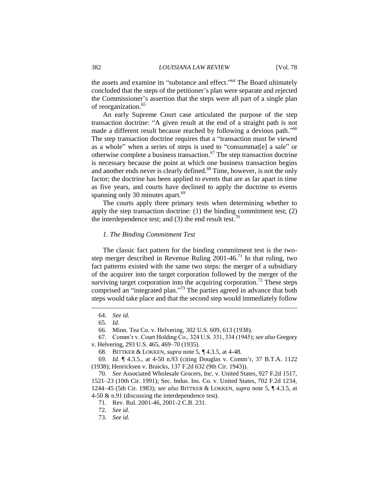the assets and examine its "substance and effect."<sup>64</sup> The Board ultimately concluded that the steps of the petitioner's plan were separate and rejected the Commissioner's assertion that the steps were all part of a single plan of reorganization.<sup>65</sup>

An early Supreme Court case articulated the purpose of the step transaction doctrine: "A given result at the end of a straight path is not made a different result because reached by following a devious path."<sup>66</sup> The step transaction doctrine requires that a "transaction must be viewed as a whole" when a series of steps is used to "consummat[e] a sale" or otherwise complete a business transaction.<sup>67</sup> The step transaction doctrine is necessary because the point at which one business transaction begins and another ends never is clearly defined.<sup>68</sup> Time, however, is not the only factor; the doctrine has been applied to events that are as far apart in time as five years, and courts have declined to apply the doctrine to events spanning only 30 minutes apart.<sup>69</sup>

The courts apply three primary tests when determining whether to apply the step transaction doctrine: (1) the binding commitment test; (2) the interdependence test; and  $(3)$  the end result test.<sup>70</sup>

#### *1. The Binding Commitment Test*

The classic fact pattern for the binding commitment test is the twostep merger described in Revenue Ruling 2001-46.<sup>71</sup> In that ruling, two fact patterns existed with the same two steps: the merger of a subsidiary of the acquirer into the target corporation followed by the merger of the surviving target corporation into the acquiring corporation.<sup>72</sup> These steps comprised an "integrated plan."<sup>73</sup> The parties agreed in advance that both steps would take place and that the second step would immediately follow

<sup>64.</sup> *See id.*

<sup>65.</sup> *Id.*

<sup>66.</sup> Minn. Tea Co. v. Helvering, 302 U.S. 609, 613 (1938).

<sup>67.</sup> Comm'r v. Court Holding Co., 324 U.S. 331, 334 (1945); *see also* Gregory v. Helvering, 293 U.S. 465, 469–70 (1935).

<sup>68.</sup> BITTKER & LOKKEN, *supra* note 5, ¶ 4.3.5, at 4-48.

<sup>69.</sup> *Id.* ¶ 4.3.5., at 4-50 n.93 (citing Douglas v. Comm'r, 37 B.T.A. 1122 (1938); Henricksen v. Braicks, 137 F.2d 632 (9th Cir. 1943)).

<sup>70.</sup> *See* Associated Wholesale Grocers, Inc. v. United States, 927 F.2d 1517, 1521–23 (10th Cir. 1991); Sec. Indus. Ins. Co. v. United States, 702 F.2d 1234, 1244–45 (5th Cir. 1983); *see also* BITTKER & LOKKEN, *supra* note 5, ¶ 4.3.5, at 4-50 & n.91 (discussing the interdependence test).

<sup>71.</sup> Rev. Rul. 2001-46, 2001-2 C.B. 231.

<sup>72.</sup> *See id.*

<sup>73.</sup> *See id.*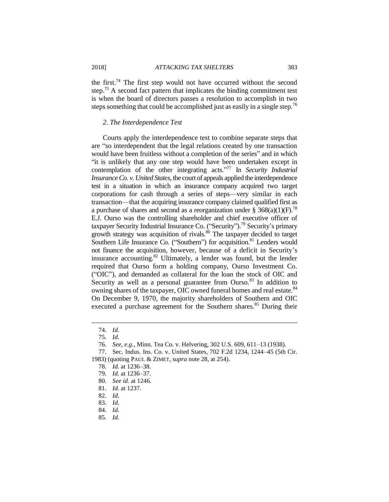the first.<sup>74</sup> The first step would not have occurred without the second step.<sup>75</sup> A second fact pattern that implicates the binding commitment test is when the board of directors passes a resolution to accomplish in two steps something that could be accomplished just as easily in a single step.<sup>76</sup>

#### *2. The Interdependence Test*

Courts apply the interdependence test to combine separate steps that are "so interdependent that the legal relations created by one transaction would have been fruitless without a completion of the series" and in which "it is unlikely that any one step would have been undertaken except in contemplation of the other integrating acts." <sup>77</sup> In *Security Industrial Insurance Co. v. United States*, the court of appeals applied the interdependence test in a situation in which an insurance company acquired two target corporations for cash through a series of steps—very similar in each transaction—that the acquiring insurance company claimed qualified first as a purchase of shares and second as a reorganization under § 368(a)(1)(F).<sup>78</sup> E.J. Ourso was the controlling shareholder and chief executive officer of taxpayer Security Industrial Insurance Co. ("Security").<sup>79</sup> Security's primary growth strategy was acquisition of rivals.<sup>80</sup> The taxpayer decided to target Southern Life Insurance Co. ("Southern") for acquisition.<sup>81</sup> Lenders would not finance the acquisition, however, because of a deficit in Security's insurance accounting.<sup>82</sup> Ultimately, a lender was found, but the lender required that Ourso form a holding company, Ourso Investment Co. ("OIC"), and demanded as collateral for the loan the stock of OIC and Security as well as a personal guarantee from Ourso. $83$  In addition to owning shares of the taxpayer, OIC owned funeral homes and real estate.<sup>84</sup> On December 9, 1970, the majority shareholders of Southern and OIC executed a purchase agreement for the Southern shares.<sup>85</sup> During their

<sup>74.</sup> *Id.*

<sup>75.</sup> *Id.*

<sup>76.</sup> *See, e.g.*, Minn. Tea Co. v. Helvering, 302 U.S. 609, 611–13 (1938).

<sup>77.</sup> Sec. Indus. Ins. Co. v. United States, 702 F.2d 1234, 1244–45 (5th Cir. 1983) (quoting PAUL & ZIMET, *supra* note 28, at 254).

<sup>78.</sup> *Id.* at 1236–38.

<sup>79.</sup> *Id.* at 1236–37.

<sup>80.</sup> *See id.* at 1246.

<sup>81.</sup> *Id.* at 1237.

<sup>82.</sup> *Id.*

<sup>83.</sup> *Id.*

<sup>84.</sup> *Id.*

<sup>85.</sup> *Id.*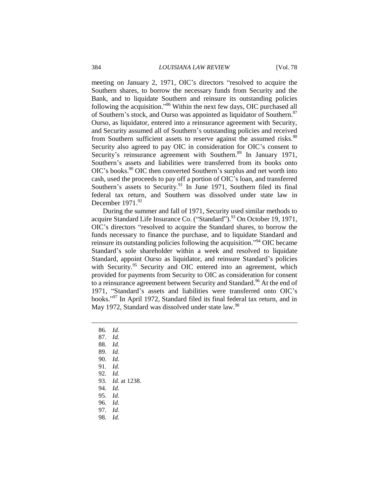meeting on January 2, 1971, OIC's directors "resolved to acquire the Southern shares, to borrow the necessary funds from Security and the Bank, and to liquidate Southern and reinsure its outstanding policies following the acquisition."<sup>86</sup> Within the next few days, OIC purchased all of Southern's stock, and Ourso was appointed as liquidator of Southern.<sup>87</sup> Ourso, as liquidator, entered into a reinsurance agreement with Security, and Security assumed all of Southern's outstanding policies and received from Southern sufficient assets to reserve against the assumed risks.<sup>88</sup> Security also agreed to pay OIC in consideration for OIC's consent to Security's reinsurance agreement with Southern.<sup>89</sup> In January 1971, Southern's assets and liabilities were transferred from its books onto OIC's books.<sup>90</sup> OIC then converted Southern's surplus and net worth into cash, used the proceeds to pay off a portion of OIC's loan, and transferred Southern's assets to Security.<sup>91</sup> In June 1971, Southern filed its final federal tax return, and Southern was dissolved under state law in December 1971.<sup>92</sup>

During the summer and fall of 1971, Security used similar methods to acquire Standard Life Insurance Co. ("Standard").<sup>93</sup> On October 19, 1971, OIC's directors "resolved to acquire the Standard shares, to borrow the funds necessary to finance the purchase, and to liquidate Standard and reinsure its outstanding policies following the acquisition."<sup>94</sup> OIC became Standard's sole shareholder within a week and resolved to liquidate Standard, appoint Ourso as liquidator, and reinsure Standard's policies with Security.<sup>95</sup> Security and OIC entered into an agreement, which provided for payments from Security to OIC as consideration for consent to a reinsurance agreement between Security and Standard.<sup>96</sup> At the end of 1971, "Standard's assets and liabilities were transferred onto OIC's books." <sup>97</sup> In April 1972, Standard filed its final federal tax return, and in May 1972, Standard was dissolved under state law.<sup>98</sup>

86. *Id.*

- 87. *Id.*
- 88. *Id.*
- 89. *Id.*
- 90. *Id.*
- 91. *Id.*
- 92. *Id.*
- 93. *Id.* at 1238.
- 94. *Id.*
- 95. *Id.*
- 96. *Id.*
- 97. *Id.*
- 98. *Id.*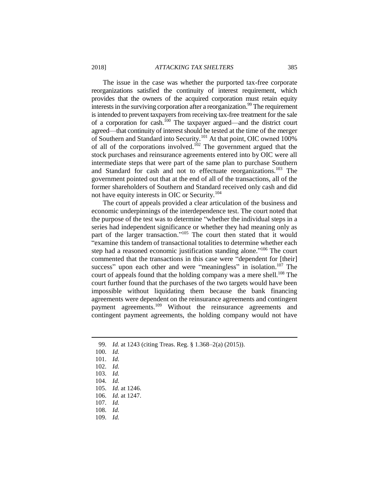The issue in the case was whether the purported tax-free corporate reorganizations satisfied the continuity of interest requirement, which provides that the owners of the acquired corporation must retain equity interests in the surviving corporation after a reorganization.<sup>99</sup> The requirement is intended to prevent taxpayers from receiving tax-free treatment for the sale of a corporation for cash.<sup>100</sup> The taxpayer argued—and the district court agreed—that continuity of interest should be tested at the time of the merger of Southern and Standard into Security.<sup>101</sup> At that point, OIC owned 100% of all of the corporations involved.<sup>102</sup> The government argued that the stock purchases and reinsurance agreements entered into by OIC were all intermediate steps that were part of the same plan to purchase Southern and Standard for cash and not to effectuate reorganizations.<sup>103</sup> The government pointed out that at the end of all of the transactions, all of the former shareholders of Southern and Standard received only cash and did not have equity interests in OIC or Security.<sup>104</sup>

The court of appeals provided a clear articulation of the business and economic underpinnings of the interdependence test. The court noted that the purpose of the test was to determine "whether the individual steps in a series had independent significance or whether they had meaning only as part of the larger transaction."<sup>105</sup> The court then stated that it would "examine this tandem of transactional totalities to determine whether each step had a reasoned economic justification standing alone."<sup>106</sup> The court commented that the transactions in this case were "dependent for [their] success" upon each other and were "meaningless" in isolation.<sup>107</sup> The court of appeals found that the holding company was a mere shell.<sup>108</sup> The court further found that the purchases of the two targets would have been impossible without liquidating them because the bank financing agreements were dependent on the reinsurance agreements and contingent payment agreements.<sup>109</sup> Without the reinsurance agreements and contingent payment agreements, the holding company would not have

- 108. *Id.*
- 109. *Id.*

<sup>99.</sup> *Id.* at 1243 (citing Treas. Reg. § 1.368–2(a) (2015)).

<sup>100.</sup> *Id.*

<sup>101.</sup> *Id.*

<sup>102.</sup> *Id.*

<sup>103.</sup> *Id.*

<sup>104.</sup> *Id.*

<sup>105.</sup> *Id.* at 1246.

<sup>106.</sup> *Id.* at 1247.

<sup>107.</sup> *Id.*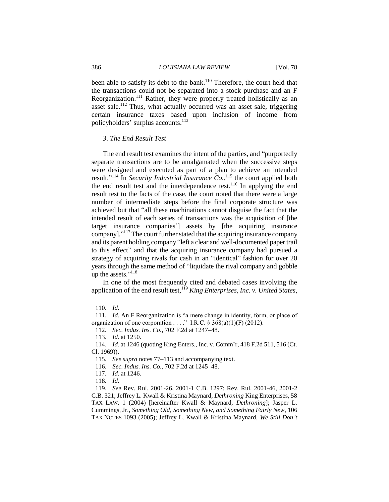been able to satisfy its debt to the bank.<sup>110</sup> Therefore, the court held that the transactions could not be separated into a stock purchase and an F Reorganization.<sup>111</sup> Rather, they were properly treated holistically as an asset sale.<sup>112</sup> Thus, what actually occurred was an asset sale, triggering certain insurance taxes based upon inclusion of income from policyholders' surplus accounts.<sup>113</sup>

#### *3. The End Result Test*

The end result test examines the intent of the parties, and "purportedly separate transactions are to be amalgamated when the successive steps were designed and executed as part of a plan to achieve an intended result."<sup>114</sup> In *Security Industrial Insurance*  $Co$ ,  $^{115}$  the court applied both the end result test and the interdependence test.<sup>116</sup> In applying the end result test to the facts of the case, the court noted that there were a large number of intermediate steps before the final corporate structure was achieved but that "all these machinations cannot disguise the fact that the intended result of each series of transactions was the acquisition of [the target insurance companies'] assets by [the acquiring insurance company]." <sup>117</sup> The court further stated that the acquiring insurance company and its parent holding company "left a clear and well-documented paper trail to this effect" and that the acquiring insurance company had pursued a strategy of acquiring rivals for cash in an "identical" fashion for over 20 years through the same method of "liquidate the rival company and gobble up the assets."<sup>118</sup>

In one of the most frequently cited and debated cases involving the application of the end result test,<sup>119</sup> *King Enterprises, Inc. v. United States,* 

 $\overline{a}$ 

118. *Id.*

<sup>110.</sup> *Id.*

<sup>111.</sup> *Id.* An F Reorganization is "a mere change in identity, form, or place of organization of one corporation  $\dots$ ." I.R.C. § 368(a)(1)(F) (2012).

<sup>112.</sup> *Sec. Indus. Ins. Co.*, 702 F.2d at 1247–48.

<sup>113.</sup> *Id.* at 1250.

<sup>114.</sup> *Id.* at 1246 (quoting King Enters., Inc. v. Comm'r, 418 F.2d 511, 516 (Ct. Cl. 1969)).

<sup>115.</sup> *See supra* notes 77–113 and accompanying text.

<sup>116.</sup> *Sec. Indus. Ins. Co.*, 702 F.2d at 1245–48.

<sup>117.</sup> *Id.* at 1246.

<sup>119.</sup> *See* Rev. Rul. 2001-26, 2001-1 C.B. 1297; Rev. Rul. 2001-46, 2001-2 C.B. 321; Jeffrey L. Kwall & Kristina Maynard, *Dethroning* King Enterprises, 58 TAX LAW. 1 (2004) [hereinafter Kwall & Maynard, *Dethroning*]; Jasper L. Cummings, Jr., *Something Old, Something New, and Something Fairly New*, 106 TAX NOTES 1093 (2005); Jeffrey L. Kwall & Kristina Maynard, *We Still Don't*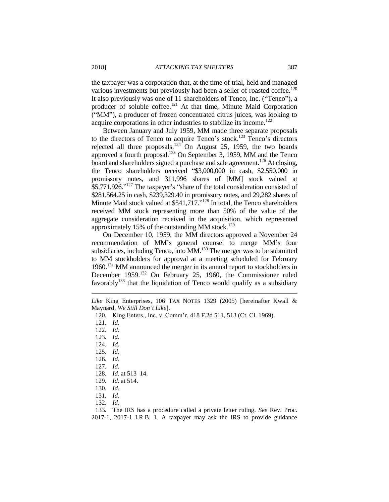the taxpayer was a corporation that, at the time of trial, held and managed various investments but previously had been a seller of roasted coffee.<sup>120</sup> It also previously was one of 11 shareholders of Tenco, Inc. ("Tenco"), a producer of soluble coffee.<sup>121</sup> At that time, Minute Maid Corporation ("MM"), a producer of frozen concentrated citrus juices, was looking to acquire corporations in other industries to stabilize its income.<sup>122</sup>

Between January and July 1959, MM made three separate proposals to the directors of Tenco to acquire Tenco's stock.<sup>123</sup> Tenco's directors rejected all three proposals.<sup>124</sup> On August 25, 1959, the two boards approved a fourth proposal.<sup>125</sup> On September 3, 1959, MM and the Tenco board and shareholders signed a purchase and sale agreement.<sup>126</sup> At closing, the Tenco shareholders received "\$3,000,000 in cash, \$2,550,000 in promissory notes, and 311,996 shares of [MM] stock valued at \$5,771,926."<sup>127</sup> The taxpayer's "share of the total consideration consisted of \$281,564.25 in cash, \$239,329.40 in promissory notes, and 29,282 shares of Minute Maid stock valued at  $$541,717."$ <sup>128</sup> In total, the Tenco shareholders received MM stock representing more than 50% of the value of the aggregate consideration received in the acquisition, which represented approximately 15% of the outstanding MM stock.<sup>129</sup>

On December 10, 1959, the MM directors approved a November 24 recommendation of MM's general counsel to merge MM's four subsidiaries, including Tenco, into  $MM<sup>130</sup>$  The merger was to be submitted to MM stockholders for approval at a meeting scheduled for February 1960.<sup>131</sup> MM announced the merger in its annual report to stockholders in December 1959.<sup>132</sup> On February 25, 1960, the Commissioner ruled favorably<sup>133</sup> that the liquidation of Tenco would qualify as a subsidiary

 $\overline{a}$ 

- 123. *Id.*
- 124. *Id.*
- 125. *Id.*
- 126. *Id.*
- 127. *Id.*
- 128. *Id.* at 513–14.
- 129. *Id.* at 514.
- 130. *Id.*
- 131. *Id.*
- 132. *Id.*

133. The IRS has a procedure called a private letter ruling. *See* Rev. Proc. 2017-1, 2017-1 I.R.B. 1. A taxpayer may ask the IRS to provide guidance

*Like* King Enterprises, 106 TAX NOTES 1329 (2005) [hereinafter Kwall & Maynard, *We Still Don't Like*].

<sup>120.</sup> King Enters., Inc. v. Comm'r, 418 F.2d 511, 513 (Ct. Cl. 1969).

<sup>121.</sup> *Id.*

<sup>122.</sup> *Id.*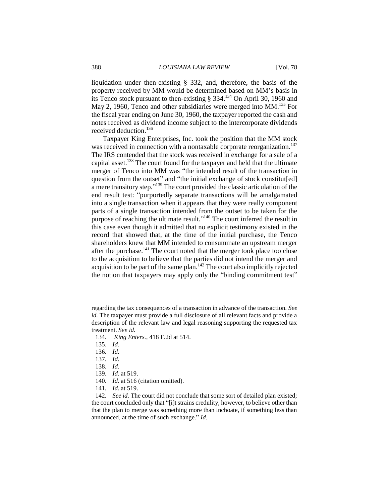liquidation under then-existing § 332, and, therefore, the basis of the property received by MM would be determined based on MM's basis in its Tenco stock pursuant to then-existing  $\S$  334.<sup>134</sup> On April 30, 1960 and May 2, 1960, Tenco and other subsidiaries were merged into MM.<sup>135</sup> For the fiscal year ending on June 30, 1960, the taxpayer reported the cash and notes received as dividend income subject to the intercorporate dividends received deduction.<sup>136</sup>

Taxpayer King Enterprises, Inc. took the position that the MM stock was received in connection with a nontaxable corporate reorganization.<sup>137</sup> The IRS contended that the stock was received in exchange for a sale of a capital asset.<sup>138</sup> The court found for the taxpayer and held that the ultimate merger of Tenco into MM was "the intended result of the transaction in question from the outset" and "the initial exchange of stock constituted] a mere transitory step."<sup>139</sup> The court provided the classic articulation of the end result test: "purportedly separate transactions will be amalgamated into a single transaction when it appears that they were really component parts of a single transaction intended from the outset to be taken for the purpose of reaching the ultimate result."<sup>140</sup> The court inferred the result in this case even though it admitted that no explicit testimony existed in the record that showed that, at the time of the initial purchase, the Tenco shareholders knew that MM intended to consummate an upstream merger after the purchase.<sup>141</sup> The court noted that the merger took place too close to the acquisition to believe that the parties did not intend the merger and acquisition to be part of the same plan. $142$  The court also implicitly rejected the notion that taxpayers may apply only the "binding commitment test"

 $\overline{a}$ 

- 140. *Id.* at 516 (citation omitted).
- 141*. Id.* at 519.

142. *See id.* The court did not conclude that some sort of detailed plan existed; the court concluded only that "[i]t strains credulity, however, to believe other than that the plan to merge was something more than inchoate, if something less than announced, at the time of such exchange." *Id.*

regarding the tax consequences of a transaction in advance of the transaction. *See id.* The taxpayer must provide a full disclosure of all relevant facts and provide a description of the relevant law and legal reasoning supporting the requested tax treatment. *See id.*

<sup>134.</sup> *King Enters.*, 418 F.2d at 514.

<sup>135.</sup> *Id.*

<sup>136.</sup> *Id.*

<sup>137.</sup> *Id.*

<sup>138.</sup> *Id.*

<sup>139.</sup> *Id.* at 519.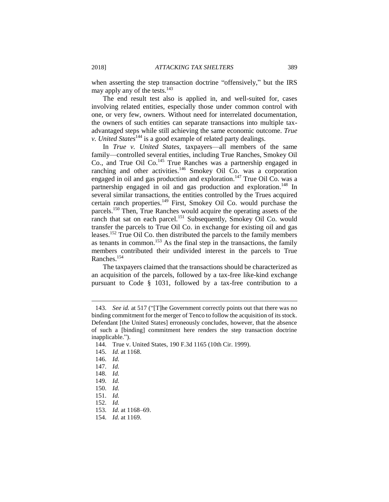when asserting the step transaction doctrine "offensively," but the IRS may apply any of the tests.<sup>143</sup>

The end result test also is applied in, and well-suited for, cases involving related entities, especially those under common control with one, or very few, owners. Without need for interrelated documentation, the owners of such entities can separate transactions into multiple taxadvantaged steps while still achieving the same economic outcome. *True v. United States*<sup>144</sup> is a good example of related party dealings.

In *True v. United States*, taxpayers—all members of the same family—controlled several entities, including True Ranches, Smokey Oil Co., and True Oil Co.<sup>145</sup> True Ranches was a partnership engaged in ranching and other activities.<sup>146</sup> Smokey Oil Co. was a corporation engaged in oil and gas production and exploration.<sup>147</sup> True Oil Co. was a partnership engaged in oil and gas production and exploration.<sup>148</sup> In several similar transactions, the entities controlled by the Trues acquired certain ranch properties.<sup>149</sup> First, Smokey Oil Co. would purchase the parcels.<sup>150</sup> Then, True Ranches would acquire the operating assets of the ranch that sat on each parcel.<sup>151</sup> Subsequently, Smokey Oil Co. would transfer the parcels to True Oil Co. in exchange for existing oil and gas leases.<sup>152</sup> True Oil Co. then distributed the parcels to the family members as tenants in common.<sup>153</sup> As the final step in the transactions, the family members contributed their undivided interest in the parcels to True Ranches.<sup>154</sup>

The taxpayers claimed that the transactions should be characterized as an acquisition of the parcels, followed by a tax-free like-kind exchange pursuant to Code § 1031, followed by a tax-free contribution to a

<sup>143.</sup> *See id.* at 517 ("[T]he Government correctly points out that there was no binding commitment for the merger of Tenco to follow the acquisition of its stock. Defendant [the United States] erroneously concludes, however, that the absence of such a [binding] commitment here renders the step transaction doctrine inapplicable.").

<sup>144.</sup> True v. United States, 190 F.3d 1165 (10th Cir. 1999).

<sup>145.</sup> *Id.* at 1168.

<sup>146.</sup> *Id.*

<sup>147.</sup> *Id.*

<sup>148.</sup> *Id.*

<sup>149.</sup> *Id.*

<sup>150.</sup> *Id.*

<sup>151.</sup> *Id.*

<sup>152.</sup> *Id.*

<sup>153.</sup> *Id.* at 1168–69.

<sup>154.</sup> *Id.* at 1169.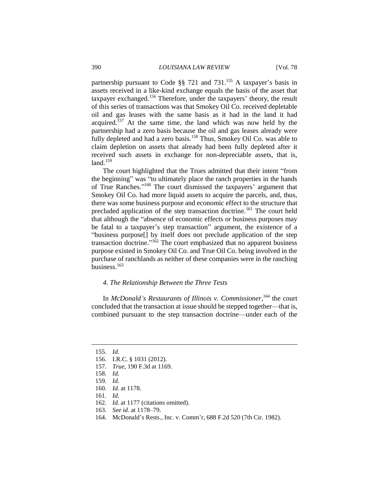partnership pursuant to Code §§ 721 and 731.<sup>155</sup> A taxpayer's basis in assets received in a like-kind exchange equals the basis of the asset that taxpayer exchanged.<sup>156</sup> Therefore, under the taxpayers' theory, the result of this series of transactions was that Smokey Oil Co. received depletable oil and gas leases with the same basis as it had in the land it had acquired.<sup>157</sup> At the same time, the land which was now held by the partnership had a zero basis because the oil and gas leases already were fully depleted and had a zero basis.<sup>158</sup> Thus, Smokey Oil Co. was able to claim depletion on assets that already had been fully depleted after it received such assets in exchange for non-depreciable assets, that is, land $159$ 

The court highlighted that the Trues admitted that their intent "from the beginning" was "to ultimately place the ranch properties in the hands of True Ranches." <sup>160</sup> The court dismissed the taxpayers' argument that Smokey Oil Co. had more liquid assets to acquire the parcels, and, thus, there was some business purpose and economic effect to the structure that precluded application of the step transaction doctrine.<sup>161</sup> The court held that although the "absence of economic effects or business purposes may be fatal to a taxpayer's step transaction" argument, the existence of a "business purpose[] by itself does not preclude application of the step transaction doctrine."<sup>162</sup> The court emphasized that no apparent business purpose existed in Smokey Oil Co. and True Oil Co. being involved in the purchase of ranchlands as neither of these companies were in the ranching business.<sup>163</sup>

#### *4. The Relationship Between the Three Tests*

In *McDonald's Restaurants of Illinois v. Commissioner*, <sup>164</sup> the court concluded that the transaction at issue should be stepped together—that is, combined pursuant to the step transaction doctrine—under each of the

 $\overline{a}$ 

162. *Id.* at 1177 (citations omitted).

164. McDonald's Rests., Inc. v. Comm'r, 688 F.2d 520 (7th Cir. 1982).

<sup>155.</sup> *Id.*

<sup>156.</sup> I.R.C. § 1031 (2012).

<sup>157.</sup> *True*, 190 F.3d at 1169.

<sup>158.</sup> *Id.*

<sup>159.</sup> *Id.*

<sup>160.</sup> *Id.* at 1178.

<sup>161.</sup> *Id.*

<sup>163.</sup> *See id.* at 1178–79.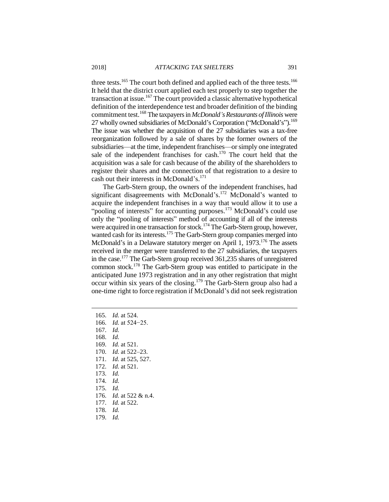three tests.<sup>165</sup> The court both defined and applied each of the three tests.<sup>166</sup> It held that the district court applied each test properly to step together the transaction at issue.<sup>167</sup> The court provided a classic alternative hypothetical definition of the interdependence test and broader definition of the binding commitment test.<sup>168</sup> The taxpayers in *McDonald's Restaurants of Illinois* were 27 wholly owned subsidiaries of McDonald's Corporation ("McDonald's").<sup>169</sup> The issue was whether the acquisition of the 27 subsidiaries was a tax-free reorganization followed by a sale of shares by the former owners of the subsidiaries—at the time, independent franchises—or simply one integrated sale of the independent franchises for cash.<sup>170</sup> The court held that the acquisition was a sale for cash because of the ability of the shareholders to register their shares and the connection of that registration to a desire to cash out their interests in McDonald's.<sup>171</sup>

The Garb-Stern group, the owners of the independent franchises, had significant disagreements with McDonald's.<sup>172</sup> McDonald's wanted to acquire the independent franchises in a way that would allow it to use a "pooling of interests" for accounting purposes.<sup>173</sup> McDonald's could use only the "pooling of interests" method of accounting if all of the interests were acquired in one transaction for stock.<sup>174</sup> The Garb-Stern group, however, wanted cash for its interests.<sup>175</sup> The Garb-Stern group companies merged into McDonald's in a Delaware statutory merger on April 1, 1973.<sup>176</sup> The assets received in the merger were transferred to the 27 subsidiaries, the taxpayers in the case.<sup>177</sup> The Garb-Stern group received 361,235 shares of unregistered common stock.<sup>178</sup> The Garb-Stern group was entitled to participate in the anticipated June 1973 registration and in any other registration that might occur within six years of the closing.<sup>179</sup> The Garb-Stern group also had a one-time right to force registration if McDonald's did not seek registration

- 165. *Id.* at 524.
- 166. *Id.* at 524−25.
- 167. *Id.*
- 168. *Id.*

- 169. *Id.* at 521.
- 170. *Id.* at 522–23.
- 171. *Id.* at 525, 527.
- 172. *Id.* at 521.
- 173. *Id.*
- 174. *Id.*
- 175. *Id.*
- 176. *Id.* at 522 & n.4.
- 177. *Id.* at 522.
- 178. *Id.*
- 179. *Id.*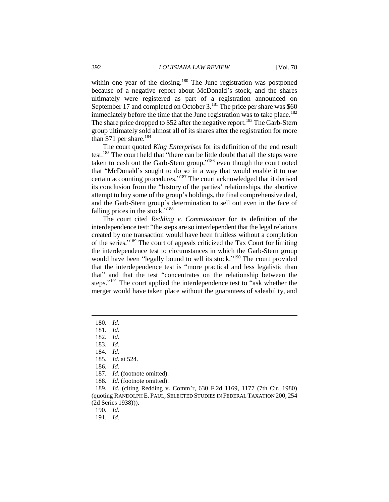within one year of the closing.<sup>180</sup> The June registration was postponed because of a negative report about McDonald's stock, and the shares ultimately were registered as part of a registration announced on September 17 and completed on October 3.<sup>181</sup> The price per share was \$60 immediately before the time that the June registration was to take place.<sup>182</sup> The share price dropped to \$52 after the negative report.<sup>183</sup> The Garb-Stern group ultimately sold almost all of its shares after the registration for more than  $$71$  per share.<sup>184</sup>

The court quoted *King Enterprises* for its definition of the end result test.<sup>185</sup> The court held that "there can be little doubt that all the steps were taken to cash out the Garb-Stern group,"<sup>186</sup> even though the court noted that "McDonald's sought to do so in a way that would enable it to use certain accounting procedures." <sup>187</sup> The court acknowledged that it derived its conclusion from the "history of the parties' relationships, the abortive attempt to buy some of the group's holdings, the final comprehensive deal, and the Garb-Stern group's determination to sell out even in the face of falling prices in the stock."<sup>188</sup>

The court cited *Redding v. Commissioner* for its definition of the interdependence test: "the steps are so interdependent that the legal relations created by one transaction would have been fruitless without a completion of the series." <sup>189</sup> The court of appeals criticized the Tax Court for limiting the interdependence test to circumstances in which the Garb-Stern group would have been "legally bound to sell its stock."<sup>190</sup> The court provided that the interdependence test is "more practical and less legalistic than that" and that the test "concentrates on the relationship between the steps."<sup>191</sup> The court applied the interdependence test to "ask whether the merger would have taken place without the guarantees of saleability, and

<sup>180.</sup> *Id.*

<sup>181.</sup> *Id.*

<sup>182.</sup> *Id.*

<sup>183.</sup> *Id.*

<sup>184.</sup> *Id.*

<sup>185.</sup> *Id.* at 524.

<sup>186.</sup> *Id.*

<sup>187.</sup> *Id.* (footnote omitted).

<sup>188.</sup> *Id.* (footnote omitted).

<sup>189.</sup> *Id.* (citing Redding v. Comm'r, 630 F.2d 1169, 1177 (7th Cir. 1980) (quoting RANDOLPH E. PAUL, SELECTED STUDIES IN FEDERAL TAXATION 200, 254 (2d Series 1938))).

<sup>190.</sup> *Id.*

<sup>191.</sup> *Id.*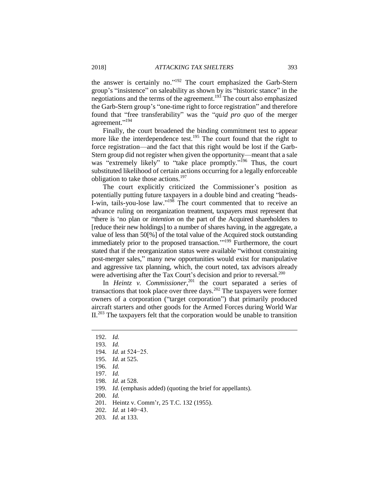the answer is certainly no."<sup>192</sup> The court emphasized the Garb-Stern group's "insistence" on saleability as shown by its "historic stance" in the negotiations and the terms of the agreement.<sup>193</sup> The court also emphasized the Garb-Stern group's "one-time right to force registration" and therefore found that "free transferability" was the "*quid pro quo* of the merger agreement."<sup>194</sup>

Finally, the court broadened the binding commitment test to appear more like the interdependence test.<sup>195</sup> The court found that the right to force registration—and the fact that this right would be lost if the Garb-Stern group did not register when given the opportunity—meant that a sale was "extremely likely" to "take place promptly."<sup>196</sup> Thus, the court substituted likelihood of certain actions occurring for a legally enforceable obligation to take those actions.<sup>197</sup>

The court explicitly criticized the Commissioner's position as potentially putting future taxpayers in a double bind and creating "heads-I-win, tails-you-lose law."<sup>198</sup> The court commented that to receive an advance ruling on reorganization treatment, taxpayers must represent that "there is 'no plan or *intention* on the part of the Acquired shareholders to [reduce their new holdings] to a number of shares having, in the aggregate, a value of less than 50[%] of the total value of the Acquired stock outstanding immediately prior to the proposed transaction."<sup>199</sup> Furthermore, the court stated that if the reorganization status were available "without constraining post-merger sales," many new opportunities would exist for manipulative and aggressive tax planning, which, the court noted, tax advisors already were advertising after the Tax Court's decision and prior to reversal.<sup>200</sup>

In *Heintz v. Commissioner*, <sup>201</sup> the court separated a series of transactions that took place over three days.<sup>202</sup> The taxpayers were former owners of a corporation ("target corporation") that primarily produced aircraft starters and other goods for the Armed Forces during World War  $II^{203}$ . The taxpayers felt that the corporation would be unable to transition

 $\overline{a}$ 

199. *Id.* (emphasis added) (quoting the brief for appellants).

- 201. Heintz v. Comm'r, 25 T.C. 132 (1955).
- 202. *Id.* at 140−43.
- 203. *Id.* at 133.

<sup>192.</sup> *Id.*

<sup>193.</sup> *Id.*

<sup>194.</sup> *Id.* at 524−25.

<sup>195.</sup> *Id.* at 525.

<sup>196.</sup> *Id.*

<sup>197.</sup> *Id.*

<sup>198.</sup> *Id.* at 528.

<sup>200.</sup> *Id.*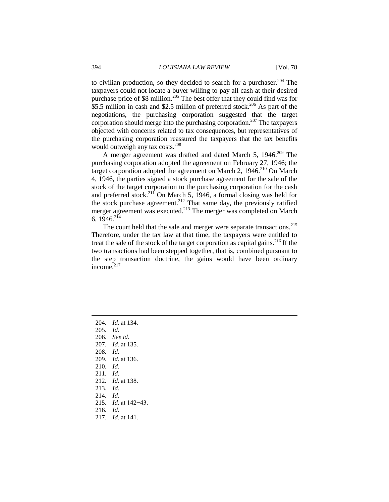to civilian production, so they decided to search for a purchaser. $204$  The taxpayers could not locate a buyer willing to pay all cash at their desired purchase price of  $$8$  million.<sup>205</sup> The best offer that they could find was for  $$5.5$  million in cash and \$2.5 million of preferred stock.<sup>206</sup> As part of the negotiations, the purchasing corporation suggested that the target corporation should merge into the purchasing corporation.<sup>207</sup> The taxpayers objected with concerns related to tax consequences, but representatives of the purchasing corporation reassured the taxpayers that the tax benefits would outweigh any tax costs.<sup>208</sup>

A merger agreement was drafted and dated March 5, 1946.<sup>209</sup> The purchasing corporation adopted the agreement on February 27, 1946; the target corporation adopted the agreement on March 2, 1946.<sup>210</sup> On March 4, 1946, the parties signed a stock purchase agreement for the sale of the stock of the target corporation to the purchasing corporation for the cash and preferred stock.<sup>211</sup> On March 5, 1946, a formal closing was held for the stock purchase agreement.<sup>212</sup> That same day, the previously ratified merger agreement was executed.<sup>213</sup> The merger was completed on March 6,  $1946$ <sup>214</sup>

The court held that the sale and merger were separate transactions.<sup>215</sup> Therefore, under the tax law at that time, the taxpayers were entitled to treat the sale of the stock of the target corporation as capital gains.<sup>216</sup> If the two transactions had been stepped together, that is, combined pursuant to the step transaction doctrine, the gains would have been ordinary income.<sup>217</sup>

- 204. *Id.* at 134. 205. *Id.* 206. *See id.* 207. *Id.* at 135. 208. *Id.*
- 209. *Id.* at 136.
- 210. *Id.*
- 211. *Id.*

- 212. *Id.* at 138.
- 213. *Id.*
- 214. *Id.*
- 215. *Id.* at 142−43.
- 216. *Id.*
- 217. *Id.* at 141.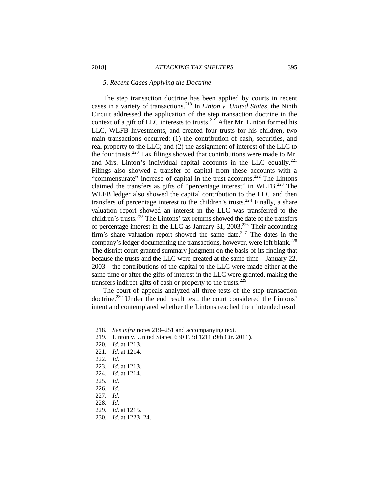#### *5. Recent Cases Applying the Doctrine*

The step transaction doctrine has been applied by courts in recent cases in a variety of transactions.<sup>218</sup> In *Linton v. United States*, the Ninth Circuit addressed the application of the step transaction doctrine in the context of a gift of LLC interests to trusts.<sup>219</sup> After Mr. Linton formed his LLC, WLFB Investments, and created four trusts for his children, two main transactions occurred: (1) the contribution of cash, securities, and real property to the LLC; and (2) the assignment of interest of the LLC to the four trusts.<sup>220</sup> Tax filings showed that contributions were made to Mr. and Mrs. Linton's individual capital accounts in the LLC equally. $^{221}$ Filings also showed a transfer of capital from these accounts with a "commensurate" increase of capital in the trust accounts.<sup>222</sup> The Lintons claimed the transfers as gifts of "percentage interest" in WLFB.<sup>223</sup> The WLFB ledger also showed the capital contribution to the LLC and then transfers of percentage interest to the children's trusts.<sup>224</sup> Finally, a share valuation report showed an interest in the LLC was transferred to the children's trusts.<sup>225</sup> The Lintons' tax returns showed the date of the transfers of percentage interest in the LLC as January 31, 2003.<sup>226</sup> Their accounting firm's share valuation report showed the same date.<sup>227</sup> The dates in the company's ledger documenting the transactions, however, were left blank.<sup>228</sup> The district court granted summary judgment on the basis of its finding that because the trusts and the LLC were created at the same time—January 22, 2003—the contributions of the capital to the LLC were made either at the same time or after the gifts of interest in the LLC were granted, making the transfers indirect gifts of cash or property to the trusts.<sup>229</sup>

The court of appeals analyzed all three tests of the step transaction doctrine.<sup>230</sup> Under the end result test, the court considered the Lintons' intent and contemplated whether the Lintons reached their intended result

 $\overline{a}$ 

230. *Id.* at 1223–24.

<sup>218.</sup> *See infra* notes 219–251 and accompanying text.

<sup>219.</sup> Linton v. United States, 630 F.3d 1211 (9th Cir. 2011).

<sup>220</sup>*. Id.* at 1213.

<sup>221.</sup> *Id.* at 1214.

<sup>222.</sup> *Id.*

<sup>223.</sup> *Id.* at 1213.

<sup>224.</sup> *Id.* at 1214.

<sup>225.</sup> *Id.*

<sup>226.</sup> *Id.*

<sup>227.</sup> *Id.*

<sup>228.</sup> *Id.*

<sup>229.</sup> *Id.* at 1215.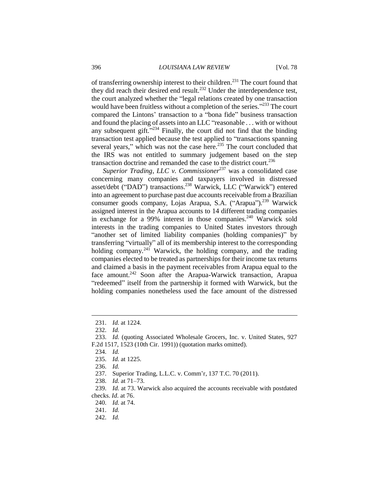of transferring ownership interest to their children.<sup>231</sup> The court found that they did reach their desired end result.<sup>232</sup> Under the interdependence test, the court analyzed whether the "legal relations created by one transaction would have been fruitless without a completion of the series."<sup>233</sup> The court compared the Lintons' transaction to a "bona fide" business transaction and found the placing of assets into an LLC "reasonable . . . with or without any subsequent gift. $1234$  Finally, the court did not find that the binding transaction test applied because the test applied to "transactions spanning several years," which was not the case here.<sup>235</sup> The court concluded that the IRS was not entitled to summary judgement based on the step transaction doctrine and remanded the case to the district court. 236

*Superior Trading, LLC v. Commissioner*<sup>237</sup> was a consolidated case concerning many companies and taxpayers involved in distressed asset/debt ("DAD") transactions.<sup>238</sup> Warwick, LLC ("Warwick") entered into an agreement to purchase past due accounts receivable from a Brazilian consumer goods company, Lojas Arapua, S.A. ("Arapua").<sup>239</sup> Warwick assigned interest in the Arapua accounts to 14 different trading companies in exchange for a 99% interest in those companies.<sup>240</sup> Warwick sold interests in the trading companies to United States investors through "another set of limited liability companies (holding companies)" by transferring "virtually" all of its membership interest to the corresponding holding company.<sup>241</sup> Warwick, the holding company, and the trading companies elected to be treated as partnerships for their income tax returns and claimed a basis in the payment receivables from Arapua equal to the face amount.<sup>242</sup> Soon after the Arapua-Warwick transaction, Arapua "redeemed" itself from the partnership it formed with Warwick, but the holding companies nonetheless used the face amount of the distressed

<sup>231.</sup> *Id.* at 1224.

<sup>232.</sup> *Id.*

<sup>233.</sup> *Id.* (quoting Associated Wholesale Grocers, Inc. v. United States, 927 F.2d 1517, 1523 (10th Cir. 1991)) (quotation marks omitted).

<sup>234.</sup> *Id.*

<sup>235.</sup> *Id.* at 1225.

<sup>236.</sup> *Id.*

<sup>237.</sup> Superior Trading, L.L.C. v. Comm'r, 137 T.C. 70 (2011).

<sup>238.</sup> *Id.* at 71–73.

<sup>239.</sup> *Id.* at 73. Warwick also acquired the accounts receivable with postdated checks. *Id.* at 76.

<sup>240.</sup> *Id.* at 74.

<sup>241.</sup> *Id.*

<sup>242.</sup> *Id.*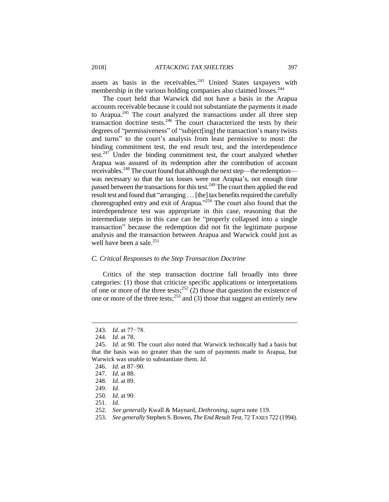assets as basis in the receivables.<sup>243</sup> United States taxpayers with membership in the various holding companies also claimed losses.<sup>244</sup>

The court held that Warwick did not have a basis in the Arapua accounts receivable because it could not substantiate the payments it made to Arapua.<sup>245</sup> The court analyzed the transactions under all three step transaction doctrine tests.<sup>246</sup> The court characterized the tests by their degrees of "permissiveness" of "subject[ing] the transaction's many twists and turns" to the court's analysis from least permissive to most: the binding commitment test, the end result test, and the interdependence test. $247$  Under the binding commitment test, the court analyzed whether Arapua was assured of its redemption after the contribution of account receivables.<sup>248</sup> The court found that although the next step—the redemption was necessary so that the tax losses were not Arapua's, not enough time passed between the transactions for this test.<sup>249</sup> The court then applied the end result test and found that "arranging . . . [the] tax benefits required the carefully choreographed entry and exit of Arapua."<sup>250</sup> The court also found that the interdependence test was appropriate in this case, reasoning that the intermediate steps in this case can be "properly collapsed into a single transaction" because the redemption did not fit the legitimate purpose analysis and the transaction between Arapua and Warwick could just as well have been a sale. $^{251}$ 

#### *C. Critical Responses to the Step Transaction Doctrine*

Critics of the step transaction doctrine fall broadly into three categories: (1) those that criticize specific applications or interpretations of one or more of the three tests;<sup>252</sup> (2) those that question the existence of one or more of the three tests;<sup>253</sup> and (3) those that suggest an entirely new

<sup>243.</sup> *Id.* at 77−78.

<sup>244.</sup> *Id.* at 78.

<sup>245.</sup> *Id.* at 90. The court also noted that Warwick technically had a basis but that the basis was no greater than the sum of payments made to Arapua, but Warwick was unable to substantiate them. *Id.*

<sup>246.</sup> *Id.* at 87–90.

<sup>247.</sup> *Id.* at 88.

<sup>248.</sup> *Id.* at 89.

<sup>249.</sup> *Id.*

<sup>250.</sup> *Id.* at 90.

<sup>251.</sup> *Id.*

<sup>252.</sup> *See generally* Kwall & Maynard, *Dethroning*, *supra* note 119.

<sup>253.</sup> *See generally* Stephen S. Bowen, *The End Result Test*, 72 TAXES 722 (1994).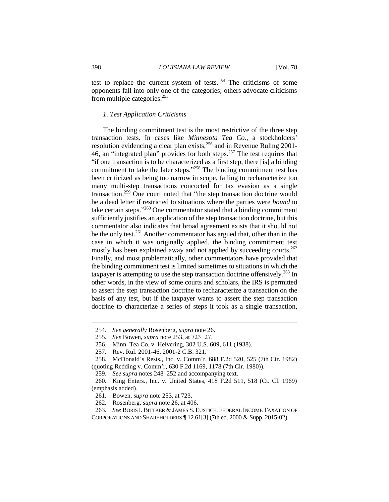test to replace the current system of tests. $254$  The criticisms of some opponents fall into only one of the categories; others advocate criticisms from multiple categories. $255$ 

#### *1. Test Application Criticisms*

The binding commitment test is the most restrictive of the three step transaction tests. In cases like *Minnesota Tea Co.*, a stockholders' resolution evidencing a clear plan exists,<sup>256</sup> and in Revenue Ruling 2001-46, an "integrated plan" provides for both steps.<sup>257</sup> The test requires that "if one transaction is to be characterized as a first step, there [is] a binding commitment to take the later steps."<sup>258</sup> The binding commitment test has been criticized as being too narrow in scope, failing to recharacterize too many multi-step transactions concocted for tax evasion as a single transaction. <sup>259</sup> One court noted that "the step transaction doctrine would be a dead letter if restricted to situations where the parties were *bound* to take certain steps." <sup>260</sup> One commentator stated that a binding commitment sufficiently justifies an application of the step transaction doctrine, but this commentator also indicates that broad agreement exists that it should not be the only test.<sup>261</sup> Another commentator has argued that, other than in the case in which it was originally applied, the binding commitment test mostly has been explained away and not applied by succeeding courts.<sup>262</sup> Finally, and most problematically, other commentators have provided that the binding commitment test is limited sometimes to situations in which the taxpayer is attempting to use the step transaction doctrine offensively.<sup>263</sup> In other words, in the view of some courts and scholars, the IRS is permitted to assert the step transaction doctrine to recharacterize a transaction on the basis of any test, but if the taxpayer wants to assert the step transaction doctrine to characterize a series of steps it took as a single transaction,

<sup>254.</sup> *See generally* Rosenberg, *supra* note 26.

<sup>255.</sup> *See* Bowen, *supra* note 253, at 723−27.

<sup>256.</sup> Minn. Tea Co. v. Helvering, 302 U.S. 609, 611 (1938).

<sup>257.</sup> Rev. Rul. 2001-46, 2001-2 C.B. 321.

<sup>258.</sup> McDonald's Rests., Inc. v. Comm'r, 688 F.2d 520, 525 (7th Cir. 1982) (quoting Redding v. Comm'r, 630 F.2d 1169, 1178 (7th Cir. 1980)).

<sup>259.</sup> *See supra* notes 248–252 and accompanying text.

<sup>260.</sup> King Enters., Inc. v. United States, 418 F.2d 511, 518 (Ct. Cl. 1969) (emphasis added).

<sup>261.</sup> Bowen, *supra* note 253, at 723.

<sup>262.</sup> Rosenberg, *supra* note 26, at 406.

<sup>263.</sup> *See* BORIS I. BITTKER & JAMES S. EUSTICE, FEDERAL INCOME TAXATION OF CORPORATIONS AND SHAREHOLDERS ¶ 12.61[3] (7th ed. 2000 & Supp. 2015-02).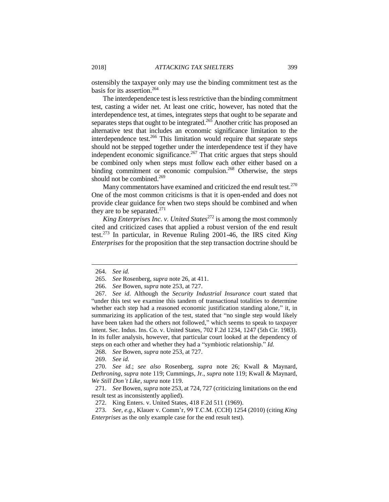ostensibly the taxpayer only may use the binding commitment test as the basis for its assertion.<sup>264</sup>

The interdependence test is less restrictive than the binding commitment test, casting a wider net. At least one critic, however, has noted that the interdependence test, at times, integrates steps that ought to be separate and separates steps that ought to be integrated.<sup>265</sup> Another critic has proposed an alternative test that includes an economic significance limitation to the interdependence test.<sup>266</sup> This limitation would require that separate steps should not be stepped together under the interdependence test if they have independent economic significance. $267$  That critic argues that steps should be combined only when steps must follow each other either based on a binding commitment or economic compulsion.<sup>268</sup> Otherwise, the steps should not be combined. $269$ 

Many commentators have examined and criticized the end result test.<sup>270</sup> One of the most common criticisms is that it is open-ended and does not provide clear guidance for when two steps should be combined and when they are to be separated. $271$ 

*King Enterprises Inc. v. United States*<sup>272</sup> is among the most commonly cited and criticized cases that applied a robust version of the end result test.<sup>273</sup> In particular, in Revenue Ruling 2001-46, the IRS cited *King Enterprises* for the proposition that the step transaction doctrine should be

<sup>264.</sup> *See id.*

<sup>265.</sup> *See* Rosenberg, *supra* note 26, at 411.

<sup>266.</sup> *See* Bowen, *supra* note 253, at 727.

<sup>267.</sup> *See id.* Although the *Security Industrial Insurance* court stated that "under this test we examine this tandem of transactional totalities to determine whether each step had a reasoned economic justification standing alone," it, in summarizing its application of the test, stated that "no single step would likely have been taken had the others not followed," which seems to speak to taxpayer intent. Sec. Indus. Ins. Co. v. United States, 702 F.2d 1234, 1247 (5th Cir. 1983). In its fuller analysis, however, that particular court looked at the dependency of steps on each other and whether they had a "symbiotic relationship." *Id.*

<sup>268.</sup> *See* Bowen, *supra* note 253, at 727.

<sup>269.</sup> *See id.*

<sup>270.</sup> *See id.*; *see also* Rosenberg, *supra* note 26; Kwall & Maynard, *Dethroning*, *supra* note 119; Cummings, Jr., *supra* note 119; Kwall & Maynard, *We Still Don't Like*, *supra* note 119.

<sup>271.</sup> *See* Bowen, *supra* note 253, at 724, 727 (criticizing limitations on the end result test as inconsistently applied).

<sup>272.</sup> King Enters. v. United States, 418 F.2d 511 (1969).

<sup>273.</sup> *See, e.g.*, Klauer v. Comm'r, 99 T.C.M. (CCH) 1254 (2010) (citing *King Enterprises* as the only example case for the end result test).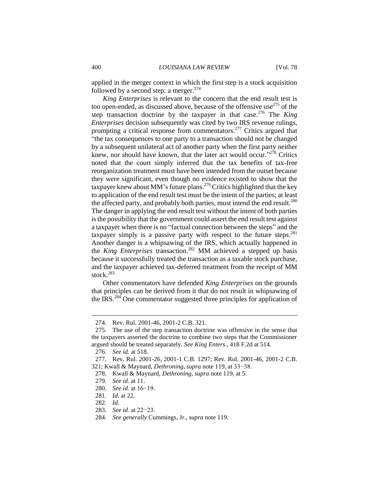applied in the merger context in which the first step is a stock acquisition followed by a second step: a merger.<sup>274</sup>

*King Enterprises* is relevant to the concern that the end result test is too open-ended, as discussed above, because of the offensive use<sup>275</sup> of the step transaction doctrine by the taxpayer in that case.<sup>276</sup> The *King Enterprises* decision subsequently was cited by two IRS revenue rulings, prompting a critical response from commentators.<sup>277</sup> Critics argued that "the tax consequences to one party to a transaction should not be changed by a subsequent unilateral act of another party when the first party neither knew, nor should have known, that the later act would occur."<sup>278</sup> Critics noted that the court simply inferred that the tax benefits of tax-free reorganization treatment must have been intended from the outset because they were significant, even though no evidence existed to show that the taxpayer knew about MM's future plans.<sup>279</sup> Critics highlighted that the key to application of the end result test must be the intent of the parties; at least the affected party, and probably both parties, must intend the end result.<sup>280</sup> The danger in applying the end result test without the intent of both parties is the possibility that the government could assert the end result test against a taxpayer when there is no "factual connection between the steps" and the taxpayer simply is a passive party with respect to the future steps. $281$ Another danger is a whipsawing of the IRS, which actually happened in the *King Enterprises* transaction.<sup>282</sup> MM achieved a stepped up basis because it successfully treated the transaction as a taxable stock purchase, and the taxpayer achieved tax-deferred treatment from the receipt of MM stock.<sup>283</sup>

Other commentators have defended *King Enterprises* on the grounds that principles can be derived from it that do not result in whipsawing of the IRS.<sup>284</sup> One commentator suggested three principles for application of

<sup>274.</sup> Rev. Rul. 2001-46, 2001-2 C.B. 321.

<sup>275.</sup> The use of the step transaction doctrine was offensive in the sense that the taxpayers asserted the doctrine to combine two steps that the Commissioner argued should be treated separately. *See King Enters.*, 418 F.2d at 514.

<sup>276.</sup> *See id.* at 518.

<sup>277.</sup> Rev. Rul. 2001-26, 2001-1 C.B. 1297; Rev. Rul. 2001-46, 2001-2 C.B. 321; Kwall & Maynard, *Dethroning*, *supra* note 119, at 33−38.

<sup>278.</sup> Kwall & Maynard, *Dethroning*, *supra* note 119, at 5.

<sup>279.</sup> *See id.* at 11.

<sup>280.</sup> *See id.* at 16−19.

<sup>281.</sup> *Id.* at 22.

<sup>282.</sup> *Id.*

<sup>283.</sup> *See id.* at 22−23.

<sup>284.</sup> *See generally* Cummings, Jr., *supra* note 119.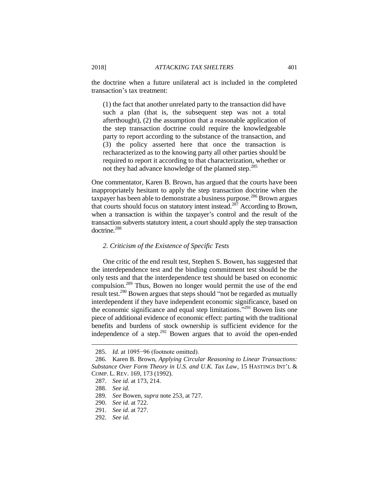the doctrine when a future unilateral act is included in the completed transaction's tax treatment:

(1) the fact that another unrelated party to the transaction did have such a plan (that is, the subsequent step was not a total afterthought), (2) the assumption that a reasonable application of the step transaction doctrine could require the knowledgeable party to report according to the substance of the transaction, and (3) the policy asserted here that once the transaction is recharacterized as to the knowing party all other parties should be required to report it according to that characterization, whether or not they had advance knowledge of the planned step.<sup>285</sup>

One commentator, Karen B. Brown, has argued that the courts have been inappropriately hesitant to apply the step transaction doctrine when the taxpayer has been able to demonstrate a business purpose.<sup>286</sup> Brown argues that courts should focus on statutory intent instead.<sup>287</sup> According to Brown, when a transaction is within the taxpayer's control and the result of the transaction subverts statutory intent, a court should apply the step transaction doctrine.<sup>288</sup>

#### *2. Criticism of the Existence of Specific Tests*

One critic of the end result test, Stephen S. Bowen, has suggested that the interdependence test and the binding commitment test should be the only tests and that the interdependence test should be based on economic compulsion.<sup>289</sup> Thus, Bowen no longer would permit the use of the end result test.<sup>290</sup> Bowen argues that steps should "not be regarded as mutually interdependent if they have independent economic significance, based on the economic significance and equal step limitations."<sup>291</sup> Bowen lists one piece of additional evidence of economic effect: parting with the traditional benefits and burdens of stock ownership is sufficient evidence for the independence of a step.<sup>292</sup> Bowen argues that to avoid the open-ended

<sup>285.</sup> *Id.* at 1095−96 (footnote omitted).

<sup>286.</sup> Karen B. Brown, *Applying Circular Reasoning to Linear Transactions: Substance Over Form Theory in U.S. and U.K. Tax Law*, 15 HASTINGS INT'L & COMP. L. REV. 169, 173 (1992).

<sup>287.</sup> *See id.* at 173, 214.

<sup>288.</sup> *See id.*

<sup>289.</sup> *See* Bowen, *supra* note 253, at 727.

<sup>290.</sup> *See id.* at 722.

<sup>291.</sup> *See id.* at 727.

<sup>292.</sup> *See id.*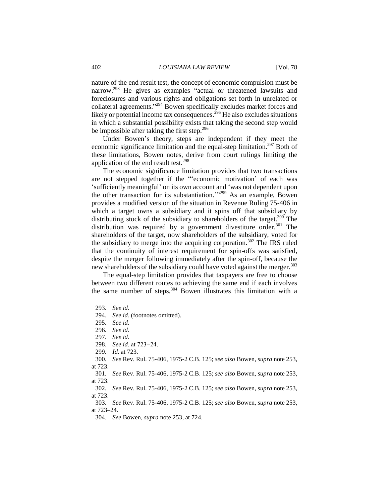nature of the end result test, the concept of economic compulsion must be narrow.<sup>293</sup> He gives as examples "actual or threatened lawsuits and foreclosures and various rights and obligations set forth in unrelated or collateral agreements." <sup>294</sup> Bowen specifically excludes market forces and likely or potential income tax consequences.<sup>295</sup> He also excludes situations in which a substantial possibility exists that taking the second step would be impossible after taking the first step. $296$ 

Under Bowen's theory, steps are independent if they meet the economic significance limitation and the equal-step limitation.<sup>297</sup> Both of these limitations, Bowen notes, derive from court rulings limiting the application of the end result test.<sup>298</sup>

The economic significance limitation provides that two transactions are not stepped together if the "'economic motivation' of each was 'sufficiently meaningful' on its own account and 'was not dependent upon the other transaction for its substantiation.<sup>'"299</sup> As an example, Bowen provides a modified version of the situation in Revenue Ruling 75-406 in which a target owns a subsidiary and it spins off that subsidiary by distributing stock of the subsidiary to shareholders of the target.<sup>300</sup> The distribution was required by a government divestiture order.<sup>301</sup> The shareholders of the target, now shareholders of the subsidiary, voted for the subsidiary to merge into the acquiring corporation.<sup>302</sup> The IRS ruled that the continuity of interest requirement for spin-offs was satisfied, despite the merger following immediately after the spin-off, because the new shareholders of the subsidiary could have voted against the merger.<sup>303</sup>

The equal-step limitation provides that taxpayers are free to choose between two different routes to achieving the same end if each involves the same number of steps.<sup>304</sup> Bowen illustrates this limitation with a

 $\overline{a}$ 

298. *See id.* at 723−24.

<sup>293.</sup> *See id.*

<sup>294.</sup> *See id.* (footnotes omitted).

<sup>295.</sup> *See id.*

<sup>296.</sup> *See id.*

<sup>297.</sup> *See id.*

<sup>299.</sup> *Id.* at 723.

<sup>300.</sup> *See* Rev. Rul. 75-406, 1975-2 C.B. 125; *see also* Bowen, *supra* note 253, at 723.

<sup>301.</sup> *See* Rev. Rul. 75-406, 1975-2 C.B. 125; *see also* Bowen, *supra* note 253, at 723.

<sup>302.</sup> *See* Rev. Rul. 75-406, 1975-2 C.B. 125; *see also* Bowen, *supra* note 253, at 723.

<sup>303.</sup> *See* Rev. Rul. 75-406, 1975-2 C.B. 125; *see also* Bowen, *supra* note 253, at 723–24.

<sup>304.</sup> *See* Bowen, *supra* note 253, at 724.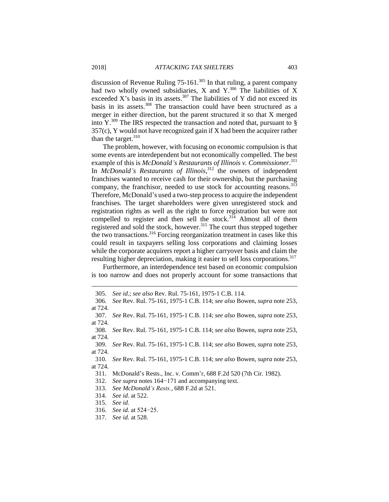discussion of Revenue Ruling 75-161.<sup>305</sup> In that ruling, a parent company had two wholly owned subsidiaries, X and  $Y^{306}$ . The liabilities of X exceeded X's basis in its assets.<sup>307</sup> The liabilities of Y did not exceed its basis in its assets.<sup>308</sup> The transaction could have been structured as a merger in either direction, but the parent structured it so that X merged into Y.<sup>309</sup> The IRS respected the transaction and noted that, pursuant to  $\S$ 357(c), Y would not have recognized gain if X had been the acquirer rather than the target. $310$ 

The problem, however, with focusing on economic compulsion is that some events are interdependent but not economically compelled. The best example of this is *McDonald's Restaurants of Illinois v. Commissioner*. 311 In *McDonald's Restaurants of Illinois*, <sup>312</sup> the owners of independent franchises wanted to receive cash for their ownership, but the purchasing company, the franchisor, needed to use stock for accounting reasons.<sup>313</sup> Therefore, McDonald's used a two-step process to acquire the independent franchises. The target shareholders were given unregistered stock and registration rights as well as the right to force registration but were not compelled to register and then sell the stock.<sup>314</sup> Almost all of them registered and sold the stock, however.<sup>315</sup> The court thus stepped together the two transactions.<sup>316</sup> Forcing reorganization treatment in cases like this could result in taxpayers selling loss corporations and claiming losses while the corporate acquirers report a higher carryover basis and claim the resulting higher depreciation, making it easier to sell loss corporations.<sup>317</sup>

Furthermore, an interdependence test based on economic compulsion is too narrow and does not properly account for some transactions that

<sup>305.</sup> *See id*.; *see also* Rev. Rul. 75-161, 1975-1 C.B. 114.

<sup>306.</sup> *See* Rev. Rul. 75-161, 1975-1 C.B. 114; *see also* Bowen, *supra* note 253, at 724.

<sup>307.</sup> *See* Rev. Rul. 75-161, 1975-1 C.B. 114; *see also* Bowen, *supra* note 253, at 724.

<sup>308.</sup> *See* Rev. Rul. 75-161, 1975-1 C.B. 114; *see also* Bowen, *supra* note 253, at 724.

<sup>309.</sup> *See* Rev. Rul. 75-161, 1975-1 C.B. 114; *see also* Bowen, *supra* note 253, at 724.

<sup>310.</sup> *See* Rev. Rul. 75-161, 1975-1 C.B. 114; *see also* Bowen, *supra* note 253, at 724.

<sup>311.</sup> McDonald's Rests., Inc. v. Comm'r, 688 F.2d 520 (7th Cir. 1982).

<sup>312.</sup> *See supra* notes 164−171 and accompanying text.

<sup>313.</sup> *See McDonald's Rests.*, 688 F.2d at 521.

<sup>314.</sup> *See id.* at 522.

<sup>315.</sup> *See id.*

<sup>316.</sup> *See id.* at 524−25.

<sup>317.</sup> *See id.* at 528.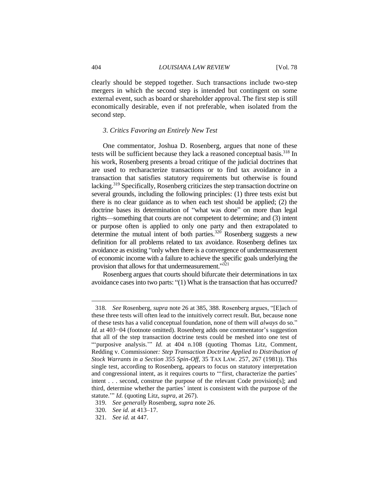clearly should be stepped together. Such transactions include two-step mergers in which the second step is intended but contingent on some external event, such as board or shareholder approval. The first step is still economically desirable, even if not preferable, when isolated from the second step.

#### *3. Critics Favoring an Entirely New Test*

One commentator, Joshua D. Rosenberg, argues that none of these tests will be sufficient because they lack a reasoned conceptual basis.<sup>318</sup> In his work, Rosenberg presents a broad critique of the judicial doctrines that are used to recharacterize transactions or to find tax avoidance in a transaction that satisfies statutory requirements but otherwise is found lacking.<sup>319</sup> Specifically, Rosenberg criticizes the step transaction doctrine on several grounds, including the following principles: (1) three tests exist but there is no clear guidance as to when each test should be applied; (2) the doctrine bases its determination of "what was done" on more than legal rights—something that courts are not competent to determine; and (3) intent or purpose often is applied to only one party and then extrapolated to determine the mutual intent of both parties.<sup>320</sup> Rosenberg suggests a new definition for all problems related to tax avoidance. Rosenberg defines tax avoidance as existing "only when there is a convergence of undermeasurement of economic income with a failure to achieve the specific goals underlying the provision that allows for that undermeasurement."<sup>321</sup>

Rosenberg argues that courts should bifurcate their determinations in tax avoidance cases into two parts: "(1) What is the transaction that has occurred?

<sup>318.</sup> *See* Rosenberg, *supra* note 26 at 385, 388. Rosenberg argues, "[E]ach of these three tests will often lead to the intuitively correct result. But, because none of these tests has a valid conceptual foundation, none of them will *always* do so." *Id.* at 403−04 (footnote omitted). Rosenberg adds one commentator's suggestion that all of the step transaction doctrine tests could be meshed into one test of "'purposive analysis."" *Id.* at 404 n.108 (quoting Thomas Litz, Comment, Redding v. Commissioner*: Step Transaction Doctrine Applied to Distribution of Stock Warrants in a Section 355 Spin-Off*, 35 TAX LAW. 257, 267 (1981)). This single test, according to Rosenberg, appears to focus on statutory interpretation and congressional intent, as it requires courts to "'first, characterize the parties' intent . . . second, construe the purpose of the relevant Code provision[s]; and third, determine whether the parties' intent is consistent with the purpose of the statute.'" *Id.* (quoting Litz, *supra*, at 267).

<sup>319.</sup> *See generally* Rosenberg, *supra* note 26.

<sup>320.</sup> *See id.* at 413–17.

<sup>321.</sup> *See id.* at 447.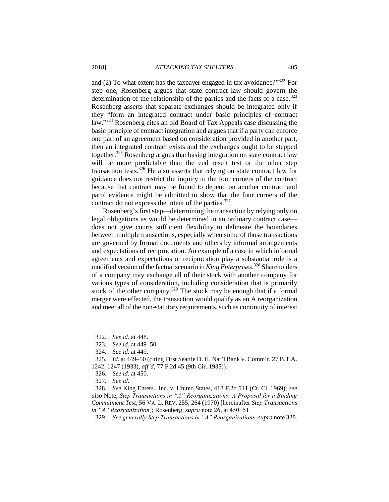and (2) To what extent has the taxpayer engaged in tax avoidance?"<sup>322</sup> For step one, Rosenberg argues that state contract law should govern the determination of the relationship of the parties and the facts of a case.<sup>323</sup> Rosenberg asserts that separate exchanges should be integrated only if they "form an integrated contract under basic principles of contract law." <sup>324</sup> Rosenberg cites an old Board of Tax Appeals case discussing the basic principle of contract integration and argues that if a party can enforce one part of an agreement based on consideration provided in another part, then an integrated contract exists and the exchanges ought to be stepped together.<sup>325</sup> Rosenberg argues that basing integration on state contract law will be more predictable than the end result test or the other step transaction tests. $326$  He also asserts that relying on state contract law for guidance does not restrict the inquiry to the four corners of the contract because that contract may be found to depend on another contract and parol evidence might be admitted to show that the four corners of the contract do not express the intent of the parties.<sup>327</sup>

Rosenberg's first step—determining the transaction by relying only on legal obligations as would be determined in an ordinary contract case does not give courts sufficient flexibility to delineate the boundaries between multiple transactions, especially when some of those transactions are governed by formal documents and others by informal arrangements and expectations of reciprocation. An example of a case in which informal agreements and expectations or reciprocation play a substantial role is a modified version of the factual scenario in *King Enterprises*. <sup>328</sup> Shareholders of a company may exchange all of their stock with another company for various types of consideration, including consideration that is primarily stock of the other company.<sup>329</sup> The stock may be enough that if a formal merger were effected, the transaction would qualify as an A reorganization and meet all of the non-statutory requirements, such as continuity of interest

<sup>322.</sup> *See id.* at 448.

<sup>323.</sup> *See id.* at 449–50.

<sup>324.</sup> *See id.* at 449.

<sup>325.</sup> *Id.* at 449–50 (citing First Seattle D. H. Nat'l Bank v. Comm'r, 27 B.T.A. 1242, 1247 (1933), *aff'd*, 77 F.2d 45 (9th Cir. 1935)).

<sup>326.</sup> *See id.* at 450.

<sup>327.</sup> *See id.*

<sup>328.</sup> *See* King Enters., Inc. v. United States, 418 F.2d 511 (Ct. Cl. 1969); *see also* Note, *Step Transactions in "A" Reorganizations: A Proposal for a Binding Commitment Test*, 56 VA. L. REV. 255, 264 (1970) [hereinafter *Step Transactions in "A" Reorganization*]; Rosenberg, *supra* note 26, at 450−51.

<sup>329.</sup> *See generally Step Transactions in "A" Reorganizations*, *supra* note 328.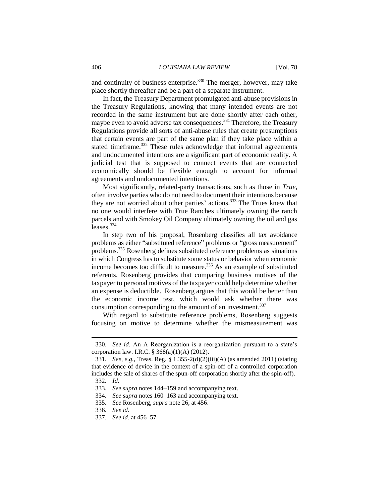and continuity of business enterprise. $330$  The merger, however, may take place shortly thereafter and be a part of a separate instrument.

In fact, the Treasury Department promulgated anti-abuse provisions in the Treasury Regulations, knowing that many intended events are not recorded in the same instrument but are done shortly after each other, maybe even to avoid adverse tax consequences.<sup>331</sup> Therefore, the Treasury Regulations provide all sorts of anti-abuse rules that create presumptions that certain events are part of the same plan if they take place within a stated timeframe.<sup>332</sup> These rules acknowledge that informal agreements and undocumented intentions are a significant part of economic reality. A judicial test that is supposed to connect events that are connected economically should be flexible enough to account for informal agreements and undocumented intentions.

Most significantly, related-party transactions, such as those in *True*, often involve parties who do not need to document their intentions because they are not worried about other parties' actions.<sup>333</sup> The Trues knew that no one would interfere with True Ranches ultimately owning the ranch parcels and with Smokey Oil Company ultimately owning the oil and gas leases.<sup>334</sup>

In step two of his proposal, Rosenberg classifies all tax avoidance problems as either "substituted reference" problems or "gross measurement" problems.<sup>335</sup> Rosenberg defines substituted reference problems as situations in which Congress has to substitute some status or behavior when economic income becomes too difficult to measure.<sup>336</sup> As an example of substituted referents, Rosenberg provides that comparing business motives of the taxpayer to personal motives of the taxpayer could help determine whether an expense is deductible. Rosenberg argues that this would be better than the economic income test, which would ask whether there was consumption corresponding to the amount of an investment.<sup>337</sup>

With regard to substitute reference problems, Rosenberg suggests focusing on motive to determine whether the mismeasurement was

<sup>330.</sup> *See id*. An A Reorganization is a reorganization pursuant to a state's corporation law. I.R.C. § 368(a)(1)(A) (2012).

<sup>331.</sup> *See, e.g.*, Treas. Reg. § 1.355-2(d)(2)(iii)(A) (as amended 2011) (stating that evidence of device in the context of a spin-off of a controlled corporation includes the sale of shares of the spun-off corporation shortly after the spin-off).

<sup>332.</sup> *Id.*

<sup>333.</sup> *See supra* notes 144–159 and accompanying text.

<sup>334.</sup> *See supra* notes 160–163 and accompanying text.

<sup>335.</sup> *See* Rosenberg, *supra* note 26, at 456.

<sup>336.</sup> *See id.*

<sup>337.</sup> *See id.* at 456–57.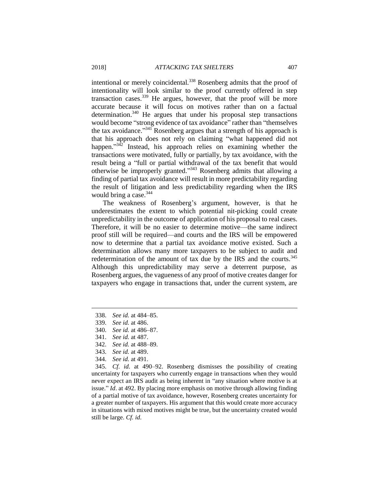intentional or merely coincidental.<sup>338</sup> Rosenberg admits that the proof of intentionality will look similar to the proof currently offered in step transaction cases.<sup>339</sup> He argues, however, that the proof will be more accurate because it will focus on motives rather than on a factual determination.<sup>340</sup> He argues that under his proposal step transactions would become "strong evidence of tax avoidance" rather than "themselves the tax avoidance."<sup>341</sup> Rosenberg argues that a strength of his approach is that his approach does not rely on claiming "what happened did not happen." $3\overline{42}$  Instead, his approach relies on examining whether the transactions were motivated, fully or partially, by tax avoidance, with the result being a "full or partial withdrawal of the tax benefit that would otherwise be improperly granted." <sup>343</sup> Rosenberg admits that allowing a finding of partial tax avoidance will result in more predictability regarding the result of litigation and less predictability regarding when the IRS would bring a case.<sup>344</sup>

The weakness of Rosenberg's argument, however, is that he underestimates the extent to which potential nit-picking could create unpredictability in the outcome of application of his proposal to real cases. Therefore, it will be no easier to determine motive—the same indirect proof still will be required—and courts and the IRS will be empowered now to determine that a partial tax avoidance motive existed. Such a determination allows many more taxpayers to be subject to audit and redetermination of the amount of tax due by the IRS and the courts.<sup>345</sup> Although this unpredictability may serve a deterrent purpose, as Rosenberg argues, the vagueness of any proof of motive creates danger for taxpayers who engage in transactions that, under the current system, are

 $\overline{a}$ 

342. *See id.* at 488–89.

345. *Cf. id.* at 490–92. Rosenberg dismisses the possibility of creating uncertainty for taxpayers who currently engage in transactions when they would never expect an IRS audit as being inherent in "any situation where motive is at issue." *Id*. at 492. By placing more emphasis on motive through allowing finding of a partial motive of tax avoidance, however, Rosenberg creates uncertainty for a greater number of taxpayers. His argument that this would create more accuracy in situations with mixed motives might be true, but the uncertainty created would still be large. *Cf. id.*

<sup>338.</sup> *See id.* at 484–85.

<sup>339.</sup> *See id.* at 486.

<sup>340.</sup> *See id.* at 486–87.

<sup>341.</sup> *See id.* at 487.

<sup>343.</sup> *See id.* at 489.

<sup>344.</sup> *See id.* at 491.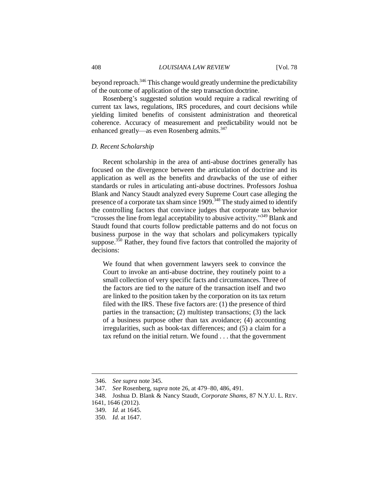beyond reproach.<sup>346</sup> This change would greatly undermine the predictability of the outcome of application of the step transaction doctrine.

Rosenberg's suggested solution would require a radical rewriting of current tax laws, regulations, IRS procedures, and court decisions while yielding limited benefits of consistent administration and theoretical coherence. Accuracy of measurement and predictability would not be enhanced greatly—as even Rosenberg admits.<sup>347</sup>

#### *D. Recent Scholarship*

Recent scholarship in the area of anti-abuse doctrines generally has focused on the divergence between the articulation of doctrine and its application as well as the benefits and drawbacks of the use of either standards or rules in articulating anti-abuse doctrines. Professors Joshua Blank and Nancy Staudt analyzed every Supreme Court case alleging the presence of a corporate tax sham since  $1909$ .<sup>348</sup> The study aimed to identify the controlling factors that convince judges that corporate tax behavior "crosses the line from legal acceptability to abusive activity."<sup>349</sup> Blank and Staudt found that courts follow predictable patterns and do not focus on business purpose in the way that scholars and policymakers typically suppose. $350$  Rather, they found five factors that controlled the majority of decisions:

We found that when government lawyers seek to convince the Court to invoke an anti-abuse doctrine, they routinely point to a small collection of very specific facts and circumstances. Three of the factors are tied to the nature of the transaction itself and two are linked to the position taken by the corporation on its tax return filed with the IRS. These five factors are: (1) the presence of third parties in the transaction; (2) multistep transactions; (3) the lack of a business purpose other than tax avoidance; (4) accounting irregularities, such as book-tax differences; and (5) a claim for a tax refund on the initial return. We found . . . that the government

<sup>346.</sup> *See supra* note 345.

<sup>347.</sup> *See* Rosenberg, *supra* note 26, at 479–80, 486, 491.

<sup>348.</sup> Joshua D. Blank & Nancy Staudt, *Corporate Shams*, 87 N.Y.U. L. REV. 1641, 1646 (2012).

<sup>349.</sup> *Id.* at 1645.

<sup>350.</sup> *Id.* at 1647.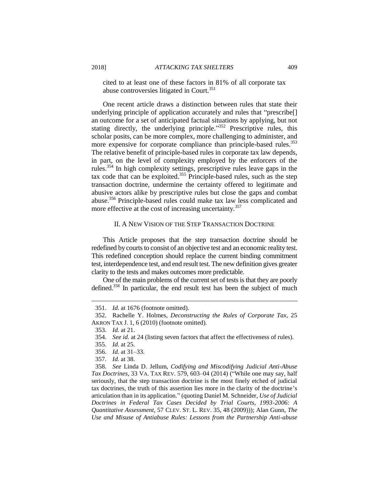cited to at least one of these factors in 81% of all corporate tax abuse controversies litigated in Court.<sup>351</sup>

One recent article draws a distinction between rules that state their underlying principle of application accurately and rules that "prescribe[] an outcome for a set of anticipated factual situations by applying, but not stating directly, the underlying principle."<sup>352</sup> Prescriptive rules, this scholar posits, can be more complex, more challenging to administer, and more expensive for corporate compliance than principle-based rules.<sup>353</sup> The relative benefit of principle-based rules in corporate tax law depends, in part, on the level of complexity employed by the enforcers of the rules.<sup>354</sup> In high complexity settings, prescriptive rules leave gaps in the tax code that can be exploited.<sup>355</sup> Principle-based rules, such as the step transaction doctrine, undermine the certainty offered to legitimate and abusive actors alike by prescriptive rules but close the gaps and combat abuse.<sup>356</sup> Principle-based rules could make tax law less complicated and more effective at the cost of increasing uncertainty.<sup>357</sup>

#### II. A NEW VISION OF THE STEP TRANSACTION DOCTRINE

This Article proposes that the step transaction doctrine should be redefined by courts to consist of an objective test and an economic reality test. This redefined conception should replace the current binding commitment test, interdependence test, and end result test. The new definition gives greater clarity to the tests and makes outcomes more predictable.

One of the main problems of the current set of tests is that they are poorly defined.<sup>358</sup> In particular, the end result test has been the subject of much

<sup>351.</sup> *Id.* at 1676 (footnote omitted).

<sup>352.</sup> Rachelle Y. Holmes, *Deconstructing the Rules of Corporate Tax*, 25 AKRON TAX J. 1, 6 (2010) (footnote omitted).

<sup>353.</sup> *Id.* at 21.

<sup>354.</sup> *See id.* at 24 (listing seven factors that affect the effectiveness of rules).

<sup>355.</sup> *Id.* at 25.

<sup>356.</sup> *Id.* at 31–33.

<sup>357.</sup> *Id.* at 38.

<sup>358.</sup> *See* Linda D. Jellum, *Codifying and Miscodifying Judicial Anti-Abuse Tax Doctrines*, 33 VA. TAX REV. 579, 603–04 (2014) ("While one may say, half seriously, that the step transaction doctrine is the most finely etched of judicial tax doctrines, the truth of this assertion lies more in the clarity of the doctrine's articulation than in its application." (quoting Daniel M. Schneider, *Use of Judicial Doctrines in Federal Tax Cases Decided by Trial Courts, 1993-2006: A Quantitative Assessment*, 57 CLEV. ST. L. REV. 35, 48 (2009))); Alan Gunn, *The Use and Misuse of Antiabuse Rules: Lessons from the Partnership Anti-abuse*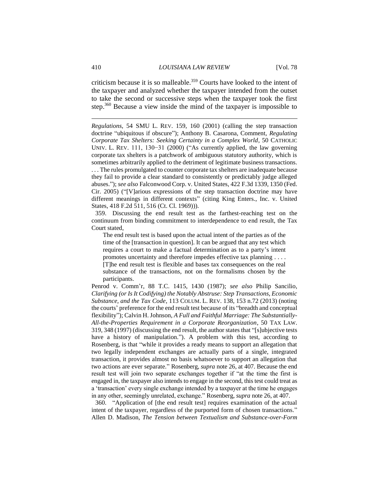criticism because it is so malleable.<sup>359</sup> Courts have looked to the intent of the taxpayer and analyzed whether the taxpayer intended from the outset to take the second or successive steps when the taxpayer took the first step.<sup>360</sup> Because a view inside the mind of the taxpayer is impossible to

*Regulations*, 54 SMU L. REV. 159, 160 (2001) (calling the step transaction doctrine "ubiquitous if obscure"); Anthony B. Casarona, Comment, *Regulating Corporate Tax Shelters: Seeking Certainty in a Complex World*, 50 CATHOLIC UNIV. L. REV. 111, 130−31 (2000) ("As currently applied, the law governing corporate tax shelters is a patchwork of ambiguous statutory authority, which is sometimes arbitrarily applied to the detriment of legitimate business transactions. . . . The rules promulgated to counter corporate tax shelters are inadequate because they fail to provide a clear standard to consistently or predictably judge alleged abuses."); *see also* Falconwood Corp. v. United States, 422 F.3d 1339, 1350 (Fed. Cir. 2005) ("[V]arious expressions of the step transaction doctrine may have different meanings in different contexts" (citing King Enters., Inc. v. United States, 418 F.2d 511, 516 (Ct. Cl. 1969))).

359. Discussing the end result test as the farthest-reaching test on the continuum from binding commitment to interdependence to end result, the Tax Court stated,

The end result test is based upon the actual intent of the parties as of the time of the [transaction in question]. It can be argued that any test which requires a court to make a factual determination as to a party's intent promotes uncertainty and therefore impedes effective tax planning . . . . [T]he end result test is flexible and bases tax consequences on the real substance of the transactions, not on the formalisms chosen by the participants.

Penrod v. Comm'r, 88 T.C. 1415, 1430 (1987); *see also* Philip Sancilio, *Clarifying (or Is It Codifying) the Notably Abstruse: Step Transactions, Economic Substance, and the Tax Code*, 113 COLUM. L. REV. 138, 153 n.72 (2013) (noting the courts' preference for the end result test because of its "breadth and conceptual flexibility"); Calvin H. Johnson, *A Full and Faithful Marriage: The Substantially-All-the-Properties Requirement in a Corporate Reorganization*, 50 TAX LAW. 319, 348 (1997) (discussing the end result, the author states that "[s]ubjective tests have a history of manipulation."). A problem with this test, according to Rosenberg, is that "while it provides a ready means to support an allegation that two legally independent exchanges are actually parts of a single, integrated transaction, it provides almost no basis whatsoever to support an allegation that two actions are ever separate." Rosenberg, *supra* note 26, at 407. Because the end result test will join two separate exchanges together if "at the time the first is engaged in, the taxpayer also intends to engage in the second, this test could treat as a 'transaction' every single exchange intended by a taxpayer at the time he engages in any other, seemingly unrelated, exchange." Rosenberg, *supra* note 26, at 407.

360. "Application of [the end result test] requires examination of the actual intent of the taxpayer, regardless of the purported form of chosen transactions." Allen D. Madison, *The Tension between Textualism and Substance-over-Form*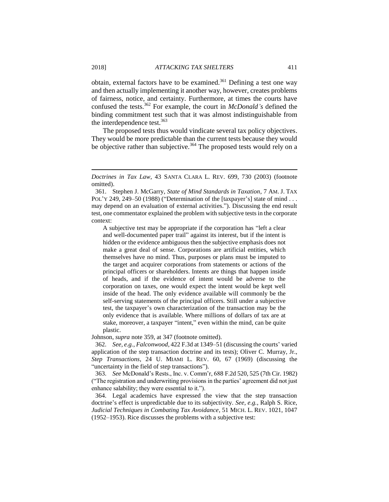obtain, external factors have to be examined.<sup>361</sup> Defining a test one way and then actually implementing it another way, however, creates problems of fairness, notice, and certainty. Furthermore, at times the courts have confused the tests.<sup>362</sup> For example, the court in *McDonald's* defined the binding commitment test such that it was almost indistinguishable from the interdependence test.<sup>363</sup>

The proposed tests thus would vindicate several tax policy objectives. They would be more predictable than the current tests because they would be objective rather than subjective.<sup>364</sup> The proposed tests would rely on a

A subjective test may be appropriate if the corporation has "left a clear and well-documented paper trail" against its interest, but if the intent is hidden or the evidence ambiguous then the subjective emphasis does not make a great deal of sense. Corporations are artificial entities, which themselves have no mind. Thus, purposes or plans must be imputed to the target and acquirer corporations from statements or actions of the principal officers or shareholders. Intents are things that happen inside of heads, and if the evidence of intent would be adverse to the corporation on taxes, one would expect the intent would be kept well inside of the head. The only evidence available will commonly be the self-serving statements of the principal officers. Still under a subjective test, the taxpayer's own characterization of the transaction may be the only evidence that is available. Where millions of dollars of tax are at stake, moreover, a taxpayer "intent," even within the mind, can be quite plastic.

Johnson, *supra* note 359, at 347 (footnote omitted).

362. *See, e.g.*, *Falconwood*, 422 F.3d at 1349–51 (discussing the courts' varied application of the step transaction doctrine and its tests); Oliver C. Murray, Jr., *Step Transactions*, 24 U. MIAMI L. REV. 60, 67 (1969) (discussing the "uncertainty in the field of step transactions").

363. *See* McDonald's Rests., Inc. v. Comm'r, 688 F.2d 520, 525 (7th Cir. 1982) ("The registration and underwriting provisions in the parties' agreement did not just enhance salability; they were essential to it.").

364. Legal academics have expressed the view that the step transaction doctrine's effect is unpredictable due to its subjectivity. *See, e.g.*, Ralph S. Rice, *Judicial Techniques in Combating Tax Avoidance*, 51 MICH. L. REV. 1021, 1047 (1952–1953). Rice discusses the problems with a subjective test:

*Doctrines in Tax Law*, 43 SANTA CLARA L. REV. 699, 730 (2003) (footnote omitted).

<sup>361.</sup> Stephen J. McGarry, *State of Mind Standards in Taxation*, 7 AM. J. TAX POL'Y 249, 249–50 (1988) ("Determination of the [taxpayer's] state of mind ... may depend on an evaluation of external activities."). Discussing the end result test, one commentator explained the problem with subjective tests in the corporate context: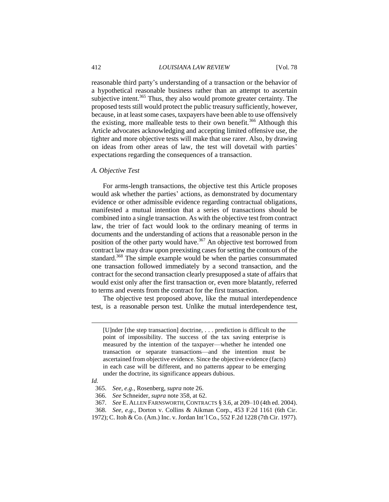reasonable third party's understanding of a transaction or the behavior of a hypothetical reasonable business rather than an attempt to ascertain subjective intent.<sup>365</sup> Thus, they also would promote greater certainty. The proposed tests still would protect the public treasury sufficiently, however, because, in at least some cases, taxpayers have been able to use offensively the existing, more malleable tests to their own benefit.<sup>366</sup> Although this Article advocates acknowledging and accepting limited offensive use, the tighter and more objective tests will make that use rarer. Also, by drawing on ideas from other areas of law, the test will dovetail with parties' expectations regarding the consequences of a transaction.

#### *A. Objective Test*

For arms-length transactions, the objective test this Article proposes would ask whether the parties' actions, as demonstrated by documentary evidence or other admissible evidence regarding contractual obligations, manifested a mutual intention that a series of transactions should be combined into a single transaction. As with the objective test from contract law, the trier of fact would look to the ordinary meaning of terms in documents and the understanding of actions that a reasonable person in the position of the other party would have.<sup>367</sup> An objective test borrowed from contract law may draw upon preexisting cases for setting the contours of the standard.<sup>368</sup> The simple example would be when the parties consummated one transaction followed immediately by a second transaction, and the contract for the second transaction clearly presupposed a state of affairs that would exist only after the first transaction or, even more blatantly, referred to terms and events from the contract for the first transaction.

The objective test proposed above, like the mutual interdependence test, is a reasonable person test. Unlike the mutual interdependence test,

*Id.*

<sup>[</sup>U]nder [the step transaction] doctrine, . . . prediction is difficult to the point of impossibility. The success of the tax saving enterprise is measured by the intention of the taxpayer—whether he intended one transaction or separate transactions—and the intention must be ascertained from objective evidence. Since the objective evidence (facts) in each case will be different, and no patterns appear to be emerging under the doctrine, its significance appears dubious.

<sup>365.</sup> *See, e.g.*, Rosenberg, *supra* note 26.

<sup>366.</sup> *See* Schneider, *supra* note 358, at 62.

<sup>367.</sup> *See* E. ALLEN FARNSWORTH,CONTRACTS § 3.6, at 209–10 (4th ed. 2004).

<sup>368.</sup> *See, e.g.*, Dorton v. Collins & Aikman Corp., 453 F.2d 1161 (6th Cir.

<sup>1972);</sup> C. Itoh & Co. (Am.) Inc. v. Jordan Int'l Co., 552 F.2d 1228 (7th Cir. 1977).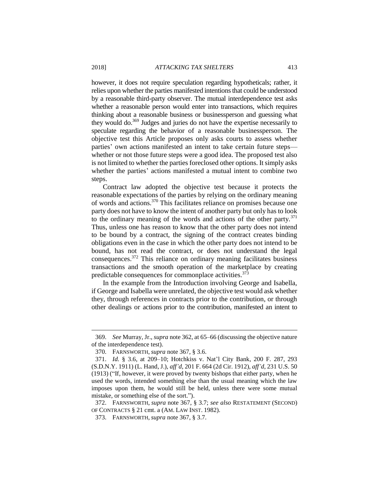however, it does not require speculation regarding hypotheticals; rather, it relies upon whether the parties manifested intentions that could be understood by a reasonable third-party observer. The mutual interdependence test asks whether a reasonable person would enter into transactions, which requires thinking about a reasonable business or businessperson and guessing what they would do.<sup>369</sup> Judges and juries do not have the expertise necessarily to speculate regarding the behavior of a reasonable businessperson. The objective test this Article proposes only asks courts to assess whether parties' own actions manifested an intent to take certain future steps whether or not those future steps were a good idea. The proposed test also is not limited to whether the parties foreclosed other options. It simply asks whether the parties' actions manifested a mutual intent to combine two steps.

Contract law adopted the objective test because it protects the reasonable expectations of the parties by relying on the ordinary meaning of words and actions.<sup>370</sup> This facilitates reliance on promises because one party does not have to know the intent of another party but only has to look to the ordinary meaning of the words and actions of the other party. $371$ Thus, unless one has reason to know that the other party does not intend to be bound by a contract, the signing of the contract creates binding obligations even in the case in which the other party does not intend to be bound, has not read the contract, or does not understand the legal consequences.<sup>372</sup> This reliance on ordinary meaning facilitates business transactions and the smooth operation of the marketplace by creating predictable consequences for commonplace activities. $373$ 

In the example from the Introduction involving George and Isabella, if George and Isabella were unrelated, the objective test would ask whether they, through references in contracts prior to the contribution, or through other dealings or actions prior to the contribution, manifested an intent to

372. FARNSWORTH, *supra* note 367, § 3.7; *see also* RESTATEMENT (SECOND) OF CONTRACTS § 21 cmt. a (AM. LAW INST. 1982).

<sup>369.</sup> *See* Murray, Jr., *supra* note 362, at 65–66 (discussing the objective nature of the interdependence test).

<sup>370.</sup> FARNSWORTH, *supra* note 367, § 3.6.

<sup>371.</sup> *Id.* § 3.6, at 209–10; Hotchkiss v. Nat'l City Bank, 200 F. 287, 293 (S.D.N.Y. 1911) (L. Hand, J.), *aff'd*, 201 F. 664 (2d Cir. 1912), *aff'd*, 231 U.S. 50 (1913) ("If, however, it were proved by twenty bishops that either party, when he used the words, intended something else than the usual meaning which the law imposes upon them, he would still be held, unless there were some mutual mistake, or something else of the sort.").

<sup>373.</sup> FARNSWORTH, *supra* note 367, § 3.7.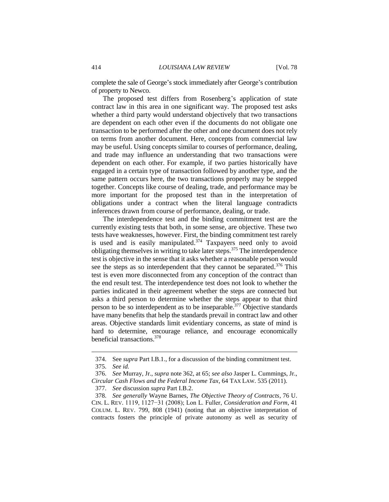complete the sale of George's stock immediately after George's contribution of property to Newco.

The proposed test differs from Rosenberg's application of state contract law in this area in one significant way. The proposed test asks whether a third party would understand objectively that two transactions are dependent on each other even if the documents do not obligate one transaction to be performed after the other and one document does not rely on terms from another document. Here, concepts from commercial law may be useful. Using concepts similar to courses of performance, dealing, and trade may influence an understanding that two transactions were dependent on each other. For example, if two parties historically have engaged in a certain type of transaction followed by another type, and the same pattern occurs here, the two transactions properly may be stepped together. Concepts like course of dealing, trade, and performance may be more important for the proposed test than in the interpretation of obligations under a contract when the literal language contradicts inferences drawn from course of performance, dealing, or trade.

The interdependence test and the binding commitment test are the currently existing tests that both, in some sense, are objective. These two tests have weaknesses, however. First, the binding commitment test rarely is used and is easily manipulated. $374$  Taxpayers need only to avoid obligating themselves in writing to take later steps.<sup>375</sup> The interdependence test is objective in the sense that it asks whether a reasonable person would see the steps as so interdependent that they cannot be separated.<sup>376</sup> This test is even more disconnected from any conception of the contract than the end result test. The interdependence test does not look to whether the parties indicated in their agreement whether the steps are connected but asks a third person to determine whether the steps appear to that third person to be so interdependent as to be inseparable.<sup>377</sup> Objective standards have many benefits that help the standards prevail in contract law and other areas. Objective standards limit evidentiary concerns, as state of mind is hard to determine, encourage reliance, and encourage economically beneficial transactions.<sup>378</sup>

<sup>374.</sup> See *supra* Part I.B.1., for a discussion of the binding commitment test.

<sup>375.</sup> *See id.*

<sup>376.</sup> *See* Murray, Jr., *supra* note 362, at 65; *see also* Jasper L. Cummings, Jr., *Circular Cash Flows and the Federal Income Tax*, 64 TAX LAW. 535 (2011).

<sup>377.</sup> *See* discussion *supra* Part I.B.2.

<sup>378.</sup> *See generally* Wayne Barnes, *The Objective Theory of Contracts*, 76 U. CIN. L. REV. 1119, 1127−31 (2008); Lon L. Fuller, *Consideration and Form*, 41 COLUM. L. REV. 799, 808 (1941) (noting that an objective interpretation of contracts fosters the principle of private autonomy as well as security of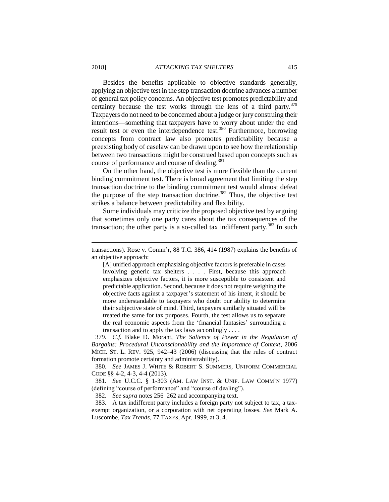Besides the benefits applicable to objective standards generally, applying an objective test in the step transaction doctrine advances a number of general tax policy concerns. An objective test promotes predictability and certainty because the test works through the lens of a third party.<sup>379</sup> Taxpayers do not need to be concerned about a judge or jury construing their intentions—something that taxpayers have to worry about under the end result test or even the interdependence test.<sup>380</sup> Furthermore, borrowing concepts from contract law also promotes predictability because a preexisting body of caselaw can be drawn upon to see how the relationship between two transactions might be construed based upon concepts such as course of performance and course of dealing.<sup>381</sup>

On the other hand, the objective test is more flexible than the current binding commitment test. There is broad agreement that limiting the step transaction doctrine to the binding commitment test would almost defeat the purpose of the step transaction doctrine.<sup>382</sup> Thus, the objective test strikes a balance between predictability and flexibility.

Some individuals may criticize the proposed objective test by arguing that sometimes only one party cares about the tax consequences of the transaction; the other party is a so-called tax indifferent party.<sup>383</sup> In such

379. *C.f.* Blake D. Morant, *The Salience of Power in the Regulation of Bargains: Procedural Unconscionability and the Importance of Context*, 2006 MICH. ST. L. REV. 925, 942–43 (2006) (discussing that the rules of contract formation promote certainty and administrability).

380. *See* JAMES J. WHITE & ROBERT S. SUMMERS, UNIFORM COMMERCIAL CODE §§ 4-2, 4-3, 4-4 (2013).

381. *See* U.C.C. § 1-303 (AM. LAW INST. & UNIF. LAW COMM'N 1977) (defining "course of performance" and "course of dealing").

382. *See supra* notes 256–262 and accompanying text.

383. A tax indifferent party includes a foreign party not subject to tax, a taxexempt organization, or a corporation with net operating losses. *See* Mark A. Luscombe, *Tax Trends*, 77 TAXES, Apr. 1999, at 3, 4.

transactions). Rose v. Comm'r, 88 T.C. 386, 414 (1987) explains the benefits of an objective approach:

<sup>[</sup>A] unified approach emphasizing objective factors is preferable in cases involving generic tax shelters . . . . First, because this approach emphasizes objective factors, it is more susceptible to consistent and predictable application. Second, because it does not require weighing the objective facts against a taxpayer's statement of his intent, it should be more understandable to taxpayers who doubt our ability to determine their subjective state of mind. Third, taxpayers similarly situated will be treated the same for tax purposes. Fourth, the test allows us to separate the real economic aspects from the 'financial fantasies' surrounding a transaction and to apply the tax laws accordingly . . . .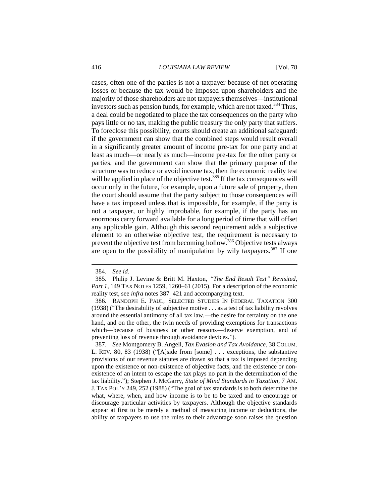cases, often one of the parties is not a taxpayer because of net operating losses or because the tax would be imposed upon shareholders and the majority of those shareholders are not taxpayers themselves—institutional investors such as pension funds, for example, which are not taxed.<sup>384</sup> Thus, a deal could be negotiated to place the tax consequences on the party who pays little or no tax, making the public treasury the only party that suffers. To foreclose this possibility, courts should create an additional safeguard: if the government can show that the combined steps would result overall in a significantly greater amount of income pre-tax for one party and at least as much—or nearly as much—income pre-tax for the other party or parties, and the government can show that the primary purpose of the structure was to reduce or avoid income tax, then the economic reality test will be applied in place of the objective test.<sup>385</sup> If the tax consequences will occur only in the future, for example, upon a future sale of property, then the court should assume that the party subject to those consequences will have a tax imposed unless that is impossible, for example, if the party is not a taxpayer, or highly improbable, for example, if the party has an enormous carry forward available for a long period of time that will offset any applicable gain. Although this second requirement adds a subjective element to an otherwise objective test, the requirement is necessary to prevent the objective test from becoming hollow.<sup>386</sup> Objective tests always are open to the possibility of manipulation by wily taxpayers.<sup>387</sup> If one

<sup>384.</sup> *See id.*

<sup>385.</sup> Philip J. Levine & Britt M. Haxton, *"The End Result Test" Revisited, Part 1*, 149 TAX NOTES 1259, 1260–61 (2015). For a description of the economic reality test, see *infra* notes 387–421 and accompanying text.

<sup>386.</sup> RANDOPH E. PAUL, SELECTED STUDIES IN FEDERAL TAXATION 300 (1938) ("The desirability of subjective motive . . . as a test of tax liability revolves around the essential antimony of all tax law,—the desire for certainty on the one hand, and on the other, the twin needs of providing exemptions for transactions which—because of business or other reasons—deserve exemption, and of preventing loss of revenue through avoidance devices.").

<sup>387.</sup> *See* Montgomery B. Angell, *Tax Evasion and Tax Avoidance*, 38 COLUM. L. REV. 80, 83 (1938) ("[A]side from [some] . . . exceptions, the substantive provisions of our revenue statutes are drawn so that a tax is imposed depending upon the existence or non-existence of objective facts, and the existence or nonexistence of an intent to escape the tax plays no part in the determination of the tax liability."); Stephen J. McGarry, *State of Mind Standards in Taxation*, 7 AM. J. TAX POL'Y 249, 252 (1988) ("The goal of tax standards is to both determine the what, where, when, and how income is to be to be taxed and to encourage or discourage particular activities by taxpayers. Although the objective standards appear at first to be merely a method of measuring income or deductions, the ability of taxpayers to use the rules to their advantage soon raises the question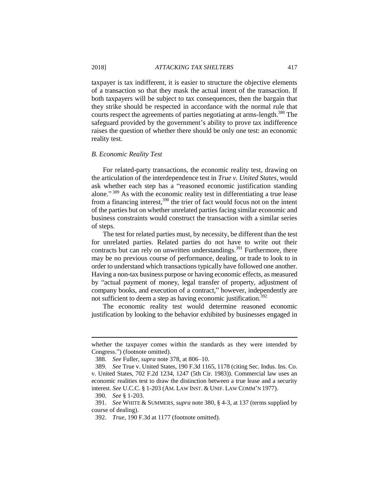taxpayer is tax indifferent, it is easier to structure the objective elements of a transaction so that they mask the actual intent of the transaction. If both taxpayers will be subject to tax consequences, then the bargain that they strike should be respected in accordance with the normal rule that courts respect the agreements of parties negotiating at arms-length.<sup>388</sup> The safeguard provided by the government's ability to prove tax indifference raises the question of whether there should be only one test: an economic reality test.

#### *B. Economic Reality Test*

For related-party transactions, the economic reality test, drawing on the articulation of the interdependence test in *True v. United States*, would ask whether each step has a "reasoned economic justification standing alone." <sup>389</sup> As with the economic reality test in differentiating a true lease from a financing interest,<sup>390</sup> the trier of fact would focus not on the intent of the parties but on whether unrelated parties facing similar economic and business constraints would construct the transaction with a similar series of steps.

The test for related parties must, by necessity, be different than the test for unrelated parties. Related parties do not have to write out their contracts but can rely on unwritten understandings.<sup>391</sup> Furthermore, there may be no previous course of performance, dealing, or trade to look to in order to understand which transactions typically have followed one another. Having a non-tax business purpose or having economic effects, as measured by "actual payment of money, legal transfer of property, adjustment of company books, and execution of a contract," however, independently are not sufficient to deem a step as having economic justification.<sup>392</sup>

The economic reality test would determine reasoned economic justification by looking to the behavior exhibited by businesses engaged in

whether the taxpayer comes within the standards as they were intended by Congress.") (footnote omitted).

<sup>388.</sup> *See* Fuller, *supra* note 378, at 806–10.

<sup>389.</sup> *See* True v. United States, 190 F.3d 1165, 1178 (citing Sec. Indus. Ins. Co. v. United States, 702 F.2d 1234, 1247 (5th Cir. 1983)). Commercial law uses an economic realities test to draw the distinction between a true lease and a security interest. *See* U.C.C. § 1-203 (AM. LAW INST. & UNIF. LAW COMM'N 1977).

<sup>390.</sup> *See* § 1-203.

<sup>391.</sup> *See* WHITE & SUMMERS, *supra* note 380, § 4-3, at 137 (terms supplied by course of dealing).

<sup>392.</sup> *True*, 190 F.3d at 1177 (footnote omitted).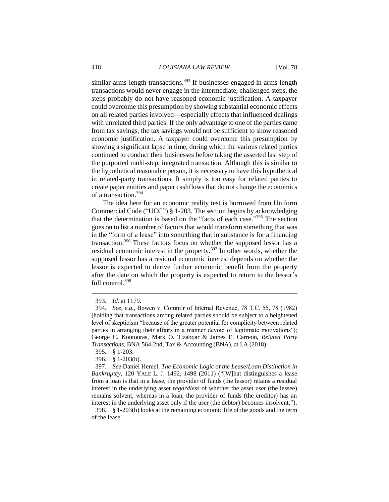similar arms-length transactions.<sup>393</sup> If businesses engaged in arms-length transactions would never engage in the intermediate, challenged steps, the steps probably do not have reasoned economic justification. A taxpayer could overcome this presumption by showing substantial economic effects on all related parties involved—especially effects that influenced dealings with unrelated third parties. If the only advantage to one of the parties came from tax savings, the tax savings would not be sufficient to show reasoned economic justification. A taxpayer could overcome this presumption by showing a significant lapse in time, during which the various related parties continued to conduct their businesses before taking the asserted last step of the purported multi-step, integrated transaction. Although this is similar to the hypothetical reasonable person, it is necessary to have this hypothetical in related-party transactions. It simply is too easy for related parties to create paper entities and paper cashflows that do not change the economics of a transaction.<sup>394</sup>

The idea here for an economic reality test is borrowed from Uniform Commercial Code ("UCC") § 1-203. The section begins by acknowledging that the determination is based on the "facts of each case." <sup>395</sup> The section goes on to list a number of factors that would transform something that was in the "form of a lease" into something that in substance is for a financing transaction.<sup>396</sup> These factors focus on whether the supposed lessor has a residual economic interest in the property.<sup>397</sup> In other words, whether the supposed lessor has a residual economic interest depends on whether the lessor is expected to derive further economic benefit from the property after the date on which the property is expected to return to the lessor's full control.<sup>398</sup>

 $\overline{a}$ 

396. § 1-203(b).

<sup>393.</sup> *Id.* at 1179.

<sup>394.</sup> *See, e.g.*, Bowen v. Comm'r of Internal Revenue, 78 T.C. 55, 78 (1982) (holding that transactions among related parties should be subject to a heightened level of skepticism "because of the greater potential for complicity between related parties in arranging their affairs in a manner devoid of legitimate motivations"); George C. Koutouras, Mark O. Tizabqar & James E. Carreon, *Related Party Transactions*, BNA 564-2nd, Tax & Accounting (BNA), at I.A (2018).

<sup>395.</sup> § 1-203.

<sup>397.</sup> *See* Daniel Hemel, *The Economic Logic of the Lease/Loan Distinction in Bankruptcy*, 120 YALE L. J. 1492, 1498 (2011) ("[W]hat distinguishes a lease from a loan is that in a lease, the provider of funds (the lessor) retains a residual interest in the underlying asset *regardless* of whether the asset user (the lessee) remains solvent, whereas in a loan, the provider of funds (the creditor) has an interest in the underlying asset only if the user (the debtor) becomes insolvent.").

<sup>398.</sup> § 1-203(b) looks at the remaining economic life of the goods and the term of the lease.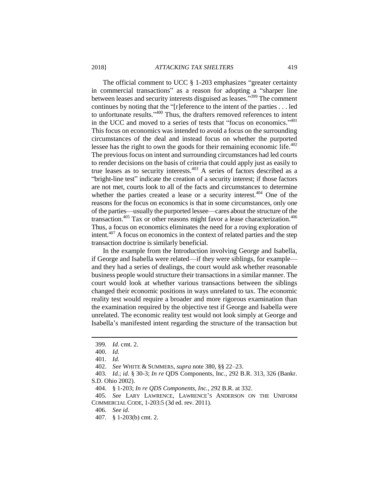The official comment to UCC § 1-203 emphasizes "greater certainty in commercial transactions" as a reason for adopting a "sharper line between leases and security interests disguised as leases."<sup>399</sup> The comment continues by noting that the "[r]eference to the intent of the parties . . . led to unfortunate results." <sup>400</sup> Thus, the drafters removed references to intent in the UCC and moved to a series of tests that "focus on economics." 401 This focus on economics was intended to avoid a focus on the surrounding circumstances of the deal and instead focus on whether the purported lessee has the right to own the goods for their remaining economic life.<sup>402</sup> The previous focus on intent and surrounding circumstances had led courts to render decisions on the basis of criteria that could apply just as easily to true leases as to security interests. $403$  A series of factors described as a "bright-line test" indicate the creation of a security interest; if those factors are not met, courts look to all of the facts and circumstances to determine whether the parties created a lease or a security interest.  $404$  One of the reasons for the focus on economics is that in some circumstances, only one of the parties—usually the purported lessee—cares about the structure of the transaction.<sup>405</sup> Tax or other reasons might favor a lease characterization.<sup>406</sup> Thus, a focus on economics eliminates the need for a roving exploration of intent. $407$  A focus on economics in the context of related parties and the step transaction doctrine is similarly beneficial.

In the example from the Introduction involving George and Isabella, if George and Isabella were related—if they were siblings, for example and they had a series of dealings, the court would ask whether reasonable business people would structure their transactions in a similar manner. The court would look at whether various transactions between the siblings changed their economic positions in ways unrelated to tax. The economic reality test would require a broader and more rigorous examination than the examination required by the objective test if George and Isabella were unrelated. The economic reality test would not look simply at George and Isabella's manifested intent regarding the structure of the transaction but

<sup>399.</sup> *Id.* cmt. 2.

<sup>400.</sup> *Id.*

<sup>401.</sup> *Id.*

<sup>402.</sup> *See* WHITE & SUMMERS, *supra* note 380, §§ 22–23.

<sup>403.</sup> *Id.*; *id.* § 30-3; *In re* QDS Components, Inc., 292 B.R. 313, 326 (Bankr. S.D. Ohio 2002).

<sup>404.</sup> § 1-203; *In re QDS Components, Inc.*, 292 B.R. at 332.

<sup>405.</sup> *See* LARY LAWRENCE, LAWRENCE'S ANDERSON ON THE UNIFORM COMMERCIAL CODE, 1-203:5 (3d ed. rev. 2011).

<sup>406.</sup> *See id*.

<sup>407.</sup> § 1-203(b) cmt. 2.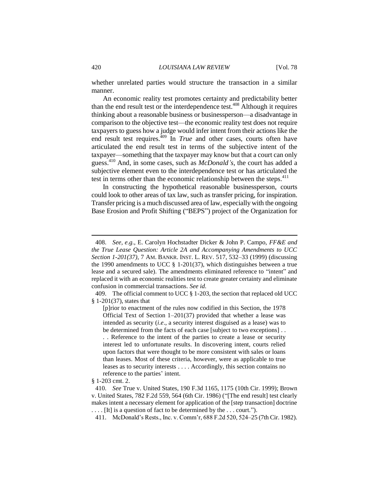whether unrelated parties would structure the transaction in a similar manner.

An economic reality test promotes certainty and predictability better than the end result test or the interdependence test.<sup> $408$ </sup> Although it requires thinking about a reasonable business or businessperson—a disadvantage in comparison to the objective test—the economic reality test does not require taxpayers to guess how a judge would infer intent from their actions like the end result test requires.<sup>409</sup> In *True* and other cases, courts often have articulated the end result test in terms of the subjective intent of the taxpayer—something that the taxpayer may know but that a court can only guess.<sup>410</sup> And, in some cases, such as *McDonald's*, the court has added a subjective element even to the interdependence test or has articulated the test in terms other than the economic relationship between the steps.<sup>411</sup>

In constructing the hypothetical reasonable businessperson, courts could look to other areas of tax law, such as transfer pricing, for inspiration. Transfer pricing is a much discussed area of law, especially with the ongoing Base Erosion and Profit Shifting ("BEPS") project of the Organization for

<sup>408.</sup> *See, e.g.*, E. Carolyn Hochstadter Dicker & John P. Campo, *FF&E and the True Lease Question: Article 2A and Accompanying Amendments to UCC Section 1-201(37)*, 7 AM. BANKR. INST. L. REV. 517, 532–33 (1999) (discussing the 1990 amendments to UCC § 1-201(37), which distinguishes between a true lease and a secured sale). The amendments eliminated reference to "intent" and replaced it with an economic realities test to create greater certainty and eliminate confusion in commercial transactions. *See id.*

<sup>409.</sup> The official comment to UCC § 1-203, the section that replaced old UCC § 1-201(37), states that

<sup>[</sup>p]rior to enactment of the rules now codified in this Section, the 1978 Official Text of Section 1–201(37) provided that whether a lease was intended as security (*i.e*., a security interest disguised as a lease) was to be determined from the facts of each case [subject to two exceptions] . . . . Reference to the intent of the parties to create a lease or security interest led to unfortunate results. In discovering intent, courts relied upon factors that were thought to be more consistent with sales or loans than leases. Most of these criteria, however, were as applicable to true leases as to security interests . . . . Accordingly, this section contains no reference to the parties' intent.

<sup>§ 1-203</sup> cmt. 2.

<sup>410.</sup> *See* True v. United States, 190 F.3d 1165, 1175 (10th Cir. 1999); Brown v. United States, 782 F.2d 559, 564 (6th Cir. 1986) ("[The end result] test clearly makes intent a necessary element for application of the [step transaction] doctrine . . . . [It] is a question of fact to be determined by the . . . court.").

<sup>411.</sup> McDonald's Rests., Inc. v. Comm'r, 688 F.2d 520, 524–25 (7th Cir. 1982).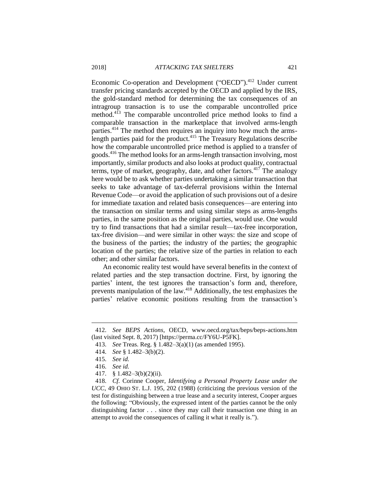Economic Co-operation and Development ("OECD").<sup>412</sup> Under current transfer pricing standards accepted by the OECD and applied by the IRS, the gold-standard method for determining the tax consequences of an intragroup transaction is to use the comparable uncontrolled price method.<sup>413</sup> The comparable uncontrolled price method looks to find a comparable transaction in the marketplace that involved arms-length parties.<sup>414</sup> The method then requires an inquiry into how much the armslength parties paid for the product.<sup>415</sup> The Treasury Regulations describe how the comparable uncontrolled price method is applied to a transfer of goods.<sup>416</sup> The method looks for an arms-length transaction involving, most importantly, similar products and also looks at product quality, contractual terms, type of market, geography, date, and other factors.<sup>417</sup> The analogy here would be to ask whether parties undertaking a similar transaction that seeks to take advantage of tax-deferral provisions within the Internal Revenue Code—or avoid the application of such provisions out of a desire for immediate taxation and related basis consequences—are entering into the transaction on similar terms and using similar steps as arms-lengths parties, in the same position as the original parties, would use. One would try to find transactions that had a similar result—tax-free incorporation, tax-free division—and were similar in other ways: the size and scope of the business of the parties; the industry of the parties; the geographic location of the parties; the relative size of the parties in relation to each other; and other similar factors.

An economic reality test would have several benefits in the context of related parties and the step transaction doctrine. First, by ignoring the parties' intent, the test ignores the transaction's form and, therefore, prevents manipulation of the law.<sup>418</sup> Additionally, the test emphasizes the parties' relative economic positions resulting from the transaction's

<sup>412.</sup> *See BEPS Actions*, OECD, www.oecd.org/tax/beps/beps-actions.htm (last visited Sept. 8, 2017) [https://perma.cc/FY6U-P5FK].

<sup>413.</sup> *See* Treas. Reg. § 1.482–3(a)(1) (as amended 1995).

<sup>414.</sup> *See* § 1.482–3(b)(2).

<sup>415.</sup> *See id.*

<sup>416.</sup> *See id.*

<sup>417.</sup> § 1.482–3(b)(2)(ii).

<sup>418.</sup> *Cf.* Corinne Cooper, *Identifying a Personal Property Lease under the UCC*, 49 OHIO ST. L.J. 195, 202 (1988) (criticizing the previous version of the test for distinguishing between a true lease and a security interest, Cooper argues the following: "Obviously, the expressed intent of the parties cannot be the only distinguishing factor . . . since they may call their transaction one thing in an attempt to avoid the consequences of calling it what it really is.").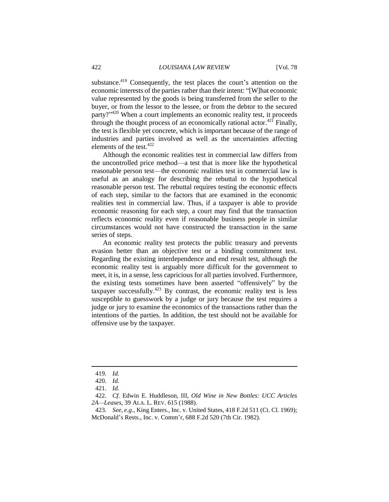substance.<sup>419</sup> Consequently, the test places the court's attention on the economic interests of the parties rather than their intent: "[W]hat economic value represented by the goods is being transferred from the seller to the buyer, or from the lessor to the lessee, or from the debtor to the secured party?"<sup>420</sup> When a court implements an economic reality test, it proceeds through the thought process of an economically rational actor.<sup>421</sup> Finally, the test is flexible yet concrete, which is important because of the range of industries and parties involved as well as the uncertainties affecting elements of the test.<sup>422</sup>

Although the economic realities test in commercial law differs from the uncontrolled price method—a test that is more like the hypothetical reasonable person test—the economic realities test in commercial law is useful as an analogy for describing the rebuttal to the hypothetical reasonable person test. The rebuttal requires testing the economic effects of each step, similar to the factors that are examined in the economic realities test in commercial law. Thus, if a taxpayer is able to provide economic reasoning for each step, a court may find that the transaction reflects economic reality even if reasonable business people in similar circumstances would not have constructed the transaction in the same series of steps.

An economic reality test protects the public treasury and prevents evasion better than an objective test or a binding commitment test. Regarding the existing interdependence and end result test, although the economic reality test is arguably more difficult for the government to meet, it is, in a sense, less capricious for all parties involved. Furthermore, the existing tests sometimes have been asserted "offensively" by the taxpayer successfully. <sup>423</sup> By contrast, the economic reality test is less susceptible to guesswork by a judge or jury because the test requires a judge or jury to examine the economics of the transactions rather than the intentions of the parties. In addition, the test should not be available for offensive use by the taxpayer.

<sup>419.</sup> *Id.* 

<sup>420.</sup> *Id.* 

<sup>421.</sup> *Id.* 

<sup>422.</sup> *Cf.* Edwin E. Huddleson, III, *Old Wine in New Bottles: UCC Articles 2A—Leases*, 39 ALA. L. REV. 615 (1988).

<sup>423.</sup> *See, e.g.*, King Enters., Inc. v. United States, 418 F.2d 511 (Ct. Cl. 1969); McDonald's Rests., Inc. v. Comm'r, 688 F.2d 520 (7th Cir. 1982).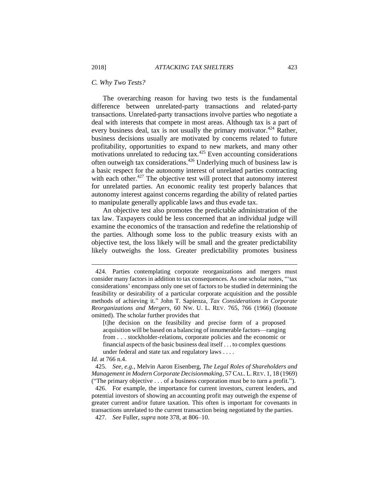#### *C. Why Two Tests?*

The overarching reason for having two tests is the fundamental difference between unrelated-party transactions and related-party transactions. Unrelated-party transactions involve parties who negotiate a deal with interests that compete in most areas. Although tax is a part of every business deal, tax is not usually the primary motivator.<sup>424</sup> Rather, business decisions usually are motivated by concerns related to future profitability, opportunities to expand to new markets, and many other motivations unrelated to reducing tax.<sup>425</sup> Even accounting considerations often outweigh tax considerations.<sup>426</sup> Underlying much of business law is a basic respect for the autonomy interest of unrelated parties contracting with each other. $427$  The objective test will protect that autonomy interest for unrelated parties. An economic reality test properly balances that autonomy interest against concerns regarding the ability of related parties to manipulate generally applicable laws and thus evade tax.

An objective test also promotes the predictable administration of the tax law. Taxpayers could be less concerned that an individual judge will examine the economics of the transaction and redefine the relationship of the parties. Although some loss to the public treasury exists with an objective test, the loss likely will be small and the greater predictability likely outweighs the loss. Greater predictability promotes business

*Id.* at 766 n.4.

<sup>424.</sup> Parties contemplating corporate reorganizations and mergers must consider many factors in addition to tax consequences. As one scholar notes, "'tax considerations' encompass only one set of factors to be studied in determining the feasibility or desirability of a particular corporate acquisition and the possible methods of achieving it." John T. Sapienza, *Tax Considerations in Corporate Reorganizations and Mergers*, 60 NW. U. L. REV. 765, 766 (1966) (footnote omitted). The scholar further provides that

<sup>[</sup>t]he decision on the feasibility and precise form of a proposed acquisition will be based on a balancing of innumerable factors—ranging from . . . stockholder-relations, corporate policies and the economic or financial aspects of the basic business deal itself . . . to complex questions under federal and state tax and regulatory laws . . . .

<sup>425.</sup> *See, e.g.*, Melvin Aaron Eisenberg, *The Legal Roles of Shareholders and Management in Modern Corporate Decisionmaking*, 57 CAL. L.REV. 1, 18 (1969) ("The primary objective . . . of a business corporation must be to turn a profit.").

<sup>426.</sup> For example, the importance for current investors, current lenders, and potential investors of showing an accounting profit may outweigh the expense of greater current and/or future taxation. This often is important for covenants in transactions unrelated to the current transaction being negotiated by the parties.

<sup>427.</sup> *See* Fuller, *supra* note 378, at 806–10.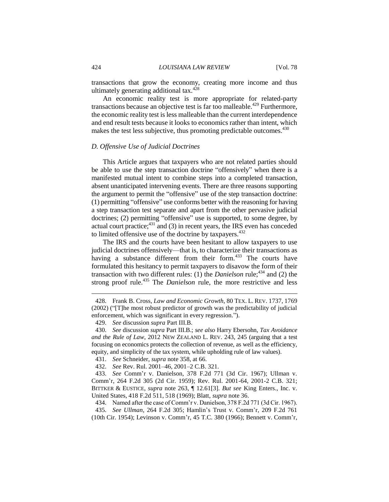transactions that grow the economy, creating more income and thus ultimately generating additional tax.<sup>428</sup>

An economic reality test is more appropriate for related-party transactions because an objective test is far too malleable.<sup>429</sup> Furthermore, the economic reality test is less malleable than the current interdependence and end result tests because it looks to economics rather than intent, which makes the test less subjective, thus promoting predictable outcomes.<sup>430</sup>

#### *D. Offensive Use of Judicial Doctrines*

This Article argues that taxpayers who are not related parties should be able to use the step transaction doctrine "offensively" when there is a manifested mutual intent to combine steps into a completed transaction, absent unanticipated intervening events. There are three reasons supporting the argument to permit the "offensive" use of the step transaction doctrine: (1) permitting "offensive" use conforms better with the reasoning for having a step transaction test separate and apart from the other pervasive judicial doctrines; (2) permitting "offensive" use is supported, to some degree, by actual court practice; $431$  and (3) in recent years, the IRS even has conceded to limited offensive use of the doctrine by taxpayers.<sup>432</sup>

The IRS and the courts have been hesitant to allow taxpayers to use judicial doctrines offensively—that is, to characterize their transactions as having a substance different from their form.<sup>433</sup> The courts have formulated this hesitancy to permit taxpayers to disavow the form of their transaction with two different rules: (1) the *Danielson* rule;<sup>434</sup> and (2) the strong proof rule.<sup>435</sup> The *Danielson* rule, the more restrictive and less

<sup>428.</sup> Frank B. Cross, *Law and Economic Growth*, 80 TEX. L. REV. 1737, 1769 (2002) ("[T]he most robust predictor of growth was the predictability of judicial enforcement, which was significant in every regression.").

<sup>429.</sup> *See* discussion *supra* Part III.B.

<sup>430.</sup> *See* discussion *supra* Part III.B.; *see also* Harry Ebersohn, *Tax Avoidance and the Rule of Law*, 2012 NEW ZEALAND L. REV. 243, 245 (arguing that a test focusing on economics protects the collection of revenue, as well as the efficiency, equity, and simplicity of the tax system, while upholding rule of law values).

<sup>431.</sup> *See* Schneider, *supra* note 358, at 66.

<sup>432.</sup> *See* Rev. Rul. 2001–46, 2001–2 C.B. 321.

<sup>433.</sup> *See* Comm'r v. Danielson, 378 F.2d 771 (3d Cir. 1967); Ullman v. Comm'r, 264 F.2d 305 (2d Cir. 1959); Rev. Rul. 2001-64, 2001-2 C.B. 321; BITTKER & EUSTICE, *supra* note 263, ¶ 12.61[3]. *But see* King Enters., Inc. v. United States, 418 F.2d 511, 518 (1969); Blatt, *supra* note 36.

<sup>434.</sup> Named after the case of Comm'r v. Danielson, 378 F.2d 771 (3d Cir. 1967).

<sup>435.</sup> *See Ullman*, 264 F.2d 305; Hamlin's Trust v. Comm'r, 209 F.2d 761 (10th Cir. 1954); Levinson v. Comm'r, 45 T.C. 380 (1966); Bennett v. Comm'r,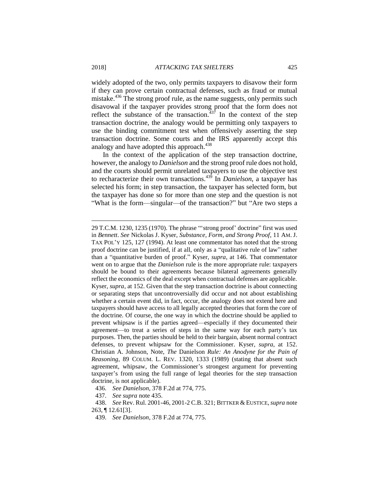widely adopted of the two, only permits taxpayers to disavow their form if they can prove certain contractual defenses, such as fraud or mutual mistake.<sup>436</sup> The strong proof rule, as the name suggests, only permits such disavowal if the taxpayer provides strong proof that the form does not reflect the substance of the transaction. $437$  In the context of the step transaction doctrine, the analogy would be permitting only taxpayers to use the binding commitment test when offensively asserting the step transaction doctrine. Some courts and the IRS apparently accept this analogy and have adopted this approach.<sup>438</sup>

In the context of the application of the step transaction doctrine, however, the analogy to *Danielson* and the strong proof rule does not hold, and the courts should permit unrelated taxpayers to use the objective test to recharacterize their own transactions.<sup>439</sup> In *Danielson*, a taxpayer has selected his form; in step transaction, the taxpayer has selected form, but the taxpayer has done so for more than one step and the question is not "What is the form—singular—of the transaction?" but "Are two steps a

<sup>29</sup> T.C.M. 1230, 1235 (1970). The phrase "'strong proof' doctrine" first was used in *Bennett*. *See* Nickolas J. Kyser, *Substance, Form, and Strong Proof*, 11 AM. J. TAX POL'Y 125, 127 (1994). At least one commentator has noted that the strong proof doctrine can be justified, if at all, only as a "qualitative rule of law" rather than a "quantitative burden of proof." Kyser, *supra*, at 146. That commentator went on to argue that the *Danielson* rule is the more appropriate rule: taxpayers should be bound to their agreements because bilateral agreements generally reflect the economics of the deal except when contractual defenses are applicable. Kyser, *supra*, at 152. Given that the step transaction doctrine is about connecting or separating steps that uncontroversially did occur and not about establishing whether a certain event did, in fact, occur, the analogy does not extend here and taxpayers should have access to all legally accepted theories that form the core of the doctrine. Of course, the one way in which the doctrine should be applied to prevent whipsaw is if the parties agreed—especially if they documented their agreement—to treat a series of steps in the same way for each party's tax purposes. Then, the parties should be held to their bargain, absent normal contract defenses, to prevent whipsaw for the Commissioner. Kyser, *supra*, at 152. Christian A. Johnson, Note, *The* Danielson *Rule: An Anodyne for the Pain of Reasoning*, 89 COLUM. L. REV. 1320, 1333 (1989) (stating that absent such agreement, whipsaw, the Commissioner's strongest argument for preventing taxpayer's from using the full range of legal theories for the step transaction doctrine, is not applicable).

<sup>436.</sup> *See Danielson*, 378 F.2d at 774, 775.

<sup>437.</sup> *See supra* note 435.

<sup>438.</sup> *See* Rev. Rul. 2001-46, 2001-2 C.B. 321; BITTKER & EUSTICE, *supra* note 263, ¶ 12.61[3].

<sup>439.</sup> *See Danielson*, 378 F.2d at 774, 775.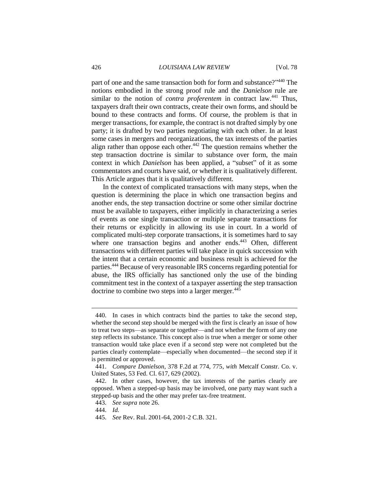part of one and the same transaction both for form and substance?"<sup>440</sup> The notions embodied in the strong proof rule and the *Danielson* rule are similar to the notion of *contra proferentem* in contract law.<sup>441</sup> Thus, taxpayers draft their own contracts, create their own forms, and should be bound to these contracts and forms. Of course, the problem is that in merger transactions, for example, the contract is not drafted simply by one party; it is drafted by two parties negotiating with each other. In at least some cases in mergers and reorganizations, the tax interests of the parties align rather than oppose each other.<sup>442</sup> The question remains whether the step transaction doctrine is similar to substance over form, the main context in which *Danielson* has been applied, a "subset" of it as some commentators and courts have said, or whether it is qualitatively different. This Article argues that it is qualitatively different.

In the context of complicated transactions with many steps, when the question is determining the place in which one transaction begins and another ends, the step transaction doctrine or some other similar doctrine must be available to taxpayers, either implicitly in characterizing a series of events as one single transaction or multiple separate transactions for their returns or explicitly in allowing its use in court. In a world of complicated multi-step corporate transactions, it is sometimes hard to say where one transaction begins and another ends.<sup>443</sup> Often, different transactions with different parties will take place in quick succession with the intent that a certain economic and business result is achieved for the parties.<sup>444</sup> Because of very reasonable IRS concerns regarding potential for abuse, the IRS officially has sanctioned only the use of the binding commitment test in the context of a taxpayer asserting the step transaction doctrine to combine two steps into a larger merger.<sup>445</sup>

<sup>440.</sup> In cases in which contracts bind the parties to take the second step, whether the second step should be merged with the first is clearly an issue of how to treat two steps—as separate or together—and not whether the form of any one step reflects its substance. This concept also is true when a merger or some other transaction would take place even if a second step were not completed but the parties clearly contemplate—especially when documented—the second step if it is permitted or approved.

<sup>441.</sup> *Compare Danielson*, 378 F.2d at 774, 775, *with* Metcalf Constr. Co. v. United States, 53 Fed. Cl. 617, 629 (2002).

<sup>442.</sup> In other cases, however, the tax interests of the parties clearly are opposed. When a stepped-up basis may be involved, one party may want such a stepped-up basis and the other may prefer tax-free treatment.

<sup>443.</sup> *See supra* note 26.

<sup>444.</sup> *Id.*

<sup>445.</sup> *See* Rev. Rul. 2001-64, 2001-2 C.B. 321.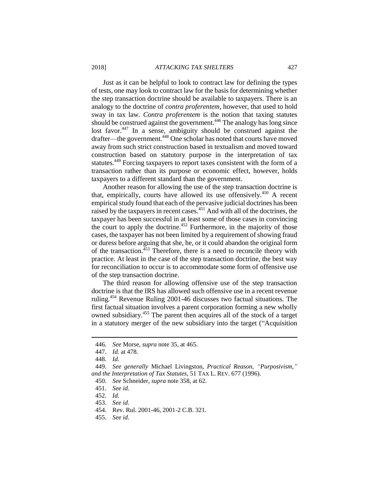Just as it can be helpful to look to contract law for defining the types of tests, one may look to contract law for the basis for determining whether the step transaction doctrine should be available to taxpayers. There is an analogy to the doctrine of *contra proferentem*, however, that used to hold sway in tax law. *Contra proferentem* is the notion that taxing statutes should be construed against the government.<sup>446</sup> The analogy has long since lost favor.<sup>447</sup> In a sense, ambiguity should be construed against the drafter—the government.<sup>448</sup> One scholar has noted that courts have moved away from such strict construction based in textualism and moved toward construction based on statutory purpose in the interpretation of tax statutes.<sup>449</sup> Forcing taxpayers to report taxes consistent with the form of a transaction rather than its purpose or economic effect, however, holds taxpayers to a different standard than the government.

Another reason for allowing the use of the step transaction doctrine is that, empirically, courts have allowed its use offensively.<sup>450</sup> A recent empirical study found that each of the pervasive judicial doctrines has been raised by the taxpayers in recent cases.<sup>451</sup> And with all of the doctrines, the taxpayer has been successful in at least some of those cases in convincing the court to apply the doctrine.<sup> $452$ </sup> Furthermore, in the majority of those cases, the taxpayer has not been limited by a requirement of showing fraud or duress before arguing that she, he, or it could abandon the original form of the transaction. $453$  Therefore, there is a need to reconcile theory with practice. At least in the case of the step transaction doctrine, the best way for reconciliation to occur is to accommodate some form of offensive use of the step transaction doctrine.

The third reason for allowing offensive use of the step transaction doctrine is that the IRS has allowed such offensive use in a recent revenue ruling.<sup>454</sup> Revenue Ruling 2001-46 discusses two factual situations. The first factual situation involves a parent corporation forming a new wholly owned subsidiary.<sup>455</sup> The parent then acquires all of the stock of a target in a statutory merger of the new subsidiary into the target ("Acquisition

<sup>446.</sup> *See* Morse, *supra* note 35, at 465.

<sup>447.</sup> *Id.* at 478.

<sup>448.</sup> *Id.*

<sup>449.</sup> *See generally* Michael Livingston, *Practical Reason, "Purposivism," and the Interpretation of Tax Statutes*, 51 TAX L. REV. 677 (1996).

<sup>450.</sup> *See* Schneider, *supra* note 358, at 62.

<sup>451.</sup> *See id.*

<sup>452.</sup> *Id.*

<sup>453.</sup> *See id.*

<sup>454.</sup> Rev. Rul. 2001-46, 2001-2 C.B. 321.

<sup>455.</sup> *See id.*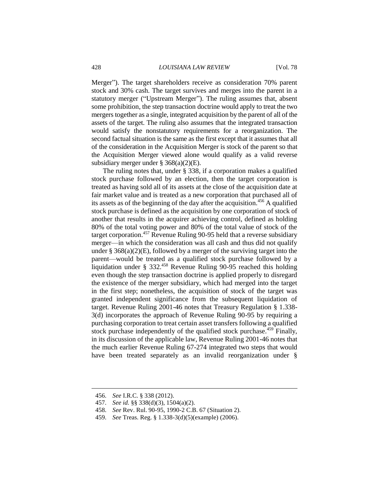Merger"). The target shareholders receive as consideration 70% parent stock and 30% cash. The target survives and merges into the parent in a statutory merger ("Upstream Merger"). The ruling assumes that, absent some prohibition, the step transaction doctrine would apply to treat the two mergers together as a single, integrated acquisition by the parent of all of the assets of the target. The ruling also assumes that the integrated transaction would satisfy the nonstatutory requirements for a reorganization. The second factual situation is the same as the first except that it assumes that all of the consideration in the Acquisition Merger is stock of the parent so that the Acquisition Merger viewed alone would qualify as a valid reverse subsidiary merger under § 368(a)(2)(E).

The ruling notes that, under § 338, if a corporation makes a qualified stock purchase followed by an election, then the target corporation is treated as having sold all of its assets at the close of the acquisition date at fair market value and is treated as a new corporation that purchased all of its assets as of the beginning of the day after the acquisition.<sup>456</sup> A qualified stock purchase is defined as the acquisition by one corporation of stock of another that results in the acquirer achieving control, defined as holding 80% of the total voting power and 80% of the total value of stock of the target corporation.<sup>457</sup> Revenue Ruling 90-95 held that a reverse subsidiary merger—in which the consideration was all cash and thus did not qualify under  $\S 368(a)(2)(E)$ , followed by a merger of the surviving target into the parent—would be treated as a qualified stock purchase followed by a liquidation under § 332.<sup>458</sup> Revenue Ruling 90-95 reached this holding even though the step transaction doctrine is applied properly to disregard the existence of the merger subsidiary, which had merged into the target in the first step; nonetheless, the acquisition of stock of the target was granted independent significance from the subsequent liquidation of target. Revenue Ruling 2001-46 notes that Treasury Regulation § 1.338- 3(d) incorporates the approach of Revenue Ruling 90-95 by requiring a purchasing corporation to treat certain asset transfers following a qualified stock purchase independently of the qualified stock purchase.<sup>459</sup> Finally, in its discussion of the applicable law, Revenue Ruling 2001-46 notes that the much earlier Revenue Ruling 67-274 integrated two steps that would have been treated separately as an invalid reorganization under §

<sup>456.</sup> *See* I.R.C. § 338 (2012).

<sup>457.</sup> *See id.* §§ 338(d)(3), 1504(a)(2).

<sup>458.</sup> *See* Rev. Rul. 90-95, 1990-2 C.B. 67 (Situation 2).

<sup>459.</sup> *See* Treas. Reg. § 1.338-3(d)(5)(example) (2006).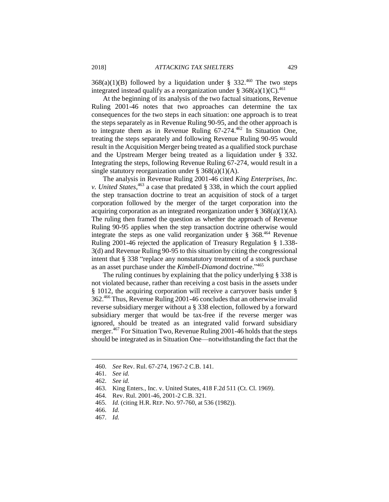$368(a)(1)(B)$  followed by a liquidation under § 332.<sup>460</sup> The two steps integrated instead qualify as a reorganization under § 368(a)(1)(C).<sup>461</sup>

At the beginning of its analysis of the two factual situations, Revenue Ruling 2001-46 notes that two approaches can determine the tax consequences for the two steps in each situation: one approach is to treat the steps separately as in Revenue Ruling 90-95, and the other approach is to integrate them as in Revenue Ruling 67-274.<sup>462</sup> In Situation One, treating the steps separately and following Revenue Ruling 90-95 would result in the Acquisition Merger being treated as a qualified stock purchase and the Upstream Merger being treated as a liquidation under § 332. Integrating the steps, following Revenue Ruling 67-274, would result in a single statutory reorganization under  $\S 368(a)(1)(A)$ .

The analysis in Revenue Ruling 2001-46 cited *King Enterprises, Inc. v. United States*, <sup>463</sup> a case that predated § 338, in which the court applied the step transaction doctrine to treat an acquisition of stock of a target corporation followed by the merger of the target corporation into the acquiring corporation as an integrated reorganization under  $\S 368(a)(1)(A)$ . The ruling then framed the question as whether the approach of Revenue Ruling 90-95 applies when the step transaction doctrine otherwise would integrate the steps as one valid reorganization under  $\S 368.464$  Revenue Ruling 2001-46 rejected the application of Treasury Regulation § 1.338- 3(d) and Revenue Ruling 90-95 to this situation by citing the congressional intent that § 338 "replace any nonstatutory treatment of a stock purchase as an asset purchase under the *Kimbell-Diamond* doctrine." 465

The ruling continues by explaining that the policy underlying § 338 is not violated because, rather than receiving a cost basis in the assets under § 1012, the acquiring corporation will receive a carryover basis under § 362.<sup>466</sup> Thus, Revenue Ruling 2001-46 concludes that an otherwise invalid reverse subsidiary merger without a § 338 election, followed by a forward subsidiary merger that would be tax-free if the reverse merger was ignored, should be treated as an integrated valid forward subsidiary merger.<sup>467</sup> For Situation Two, Revenue Ruling 2001-46 holds that the steps should be integrated as in Situation One—notwithstanding the fact that the

<sup>460.</sup> *See* Rev. Rul. 67-274, 1967-2 C.B. 141.

<sup>461.</sup> *See id.*

<sup>462.</sup> *See id.*

<sup>463.</sup> King Enters., Inc. v. United States, 418 F.2d 511 (Ct. Cl. 1969).

<sup>464.</sup> Rev. Rul. 2001-46, 2001-2 C.B. 321.

<sup>465.</sup> *Id.* (citing H.R. REP. NO. 97-760, at 536 (1982)).

<sup>466.</sup> *Id.*

<sup>467.</sup> *Id.*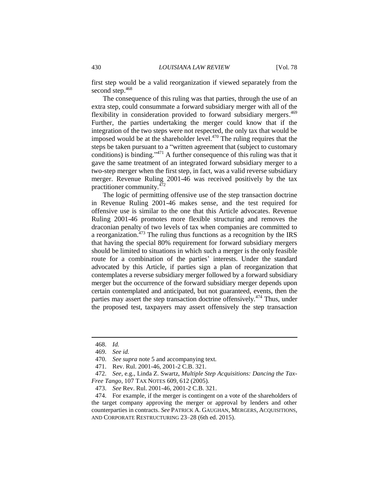first step would be a valid reorganization if viewed separately from the second step.<sup>468</sup>

The consequence of this ruling was that parties, through the use of an extra step, could consummate a forward subsidiary merger with all of the flexibility in consideration provided to forward subsidiary mergers.<sup>469</sup> Further, the parties undertaking the merger could know that if the integration of the two steps were not respected, the only tax that would be imposed would be at the shareholder level.<sup>470</sup> The ruling requires that the steps be taken pursuant to a "written agreement that (subject to customary conditions) is binding."<sup>471</sup> A further consequence of this ruling was that it gave the same treatment of an integrated forward subsidiary merger to a two-step merger when the first step, in fact, was a valid reverse subsidiary merger. Revenue Ruling 2001-46 was received positively by the tax practitioner community.<sup>472</sup>

The logic of permitting offensive use of the step transaction doctrine in Revenue Ruling 2001-46 makes sense, and the test required for offensive use is similar to the one that this Article advocates. Revenue Ruling 2001-46 promotes more flexible structuring and removes the draconian penalty of two levels of tax when companies are committed to a reorganization.<sup>473</sup> The ruling thus functions as a recognition by the IRS that having the special 80% requirement for forward subsidiary mergers should be limited to situations in which such a merger is the only feasible route for a combination of the parties' interests. Under the standard advocated by this Article, if parties sign a plan of reorganization that contemplates a reverse subsidiary merger followed by a forward subsidiary merger but the occurrence of the forward subsidiary merger depends upon certain contemplated and anticipated, but not guaranteed, events, then the parties may assert the step transaction doctrine offensively.<sup>474</sup> Thus, under the proposed test, taxpayers may assert offensively the step transaction

<sup>468.</sup> *Id.*

<sup>469.</sup> *See id.*

<sup>470.</sup> *See supra* note 5 and accompanying text.

<sup>471.</sup> Rev. Rul. 2001-46, 2001-2 C.B. 321.

<sup>472.</sup> *See,* e.g., Linda Z. Swartz, *Multiple Step Acquisitions: Dancing the Tax-Free Tango*, 107 TAX NOTES 609, 612 (2005).

<sup>473.</sup> *See* Rev. Rul. 2001-46, 2001-2 C.B. 321.

<sup>474.</sup> For example, if the merger is contingent on a vote of the shareholders of the target company approving the merger or approval by lenders and other counterparties in contracts. *See* PATRICK A. GAUGHAN, MERGERS, ACQUISITIONS, AND CORPORATE RESTRUCTURING 23–28 (6th ed. 2015).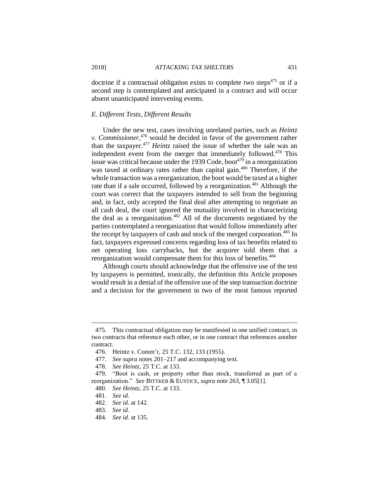doctrine if a contractual obligation exists to complete two steps<sup> $475$ </sup> or if a second step is contemplated and anticipated in a contract and will occur absent unanticipated intervening events.

#### *E. Different Tests, Different Results*

Under the new test, cases involving unrelated parties, such as *Heintz v. Commissioner*, <sup>476</sup> would be decided in favor of the government rather than the taxpayer.<sup>477</sup> *Heintz* raised the issue of whether the sale was an independent event from the merger that immediately followed.<sup>478</sup> This issue was critical because under the 1939 Code, boot<sup> $479$ </sup> in a reorganization was taxed at ordinary rates rather than capital gain.<sup>480</sup> Therefore, if the whole transaction was a reorganization, the boot would be taxed at a higher rate than if a sale occurred, followed by a reorganization.<sup>481</sup> Although the court was correct that the taxpayers intended to sell from the beginning and, in fact, only accepted the final deal after attempting to negotiate an all cash deal, the court ignored the mutuality involved in characterizing the deal as a reorganization.<sup>482</sup> All of the documents negotiated by the parties contemplated a reorganization that would follow immediately after the receipt by taxpayers of cash and stock of the merged corporation.<sup>483</sup> In fact, taxpayers expressed concerns regarding loss of tax benefits related to net operating loss carrybacks, but the acquirer told them that a reorganization would compensate them for this loss of benefits.<sup>484</sup>

Although courts should acknowledge that the offensive use of the test by taxpayers is permitted, ironically, the definition this Article proposes would result in a denial of the offensive use of the step transaction doctrine and a decision for the government in two of the most famous reported

<sup>475.</sup> This contractual obligation may be manifested in one unified contract, in two contracts that reference each other, or in one contract that references another contract.

<sup>476.</sup> Heintz v. Comm'r, 25 T.C. 132, 133 (1955).

<sup>477.</sup> *See supra* notes 201–217 and accompanying text.

<sup>478.</sup> *See Heintz*, 25 T.C. at 133.

<sup>479.</sup> "Boot is cash, or property other than stock, transferred as part of a reorganization." *See* BITTKER & EUSTICE, *supra* note 263, ¶ 3.05[1].

<sup>480.</sup> *See Heintz*, 25 T.C. at 133.

<sup>481.</sup> *See id.*

<sup>482.</sup> *See id.* at 142.

<sup>483.</sup> *See id.*

<sup>484.</sup> *See id.* at 135.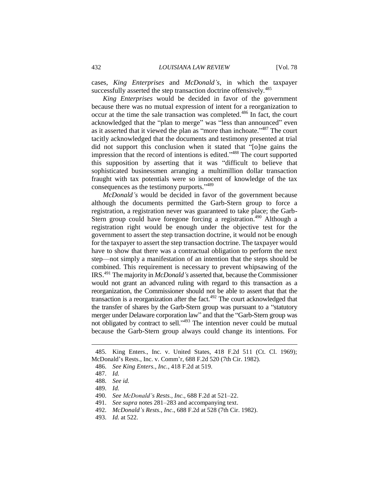cases, *King Enterprises* and *McDonald's*, in which the taxpayer successfully asserted the step transaction doctrine offensively.<sup>485</sup>

*King Enterprises* would be decided in favor of the government because there was no mutual expression of intent for a reorganization to occur at the time the sale transaction was completed.<sup>486</sup> In fact, the court acknowledged that the "plan to merge" was "less than announced" even as it asserted that it viewed the plan as "more than inchoate."<sup>487</sup> The court tacitly acknowledged that the documents and testimony presented at trial did not support this conclusion when it stated that "[o]ne gains the impression that the record of intentions is edited." <sup>488</sup> The court supported this supposition by asserting that it was "difficult to believe that sophisticated businessmen arranging a multimillion dollar transaction fraught with tax potentials were so innocent of knowledge of the tax consequences as the testimony purports."<sup>489</sup>

*McDonald's* would be decided in favor of the government because although the documents permitted the Garb-Stern group to force a registration, a registration never was guaranteed to take place; the Garb-Stern group could have foregone forcing a registration.<sup>490</sup> Although a registration right would be enough under the objective test for the government to assert the step transaction doctrine, it would not be enough for the taxpayer to assert the step transaction doctrine. The taxpayer would have to show that there was a contractual obligation to perform the next step—not simply a manifestation of an intention that the steps should be combined. This requirement is necessary to prevent whipsawing of the IRS.<sup>491</sup> The majority in *McDonald's* asserted that, because the Commissioner would not grant an advanced ruling with regard to this transaction as a reorganization, the Commissioner should not be able to assert that that the transaction is a reorganization after the fact. $492$  The court acknowledged that the transfer of shares by the Garb-Stern group was pursuant to a "statutory merger under Delaware corporation law" and that the "Garb-Stern group was not obligated by contract to sell."<sup>493</sup> The intention never could be mutual because the Garb-Stern group always could change its intentions. For

<sup>485.</sup> King Enters., Inc. v. United States, 418 F.2d 511 (Ct. Cl. 1969); McDonald's Rests., Inc. v. Comm'r, 688 F.2d 520 (7th Cir. 1982).

<sup>486.</sup> *See King Enters., Inc.*, 418 F.2d at 519.

<sup>487.</sup> *Id.*

<sup>488.</sup> *See id.*

<sup>489.</sup> *Id.*

<sup>490.</sup> *See McDonald's Rests., Inc.*, 688 F.2d at 521–22.

<sup>491.</sup> *See supra* notes 281–283 and accompanying text.

<sup>492.</sup> *McDonald's Rests., Inc*., 688 F.2d at 528 (7th Cir. 1982).

<sup>493.</sup> *Id.* at 522.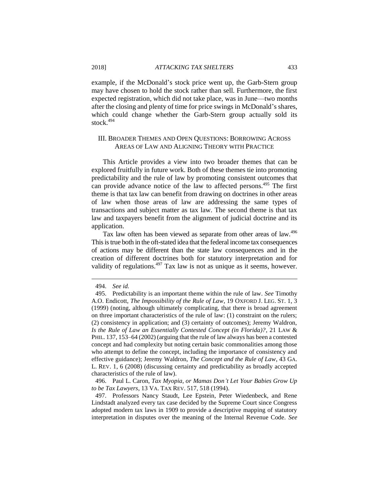example, if the McDonald's stock price went up, the Garb-Stern group may have chosen to hold the stock rather than sell. Furthermore, the first expected registration, which did not take place, was in June—two months after the closing and plenty of time for price swings in McDonald's shares, which could change whether the Garb-Stern group actually sold its stock.<sup>494</sup>

#### III. BROADER THEMES AND OPEN QUESTIONS: BORROWING ACROSS AREAS OF LAW AND ALIGNING THEORY WITH PRACTICE

This Article provides a view into two broader themes that can be explored fruitfully in future work. Both of these themes tie into promoting predictability and the rule of law by promoting consistent outcomes that can provide advance notice of the law to affected persons.<sup>495</sup> The first theme is that tax law can benefit from drawing on doctrines in other areas of law when those areas of law are addressing the same types of transactions and subject matter as tax law. The second theme is that tax law and taxpayers benefit from the alignment of judicial doctrine and its application.

Tax law often has been viewed as separate from other areas of law.<sup>496</sup> This is true both in the oft-stated idea that the federal income tax consequences of actions may be different than the state law consequences and in the creation of different doctrines both for statutory interpretation and for validity of regulations. $497$  Tax law is not as unique as it seems, however.

 $\overline{a}$ 

496. Paul L. Caron, *Tax Myopia, or Mamas Don't Let Your Babies Grow Up to be Tax Lawyers*, 13 VA. TAX REV. 517, 518 (1994).

497. Professors Nancy Staudt, Lee Epstein, Peter Wiedenbeck, and Rene Lindstadt analyzed every tax case decided by the Supreme Court since Congress adopted modern tax laws in 1909 to provide a descriptive mapping of statutory interpretation in disputes over the meaning of the Internal Revenue Code. *See* 

<sup>494.</sup> *See id.*

<sup>495.</sup> Predictability is an important theme within the rule of law. *See* Timothy A.O. Endicott, *The Impossibility of the Rule of Law*, 19 OXFORD J. LEG. ST. 1, 3 (1999) (noting, although ultimately complicating, that there is broad agreement on three important characteristics of the rule of law: (1) constraint on the rulers; (2) consistency in application; and (3) certainty of outcomes); Jeremy Waldron, *Is the Rule of Law an Essentially Contested Concept (in Florida)?*, 21 LAW & PHIL. 137, 153–64 (2002) (arguing that the rule of law always has been a contested concept and had complexity but noting certain basic commonalities among those who attempt to define the concept, including the importance of consistency and effective guidance); Jeremy Waldron, *The Concept and the Rule of Law*, 43 GA. L. REV. 1, 6 (2008) (discussing certainty and predictability as broadly accepted characteristics of the rule of law).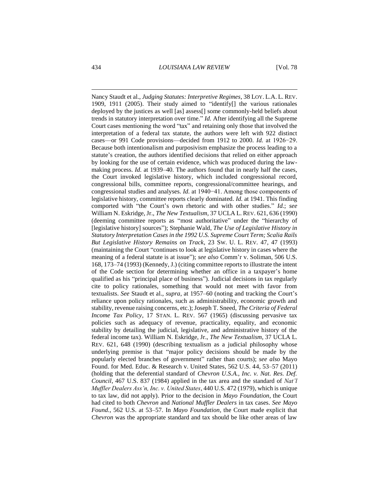Nancy Staudt et al., *Judging Statutes: Interpretive Regimes*, 38 LOY. L.A. L. REV. 1909, 1911 (2005). Their study aimed to "identify[] the various rationales deployed by the justices as well [as] assess[] some commonly-held beliefs about trends in statutory interpretation over time." *Id.* After identifying all the Supreme Court cases mentioning the word "tax" and retaining only those that involved the interpretation of a federal tax statute, the authors were left with 922 distinct cases—or 991 Code provisions—decided from 1912 to 2000. *Id.* at 1926−29. Because both intentionalism and purposivism emphasize the process leading to a statute's creation, the authors identified decisions that relied on either approach by looking for the use of certain evidence, which was produced during the lawmaking process. *Id.* at 1939–40. The authors found that in nearly half the cases, the Court invoked legislative history, which included congressional record, congressional bills, committee reports, congressional/committee hearings, and congressional studies and analyses. *Id.* at 1940−41. Among those components of legislative history, committee reports clearly dominated. *Id.* at 1941. This finding comported with "the Court's own rhetoric and with other studies." *Id.*; *see* William N. Eskridge, Jr., *The New Textualism,* 37 UCLA L. REV. 621, 636 (1990) (deeming committee reports as "most authoritative" under the "hierarchy of [legislative history] sources"); Stephanie Wald, *The Use of Legislative History in Statutory Interpretation Cases in the 1992 U.S. Supreme Court Term; Scalia Rails But Legislative History Remains on Track*, 23 SW. U. L. REV. 47, 47 (1993) (maintaining the Court "continues to look at legislative history in cases where the meaning of a federal statute is at issue"); *see also* Comm'r v. Soliman, 506 U.S. 168, 173–74 (1993) (Kennedy, J.) (citing committee reports to illustrate the intent of the Code section for determining whether an office in a taxpayer's home qualified as his "principal place of business"). Judicial decisions in tax regularly cite to policy rationales, something that would not meet with favor from textualists. *See* Staudt et al., *supra*, at 1957–60 (noting and tracking the Court's reliance upon policy rationales, such as administrability, economic growth and stability, revenue raising concerns, etc.); Joseph T. Sneed, *The Criteria of Federal Income Tax Policy*, 17 STAN. L. REV. 567 (1965) (discussing pervasive tax policies such as adequacy of revenue, practicality, equality, and economic stability by detailing the judicial, legislative, and administrative history of the federal income tax). William N. Eskridge, Jr., *The New Textualism*, 37 UCLA L. REV. 621, 648 (1990) (describing textualism as a judicial philosophy whose underlying premise is that "major policy decisions should be made by the popularly elected branches of government" rather than courts); *see also* Mayo Found. for Med. Educ. & Research v. United States, 562 U.S. 44, 53–57 (2011) (holding that the deferential standard of *Chevron U.S.A., Inc. v. Nat. Res. Def. Council*, 467 U.S. 837 (1984) applied in the tax area and the standard of *Nat'l Muffler Dealers Ass'n, Inc. v. United States*, 440 U.S. 472 (1979), which is unique to tax law, did not apply). Prior to the decision in *Mayo Foundation*, the Court had cited to both *Chevron* and *National Muffler Dealers* in tax cases. *See Mayo Found.*, 562 U.S. at 53–57. In *Mayo Foundation*, the Court made explicit that *Chevron* was the appropriate standard and tax should be like other areas of law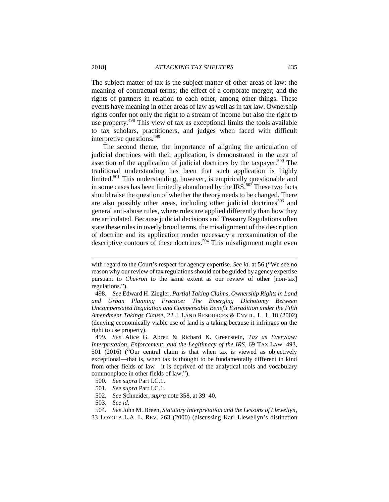The subject matter of tax is the subject matter of other areas of law: the meaning of contractual terms; the effect of a corporate merger; and the rights of partners in relation to each other, among other things. These events have meaning in other areas of law as well as in tax law. Ownership rights confer not only the right to a stream of income but also the right to use property.<sup>498</sup> This view of tax as exceptional limits the tools available to tax scholars, practitioners, and judges when faced with difficult interpretive questions.<sup>499</sup>

The second theme, the importance of aligning the articulation of judicial doctrines with their application, is demonstrated in the area of assertion of the application of judicial doctrines by the taxpayer.<sup>500</sup> The traditional understanding has been that such application is highly limited.<sup>501</sup> This understanding, however, is empirically questionable and in some cases has been limitedly abandoned by the  $\text{IRS}$ .<sup>502</sup> These two facts should raise the question of whether the theory needs to be changed. There are also possibly other areas, including other judicial doctrines $503$  and general anti-abuse rules, where rules are applied differently than how they are articulated. Because judicial decisions and Treasury Regulations often state these rules in overly broad terms, the misalignment of the description of doctrine and its application render necessary a reexamination of the descriptive contours of these doctrines.<sup>504</sup> This misalignment might even

with regard to the Court's respect for agency expertise. *See id*. at 56 ("We see no reason why our review of tax regulations should not be guided by agency expertise pursuant to *Chevron* to the same extent as our review of other [non-tax] regulations.").

<sup>498.</sup> *See* Edward H. Ziegler, *Partial Taking Claims, Ownership Rights in Land and Urban Planning Practice: The Emerging Dichotomy Between Uncompensated Regulation and Compensable Benefit Extradition under the Fifth Amendment Takings Clause*, 22 J. LAND RESOURCES & ENVTL. L. 1, 18 (2002) (denying economically viable use of land is a taking because it infringes on the right to use property).

<sup>499.</sup> *See* Alice G. Abreu & Richard K. Greenstein, *Tax as Everylaw: Interpretation, Enforcement, and the Legitimacy of the IRS*, 69 TAX LAW. 493, 501 (2016) ("Our central claim is that when tax is viewed as objectively exceptional—that is, when tax is thought to be fundamentally different in kind from other fields of law—it is deprived of the analytical tools and vocabulary commonplace in other fields of law.").

<sup>500.</sup> *See supra* Part I.C.1.

<sup>501.</sup> *See supra* Part I.C.1.

<sup>502.</sup> *See* Schneider, *supra* note 358, at 39–40.

<sup>503.</sup> *See id.*

<sup>504.</sup> *See* John M. Breen, *Statutory Interpretation and the Lessons of Llewellyn*, 33 LOYOLA L.A. L. REV. 263 (2000) (discussing Karl Llewellyn's distinction